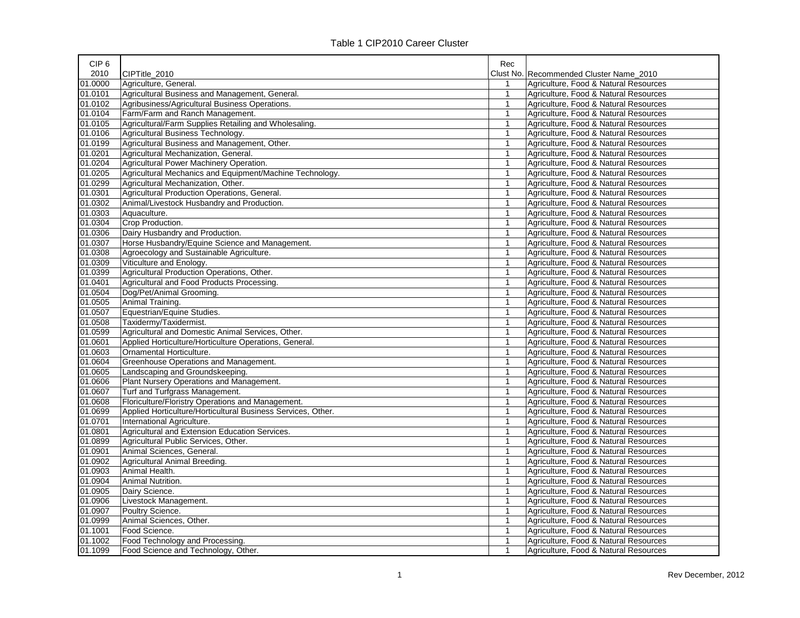| 2010<br>CIPTitle 2010<br>Clust No. Recommended Cluster Name 2010<br>01.0000<br>Agriculture, General.<br>Agriculture, Food & Natural Resources<br>Agricultural Business and Management, General.<br>01.0101<br>$\mathbf{1}$<br>Agriculture, Food & Natural Resources<br>01.0102<br>Agribusiness/Agricultural Business Operations.<br>Agriculture, Food & Natural Resources<br>$\mathbf{1}$<br>01.0104<br>Farm/Farm and Ranch Management.<br>Agriculture, Food & Natural Resources<br>$\mathbf{1}$<br>01.0105<br>Agricultural/Farm Supplies Retailing and Wholesaling.<br>Agriculture, Food & Natural Resources<br>$\mathbf{1}$<br>01.0106<br>Agricultural Business Technology.<br>Agriculture, Food & Natural Resources<br>$\mathbf{1}$<br>01.0199<br>Agricultural Business and Management, Other.<br>Agriculture, Food & Natural Resources<br>$\mathbf{1}$<br>01.0201<br>Agricultural Mechanization, General.<br>Agriculture, Food & Natural Resources<br>$\mathbf{1}$<br>01.0204<br>Agricultural Power Machinery Operation.<br>$\mathbf{1}$<br>Agriculture, Food & Natural Resources<br>01.0205<br>Agricultural Mechanics and Equipment/Machine Technology.<br>$\mathbf{1}$<br>Agriculture, Food & Natural Resources<br>01.0299<br>Agricultural Mechanization, Other.<br>$\mathbf{1}$<br>Agriculture, Food & Natural Resources<br>01.0301<br>Agricultural Production Operations, General.<br>$\mathbf{1}$<br>Agriculture, Food & Natural Resources<br>01.0302<br>Animal/Livestock Husbandry and Production.<br>Agriculture, Food & Natural Resources<br>$\mathbf{1}$<br>01.0303<br>Aquaculture.<br>$\mathbf{1}$<br>Agriculture, Food & Natural Resources<br>01.0304<br>Crop Production.<br>Agriculture, Food & Natural Resources<br>$\mathbf{1}$<br>01.0306<br>Dairy Husbandry and Production.<br>$\mathbf{1}$<br>Agriculture, Food & Natural Resources<br>01.0307<br>Horse Husbandry/Equine Science and Management.<br>$\mathbf{1}$<br>Agriculture, Food & Natural Resources<br>01.0308<br>Agroecology and Sustainable Agriculture.<br>$\mathbf{1}$<br>Agriculture, Food & Natural Resources<br>01.0309<br>Viticulture and Enology.<br>$\mathbf{1}$<br>Agriculture, Food & Natural Resources<br>01.0399<br>Agricultural Production Operations, Other.<br>$\mathbf{1}$<br>Agriculture, Food & Natural Resources<br>01.0401<br>Agricultural and Food Products Processing.<br>$\mathbf{1}$<br>Agriculture, Food & Natural Resources<br>01.0504<br>Dog/Pet/Animal Grooming.<br>Agriculture, Food & Natural Resources<br>$\mathbf{1}$<br>01.0505<br>Animal Training.<br>$\mathbf{1}$<br>Agriculture, Food & Natural Resources<br>01.0507<br>Equestrian/Equine Studies.<br>Agriculture, Food & Natural Resources<br>$\mathbf{1}$<br>01.0508<br>Taxidermy/Taxidermist.<br>$\mathbf{1}$<br>Agriculture, Food & Natural Resources<br>01.0599<br>Agricultural and Domestic Animal Services, Other.<br>Agriculture, Food & Natural Resources<br>$\mathbf{1}$<br>01.0601<br>Applied Horticulture/Horticulture Operations, General.<br>Agriculture, Food & Natural Resources<br>$\mathbf{1}$<br>01.0603<br>Ornamental Horticulture.<br>Agriculture, Food & Natural Resources<br>$\mathbf{1}$<br>01.0604<br>Greenhouse Operations and Management.<br>Agriculture, Food & Natural Resources<br>$\mathbf{1}$<br>01.0605<br>Landscaping and Groundskeeping.<br>$\mathbf{1}$<br>Agriculture, Food & Natural Resources<br>01.0606<br>Plant Nursery Operations and Management.<br>$\mathbf{1}$<br>Agriculture, Food & Natural Resources<br>01.0607<br>Turf and Turfgrass Management.<br>Agriculture, Food & Natural Resources<br>$\mathbf{1}$<br>01.0608<br>Floriculture/Floristry Operations and Management.<br>Agriculture, Food & Natural Resources<br>1<br>01.0699<br>Applied Horticulture/Horticultural Business Services, Other.<br>$\mathbf{1}$<br>Agriculture, Food & Natural Resources<br>01.0701<br>International Agriculture.<br>$\mathbf{1}$<br>Agriculture, Food & Natural Resources<br>01.0801<br>Agricultural and Extension Education Services.<br>$\mathbf{1}$<br>Agriculture, Food & Natural Resources<br>01.0899<br>Agricultural Public Services, Other.<br>$\mathbf{1}$<br>Agriculture, Food & Natural Resources<br>01.0901<br>Animal Sciences, General.<br>Agriculture, Food & Natural Resources<br>$\mathbf{1}$<br>01.0902<br>Agricultural Animal Breeding.<br>Agriculture, Food & Natural Resources<br>$\mathbf{1}$<br>01.0903<br>Animal Health.<br>Agriculture, Food & Natural Resources<br>$\mathbf{1}$<br>01.0904<br>Agriculture, Food & Natural Resources<br>Animal Nutrition.<br>$\mathbf{1}$<br>01.0905<br>Dairy Science.<br>$\mathbf{1}$<br>Agriculture, Food & Natural Resources<br>01.0906<br>Livestock Management.<br>$\mathbf{1}$<br>Agriculture, Food & Natural Resources<br>01.0907<br>Poultry Science.<br>Agriculture, Food & Natural Resources<br>$\mathbf{1}$<br>01.0999<br>Animal Sciences, Other.<br>$\mathbf{1}$<br>Agriculture, Food & Natural Resources<br>01.1001<br>Food Science.<br>Agriculture, Food & Natural Resources<br>$\mathbf{1}$<br>01.1002<br>Food Technology and Processing.<br>Agriculture, Food & Natural Resources<br>$\mathbf{1}$ | CIP <sub>6</sub> |                                     | Rec          |                                       |
|------------------------------------------------------------------------------------------------------------------------------------------------------------------------------------------------------------------------------------------------------------------------------------------------------------------------------------------------------------------------------------------------------------------------------------------------------------------------------------------------------------------------------------------------------------------------------------------------------------------------------------------------------------------------------------------------------------------------------------------------------------------------------------------------------------------------------------------------------------------------------------------------------------------------------------------------------------------------------------------------------------------------------------------------------------------------------------------------------------------------------------------------------------------------------------------------------------------------------------------------------------------------------------------------------------------------------------------------------------------------------------------------------------------------------------------------------------------------------------------------------------------------------------------------------------------------------------------------------------------------------------------------------------------------------------------------------------------------------------------------------------------------------------------------------------------------------------------------------------------------------------------------------------------------------------------------------------------------------------------------------------------------------------------------------------------------------------------------------------------------------------------------------------------------------------------------------------------------------------------------------------------------------------------------------------------------------------------------------------------------------------------------------------------------------------------------------------------------------------------------------------------------------------------------------------------------------------------------------------------------------------------------------------------------------------------------------------------------------------------------------------------------------------------------------------------------------------------------------------------------------------------------------------------------------------------------------------------------------------------------------------------------------------------------------------------------------------------------------------------------------------------------------------------------------------------------------------------------------------------------------------------------------------------------------------------------------------------------------------------------------------------------------------------------------------------------------------------------------------------------------------------------------------------------------------------------------------------------------------------------------------------------------------------------------------------------------------------------------------------------------------------------------------------------------------------------------------------------------------------------------------------------------------------------------------------------------------------------------------------------------------------------------------------------------------------------------------------------------------------------------------------------------------------------------------------------------------------------------------------------------------------------------------------------------------------------------------------------------------------------------------------------------------------------------------------------------------------------------------------------------------------------------------------------------------------------------------------------------------------------------------------------------------------------------------------------------------------------------------------------------------------------------------------------------------------------------------------------------------------------------------------------------------------------------------------------------------------------------------------------------------------------------------------------------------------------------------------------------------------------------------------------------------------------------|------------------|-------------------------------------|--------------|---------------------------------------|
|                                                                                                                                                                                                                                                                                                                                                                                                                                                                                                                                                                                                                                                                                                                                                                                                                                                                                                                                                                                                                                                                                                                                                                                                                                                                                                                                                                                                                                                                                                                                                                                                                                                                                                                                                                                                                                                                                                                                                                                                                                                                                                                                                                                                                                                                                                                                                                                                                                                                                                                                                                                                                                                                                                                                                                                                                                                                                                                                                                                                                                                                                                                                                                                                                                                                                                                                                                                                                                                                                                                                                                                                                                                                                                                                                                                                                                                                                                                                                                                                                                                                                                                                                                                                                                                                                                                                                                                                                                                                                                                                                                                                                                                                                                                                                                                                                                                                                                                                                                                                                                                                                                                                                                              |                  |                                     |              |                                       |
|                                                                                                                                                                                                                                                                                                                                                                                                                                                                                                                                                                                                                                                                                                                                                                                                                                                                                                                                                                                                                                                                                                                                                                                                                                                                                                                                                                                                                                                                                                                                                                                                                                                                                                                                                                                                                                                                                                                                                                                                                                                                                                                                                                                                                                                                                                                                                                                                                                                                                                                                                                                                                                                                                                                                                                                                                                                                                                                                                                                                                                                                                                                                                                                                                                                                                                                                                                                                                                                                                                                                                                                                                                                                                                                                                                                                                                                                                                                                                                                                                                                                                                                                                                                                                                                                                                                                                                                                                                                                                                                                                                                                                                                                                                                                                                                                                                                                                                                                                                                                                                                                                                                                                                              |                  |                                     |              |                                       |
|                                                                                                                                                                                                                                                                                                                                                                                                                                                                                                                                                                                                                                                                                                                                                                                                                                                                                                                                                                                                                                                                                                                                                                                                                                                                                                                                                                                                                                                                                                                                                                                                                                                                                                                                                                                                                                                                                                                                                                                                                                                                                                                                                                                                                                                                                                                                                                                                                                                                                                                                                                                                                                                                                                                                                                                                                                                                                                                                                                                                                                                                                                                                                                                                                                                                                                                                                                                                                                                                                                                                                                                                                                                                                                                                                                                                                                                                                                                                                                                                                                                                                                                                                                                                                                                                                                                                                                                                                                                                                                                                                                                                                                                                                                                                                                                                                                                                                                                                                                                                                                                                                                                                                                              |                  |                                     |              |                                       |
|                                                                                                                                                                                                                                                                                                                                                                                                                                                                                                                                                                                                                                                                                                                                                                                                                                                                                                                                                                                                                                                                                                                                                                                                                                                                                                                                                                                                                                                                                                                                                                                                                                                                                                                                                                                                                                                                                                                                                                                                                                                                                                                                                                                                                                                                                                                                                                                                                                                                                                                                                                                                                                                                                                                                                                                                                                                                                                                                                                                                                                                                                                                                                                                                                                                                                                                                                                                                                                                                                                                                                                                                                                                                                                                                                                                                                                                                                                                                                                                                                                                                                                                                                                                                                                                                                                                                                                                                                                                                                                                                                                                                                                                                                                                                                                                                                                                                                                                                                                                                                                                                                                                                                                              |                  |                                     |              |                                       |
|                                                                                                                                                                                                                                                                                                                                                                                                                                                                                                                                                                                                                                                                                                                                                                                                                                                                                                                                                                                                                                                                                                                                                                                                                                                                                                                                                                                                                                                                                                                                                                                                                                                                                                                                                                                                                                                                                                                                                                                                                                                                                                                                                                                                                                                                                                                                                                                                                                                                                                                                                                                                                                                                                                                                                                                                                                                                                                                                                                                                                                                                                                                                                                                                                                                                                                                                                                                                                                                                                                                                                                                                                                                                                                                                                                                                                                                                                                                                                                                                                                                                                                                                                                                                                                                                                                                                                                                                                                                                                                                                                                                                                                                                                                                                                                                                                                                                                                                                                                                                                                                                                                                                                                              |                  |                                     |              |                                       |
|                                                                                                                                                                                                                                                                                                                                                                                                                                                                                                                                                                                                                                                                                                                                                                                                                                                                                                                                                                                                                                                                                                                                                                                                                                                                                                                                                                                                                                                                                                                                                                                                                                                                                                                                                                                                                                                                                                                                                                                                                                                                                                                                                                                                                                                                                                                                                                                                                                                                                                                                                                                                                                                                                                                                                                                                                                                                                                                                                                                                                                                                                                                                                                                                                                                                                                                                                                                                                                                                                                                                                                                                                                                                                                                                                                                                                                                                                                                                                                                                                                                                                                                                                                                                                                                                                                                                                                                                                                                                                                                                                                                                                                                                                                                                                                                                                                                                                                                                                                                                                                                                                                                                                                              |                  |                                     |              |                                       |
|                                                                                                                                                                                                                                                                                                                                                                                                                                                                                                                                                                                                                                                                                                                                                                                                                                                                                                                                                                                                                                                                                                                                                                                                                                                                                                                                                                                                                                                                                                                                                                                                                                                                                                                                                                                                                                                                                                                                                                                                                                                                                                                                                                                                                                                                                                                                                                                                                                                                                                                                                                                                                                                                                                                                                                                                                                                                                                                                                                                                                                                                                                                                                                                                                                                                                                                                                                                                                                                                                                                                                                                                                                                                                                                                                                                                                                                                                                                                                                                                                                                                                                                                                                                                                                                                                                                                                                                                                                                                                                                                                                                                                                                                                                                                                                                                                                                                                                                                                                                                                                                                                                                                                                              |                  |                                     |              |                                       |
|                                                                                                                                                                                                                                                                                                                                                                                                                                                                                                                                                                                                                                                                                                                                                                                                                                                                                                                                                                                                                                                                                                                                                                                                                                                                                                                                                                                                                                                                                                                                                                                                                                                                                                                                                                                                                                                                                                                                                                                                                                                                                                                                                                                                                                                                                                                                                                                                                                                                                                                                                                                                                                                                                                                                                                                                                                                                                                                                                                                                                                                                                                                                                                                                                                                                                                                                                                                                                                                                                                                                                                                                                                                                                                                                                                                                                                                                                                                                                                                                                                                                                                                                                                                                                                                                                                                                                                                                                                                                                                                                                                                                                                                                                                                                                                                                                                                                                                                                                                                                                                                                                                                                                                              |                  |                                     |              |                                       |
|                                                                                                                                                                                                                                                                                                                                                                                                                                                                                                                                                                                                                                                                                                                                                                                                                                                                                                                                                                                                                                                                                                                                                                                                                                                                                                                                                                                                                                                                                                                                                                                                                                                                                                                                                                                                                                                                                                                                                                                                                                                                                                                                                                                                                                                                                                                                                                                                                                                                                                                                                                                                                                                                                                                                                                                                                                                                                                                                                                                                                                                                                                                                                                                                                                                                                                                                                                                                                                                                                                                                                                                                                                                                                                                                                                                                                                                                                                                                                                                                                                                                                                                                                                                                                                                                                                                                                                                                                                                                                                                                                                                                                                                                                                                                                                                                                                                                                                                                                                                                                                                                                                                                                                              |                  |                                     |              |                                       |
|                                                                                                                                                                                                                                                                                                                                                                                                                                                                                                                                                                                                                                                                                                                                                                                                                                                                                                                                                                                                                                                                                                                                                                                                                                                                                                                                                                                                                                                                                                                                                                                                                                                                                                                                                                                                                                                                                                                                                                                                                                                                                                                                                                                                                                                                                                                                                                                                                                                                                                                                                                                                                                                                                                                                                                                                                                                                                                                                                                                                                                                                                                                                                                                                                                                                                                                                                                                                                                                                                                                                                                                                                                                                                                                                                                                                                                                                                                                                                                                                                                                                                                                                                                                                                                                                                                                                                                                                                                                                                                                                                                                                                                                                                                                                                                                                                                                                                                                                                                                                                                                                                                                                                                              |                  |                                     |              |                                       |
|                                                                                                                                                                                                                                                                                                                                                                                                                                                                                                                                                                                                                                                                                                                                                                                                                                                                                                                                                                                                                                                                                                                                                                                                                                                                                                                                                                                                                                                                                                                                                                                                                                                                                                                                                                                                                                                                                                                                                                                                                                                                                                                                                                                                                                                                                                                                                                                                                                                                                                                                                                                                                                                                                                                                                                                                                                                                                                                                                                                                                                                                                                                                                                                                                                                                                                                                                                                                                                                                                                                                                                                                                                                                                                                                                                                                                                                                                                                                                                                                                                                                                                                                                                                                                                                                                                                                                                                                                                                                                                                                                                                                                                                                                                                                                                                                                                                                                                                                                                                                                                                                                                                                                                              |                  |                                     |              |                                       |
|                                                                                                                                                                                                                                                                                                                                                                                                                                                                                                                                                                                                                                                                                                                                                                                                                                                                                                                                                                                                                                                                                                                                                                                                                                                                                                                                                                                                                                                                                                                                                                                                                                                                                                                                                                                                                                                                                                                                                                                                                                                                                                                                                                                                                                                                                                                                                                                                                                                                                                                                                                                                                                                                                                                                                                                                                                                                                                                                                                                                                                                                                                                                                                                                                                                                                                                                                                                                                                                                                                                                                                                                                                                                                                                                                                                                                                                                                                                                                                                                                                                                                                                                                                                                                                                                                                                                                                                                                                                                                                                                                                                                                                                                                                                                                                                                                                                                                                                                                                                                                                                                                                                                                                              |                  |                                     |              |                                       |
|                                                                                                                                                                                                                                                                                                                                                                                                                                                                                                                                                                                                                                                                                                                                                                                                                                                                                                                                                                                                                                                                                                                                                                                                                                                                                                                                                                                                                                                                                                                                                                                                                                                                                                                                                                                                                                                                                                                                                                                                                                                                                                                                                                                                                                                                                                                                                                                                                                                                                                                                                                                                                                                                                                                                                                                                                                                                                                                                                                                                                                                                                                                                                                                                                                                                                                                                                                                                                                                                                                                                                                                                                                                                                                                                                                                                                                                                                                                                                                                                                                                                                                                                                                                                                                                                                                                                                                                                                                                                                                                                                                                                                                                                                                                                                                                                                                                                                                                                                                                                                                                                                                                                                                              |                  |                                     |              |                                       |
|                                                                                                                                                                                                                                                                                                                                                                                                                                                                                                                                                                                                                                                                                                                                                                                                                                                                                                                                                                                                                                                                                                                                                                                                                                                                                                                                                                                                                                                                                                                                                                                                                                                                                                                                                                                                                                                                                                                                                                                                                                                                                                                                                                                                                                                                                                                                                                                                                                                                                                                                                                                                                                                                                                                                                                                                                                                                                                                                                                                                                                                                                                                                                                                                                                                                                                                                                                                                                                                                                                                                                                                                                                                                                                                                                                                                                                                                                                                                                                                                                                                                                                                                                                                                                                                                                                                                                                                                                                                                                                                                                                                                                                                                                                                                                                                                                                                                                                                                                                                                                                                                                                                                                                              |                  |                                     |              |                                       |
|                                                                                                                                                                                                                                                                                                                                                                                                                                                                                                                                                                                                                                                                                                                                                                                                                                                                                                                                                                                                                                                                                                                                                                                                                                                                                                                                                                                                                                                                                                                                                                                                                                                                                                                                                                                                                                                                                                                                                                                                                                                                                                                                                                                                                                                                                                                                                                                                                                                                                                                                                                                                                                                                                                                                                                                                                                                                                                                                                                                                                                                                                                                                                                                                                                                                                                                                                                                                                                                                                                                                                                                                                                                                                                                                                                                                                                                                                                                                                                                                                                                                                                                                                                                                                                                                                                                                                                                                                                                                                                                                                                                                                                                                                                                                                                                                                                                                                                                                                                                                                                                                                                                                                                              |                  |                                     |              |                                       |
|                                                                                                                                                                                                                                                                                                                                                                                                                                                                                                                                                                                                                                                                                                                                                                                                                                                                                                                                                                                                                                                                                                                                                                                                                                                                                                                                                                                                                                                                                                                                                                                                                                                                                                                                                                                                                                                                                                                                                                                                                                                                                                                                                                                                                                                                                                                                                                                                                                                                                                                                                                                                                                                                                                                                                                                                                                                                                                                                                                                                                                                                                                                                                                                                                                                                                                                                                                                                                                                                                                                                                                                                                                                                                                                                                                                                                                                                                                                                                                                                                                                                                                                                                                                                                                                                                                                                                                                                                                                                                                                                                                                                                                                                                                                                                                                                                                                                                                                                                                                                                                                                                                                                                                              |                  |                                     |              |                                       |
|                                                                                                                                                                                                                                                                                                                                                                                                                                                                                                                                                                                                                                                                                                                                                                                                                                                                                                                                                                                                                                                                                                                                                                                                                                                                                                                                                                                                                                                                                                                                                                                                                                                                                                                                                                                                                                                                                                                                                                                                                                                                                                                                                                                                                                                                                                                                                                                                                                                                                                                                                                                                                                                                                                                                                                                                                                                                                                                                                                                                                                                                                                                                                                                                                                                                                                                                                                                                                                                                                                                                                                                                                                                                                                                                                                                                                                                                                                                                                                                                                                                                                                                                                                                                                                                                                                                                                                                                                                                                                                                                                                                                                                                                                                                                                                                                                                                                                                                                                                                                                                                                                                                                                                              |                  |                                     |              |                                       |
|                                                                                                                                                                                                                                                                                                                                                                                                                                                                                                                                                                                                                                                                                                                                                                                                                                                                                                                                                                                                                                                                                                                                                                                                                                                                                                                                                                                                                                                                                                                                                                                                                                                                                                                                                                                                                                                                                                                                                                                                                                                                                                                                                                                                                                                                                                                                                                                                                                                                                                                                                                                                                                                                                                                                                                                                                                                                                                                                                                                                                                                                                                                                                                                                                                                                                                                                                                                                                                                                                                                                                                                                                                                                                                                                                                                                                                                                                                                                                                                                                                                                                                                                                                                                                                                                                                                                                                                                                                                                                                                                                                                                                                                                                                                                                                                                                                                                                                                                                                                                                                                                                                                                                                              |                  |                                     |              |                                       |
|                                                                                                                                                                                                                                                                                                                                                                                                                                                                                                                                                                                                                                                                                                                                                                                                                                                                                                                                                                                                                                                                                                                                                                                                                                                                                                                                                                                                                                                                                                                                                                                                                                                                                                                                                                                                                                                                                                                                                                                                                                                                                                                                                                                                                                                                                                                                                                                                                                                                                                                                                                                                                                                                                                                                                                                                                                                                                                                                                                                                                                                                                                                                                                                                                                                                                                                                                                                                                                                                                                                                                                                                                                                                                                                                                                                                                                                                                                                                                                                                                                                                                                                                                                                                                                                                                                                                                                                                                                                                                                                                                                                                                                                                                                                                                                                                                                                                                                                                                                                                                                                                                                                                                                              |                  |                                     |              |                                       |
|                                                                                                                                                                                                                                                                                                                                                                                                                                                                                                                                                                                                                                                                                                                                                                                                                                                                                                                                                                                                                                                                                                                                                                                                                                                                                                                                                                                                                                                                                                                                                                                                                                                                                                                                                                                                                                                                                                                                                                                                                                                                                                                                                                                                                                                                                                                                                                                                                                                                                                                                                                                                                                                                                                                                                                                                                                                                                                                                                                                                                                                                                                                                                                                                                                                                                                                                                                                                                                                                                                                                                                                                                                                                                                                                                                                                                                                                                                                                                                                                                                                                                                                                                                                                                                                                                                                                                                                                                                                                                                                                                                                                                                                                                                                                                                                                                                                                                                                                                                                                                                                                                                                                                                              |                  |                                     |              |                                       |
|                                                                                                                                                                                                                                                                                                                                                                                                                                                                                                                                                                                                                                                                                                                                                                                                                                                                                                                                                                                                                                                                                                                                                                                                                                                                                                                                                                                                                                                                                                                                                                                                                                                                                                                                                                                                                                                                                                                                                                                                                                                                                                                                                                                                                                                                                                                                                                                                                                                                                                                                                                                                                                                                                                                                                                                                                                                                                                                                                                                                                                                                                                                                                                                                                                                                                                                                                                                                                                                                                                                                                                                                                                                                                                                                                                                                                                                                                                                                                                                                                                                                                                                                                                                                                                                                                                                                                                                                                                                                                                                                                                                                                                                                                                                                                                                                                                                                                                                                                                                                                                                                                                                                                                              |                  |                                     |              |                                       |
|                                                                                                                                                                                                                                                                                                                                                                                                                                                                                                                                                                                                                                                                                                                                                                                                                                                                                                                                                                                                                                                                                                                                                                                                                                                                                                                                                                                                                                                                                                                                                                                                                                                                                                                                                                                                                                                                                                                                                                                                                                                                                                                                                                                                                                                                                                                                                                                                                                                                                                                                                                                                                                                                                                                                                                                                                                                                                                                                                                                                                                                                                                                                                                                                                                                                                                                                                                                                                                                                                                                                                                                                                                                                                                                                                                                                                                                                                                                                                                                                                                                                                                                                                                                                                                                                                                                                                                                                                                                                                                                                                                                                                                                                                                                                                                                                                                                                                                                                                                                                                                                                                                                                                                              |                  |                                     |              |                                       |
|                                                                                                                                                                                                                                                                                                                                                                                                                                                                                                                                                                                                                                                                                                                                                                                                                                                                                                                                                                                                                                                                                                                                                                                                                                                                                                                                                                                                                                                                                                                                                                                                                                                                                                                                                                                                                                                                                                                                                                                                                                                                                                                                                                                                                                                                                                                                                                                                                                                                                                                                                                                                                                                                                                                                                                                                                                                                                                                                                                                                                                                                                                                                                                                                                                                                                                                                                                                                                                                                                                                                                                                                                                                                                                                                                                                                                                                                                                                                                                                                                                                                                                                                                                                                                                                                                                                                                                                                                                                                                                                                                                                                                                                                                                                                                                                                                                                                                                                                                                                                                                                                                                                                                                              |                  |                                     |              |                                       |
|                                                                                                                                                                                                                                                                                                                                                                                                                                                                                                                                                                                                                                                                                                                                                                                                                                                                                                                                                                                                                                                                                                                                                                                                                                                                                                                                                                                                                                                                                                                                                                                                                                                                                                                                                                                                                                                                                                                                                                                                                                                                                                                                                                                                                                                                                                                                                                                                                                                                                                                                                                                                                                                                                                                                                                                                                                                                                                                                                                                                                                                                                                                                                                                                                                                                                                                                                                                                                                                                                                                                                                                                                                                                                                                                                                                                                                                                                                                                                                                                                                                                                                                                                                                                                                                                                                                                                                                                                                                                                                                                                                                                                                                                                                                                                                                                                                                                                                                                                                                                                                                                                                                                                                              |                  |                                     |              |                                       |
|                                                                                                                                                                                                                                                                                                                                                                                                                                                                                                                                                                                                                                                                                                                                                                                                                                                                                                                                                                                                                                                                                                                                                                                                                                                                                                                                                                                                                                                                                                                                                                                                                                                                                                                                                                                                                                                                                                                                                                                                                                                                                                                                                                                                                                                                                                                                                                                                                                                                                                                                                                                                                                                                                                                                                                                                                                                                                                                                                                                                                                                                                                                                                                                                                                                                                                                                                                                                                                                                                                                                                                                                                                                                                                                                                                                                                                                                                                                                                                                                                                                                                                                                                                                                                                                                                                                                                                                                                                                                                                                                                                                                                                                                                                                                                                                                                                                                                                                                                                                                                                                                                                                                                                              |                  |                                     |              |                                       |
|                                                                                                                                                                                                                                                                                                                                                                                                                                                                                                                                                                                                                                                                                                                                                                                                                                                                                                                                                                                                                                                                                                                                                                                                                                                                                                                                                                                                                                                                                                                                                                                                                                                                                                                                                                                                                                                                                                                                                                                                                                                                                                                                                                                                                                                                                                                                                                                                                                                                                                                                                                                                                                                                                                                                                                                                                                                                                                                                                                                                                                                                                                                                                                                                                                                                                                                                                                                                                                                                                                                                                                                                                                                                                                                                                                                                                                                                                                                                                                                                                                                                                                                                                                                                                                                                                                                                                                                                                                                                                                                                                                                                                                                                                                                                                                                                                                                                                                                                                                                                                                                                                                                                                                              |                  |                                     |              |                                       |
|                                                                                                                                                                                                                                                                                                                                                                                                                                                                                                                                                                                                                                                                                                                                                                                                                                                                                                                                                                                                                                                                                                                                                                                                                                                                                                                                                                                                                                                                                                                                                                                                                                                                                                                                                                                                                                                                                                                                                                                                                                                                                                                                                                                                                                                                                                                                                                                                                                                                                                                                                                                                                                                                                                                                                                                                                                                                                                                                                                                                                                                                                                                                                                                                                                                                                                                                                                                                                                                                                                                                                                                                                                                                                                                                                                                                                                                                                                                                                                                                                                                                                                                                                                                                                                                                                                                                                                                                                                                                                                                                                                                                                                                                                                                                                                                                                                                                                                                                                                                                                                                                                                                                                                              |                  |                                     |              |                                       |
|                                                                                                                                                                                                                                                                                                                                                                                                                                                                                                                                                                                                                                                                                                                                                                                                                                                                                                                                                                                                                                                                                                                                                                                                                                                                                                                                                                                                                                                                                                                                                                                                                                                                                                                                                                                                                                                                                                                                                                                                                                                                                                                                                                                                                                                                                                                                                                                                                                                                                                                                                                                                                                                                                                                                                                                                                                                                                                                                                                                                                                                                                                                                                                                                                                                                                                                                                                                                                                                                                                                                                                                                                                                                                                                                                                                                                                                                                                                                                                                                                                                                                                                                                                                                                                                                                                                                                                                                                                                                                                                                                                                                                                                                                                                                                                                                                                                                                                                                                                                                                                                                                                                                                                              |                  |                                     |              |                                       |
|                                                                                                                                                                                                                                                                                                                                                                                                                                                                                                                                                                                                                                                                                                                                                                                                                                                                                                                                                                                                                                                                                                                                                                                                                                                                                                                                                                                                                                                                                                                                                                                                                                                                                                                                                                                                                                                                                                                                                                                                                                                                                                                                                                                                                                                                                                                                                                                                                                                                                                                                                                                                                                                                                                                                                                                                                                                                                                                                                                                                                                                                                                                                                                                                                                                                                                                                                                                                                                                                                                                                                                                                                                                                                                                                                                                                                                                                                                                                                                                                                                                                                                                                                                                                                                                                                                                                                                                                                                                                                                                                                                                                                                                                                                                                                                                                                                                                                                                                                                                                                                                                                                                                                                              |                  |                                     |              |                                       |
|                                                                                                                                                                                                                                                                                                                                                                                                                                                                                                                                                                                                                                                                                                                                                                                                                                                                                                                                                                                                                                                                                                                                                                                                                                                                                                                                                                                                                                                                                                                                                                                                                                                                                                                                                                                                                                                                                                                                                                                                                                                                                                                                                                                                                                                                                                                                                                                                                                                                                                                                                                                                                                                                                                                                                                                                                                                                                                                                                                                                                                                                                                                                                                                                                                                                                                                                                                                                                                                                                                                                                                                                                                                                                                                                                                                                                                                                                                                                                                                                                                                                                                                                                                                                                                                                                                                                                                                                                                                                                                                                                                                                                                                                                                                                                                                                                                                                                                                                                                                                                                                                                                                                                                              |                  |                                     |              |                                       |
|                                                                                                                                                                                                                                                                                                                                                                                                                                                                                                                                                                                                                                                                                                                                                                                                                                                                                                                                                                                                                                                                                                                                                                                                                                                                                                                                                                                                                                                                                                                                                                                                                                                                                                                                                                                                                                                                                                                                                                                                                                                                                                                                                                                                                                                                                                                                                                                                                                                                                                                                                                                                                                                                                                                                                                                                                                                                                                                                                                                                                                                                                                                                                                                                                                                                                                                                                                                                                                                                                                                                                                                                                                                                                                                                                                                                                                                                                                                                                                                                                                                                                                                                                                                                                                                                                                                                                                                                                                                                                                                                                                                                                                                                                                                                                                                                                                                                                                                                                                                                                                                                                                                                                                              |                  |                                     |              |                                       |
|                                                                                                                                                                                                                                                                                                                                                                                                                                                                                                                                                                                                                                                                                                                                                                                                                                                                                                                                                                                                                                                                                                                                                                                                                                                                                                                                                                                                                                                                                                                                                                                                                                                                                                                                                                                                                                                                                                                                                                                                                                                                                                                                                                                                                                                                                                                                                                                                                                                                                                                                                                                                                                                                                                                                                                                                                                                                                                                                                                                                                                                                                                                                                                                                                                                                                                                                                                                                                                                                                                                                                                                                                                                                                                                                                                                                                                                                                                                                                                                                                                                                                                                                                                                                                                                                                                                                                                                                                                                                                                                                                                                                                                                                                                                                                                                                                                                                                                                                                                                                                                                                                                                                                                              |                  |                                     |              |                                       |
|                                                                                                                                                                                                                                                                                                                                                                                                                                                                                                                                                                                                                                                                                                                                                                                                                                                                                                                                                                                                                                                                                                                                                                                                                                                                                                                                                                                                                                                                                                                                                                                                                                                                                                                                                                                                                                                                                                                                                                                                                                                                                                                                                                                                                                                                                                                                                                                                                                                                                                                                                                                                                                                                                                                                                                                                                                                                                                                                                                                                                                                                                                                                                                                                                                                                                                                                                                                                                                                                                                                                                                                                                                                                                                                                                                                                                                                                                                                                                                                                                                                                                                                                                                                                                                                                                                                                                                                                                                                                                                                                                                                                                                                                                                                                                                                                                                                                                                                                                                                                                                                                                                                                                                              |                  |                                     |              |                                       |
|                                                                                                                                                                                                                                                                                                                                                                                                                                                                                                                                                                                                                                                                                                                                                                                                                                                                                                                                                                                                                                                                                                                                                                                                                                                                                                                                                                                                                                                                                                                                                                                                                                                                                                                                                                                                                                                                                                                                                                                                                                                                                                                                                                                                                                                                                                                                                                                                                                                                                                                                                                                                                                                                                                                                                                                                                                                                                                                                                                                                                                                                                                                                                                                                                                                                                                                                                                                                                                                                                                                                                                                                                                                                                                                                                                                                                                                                                                                                                                                                                                                                                                                                                                                                                                                                                                                                                                                                                                                                                                                                                                                                                                                                                                                                                                                                                                                                                                                                                                                                                                                                                                                                                                              |                  |                                     |              |                                       |
|                                                                                                                                                                                                                                                                                                                                                                                                                                                                                                                                                                                                                                                                                                                                                                                                                                                                                                                                                                                                                                                                                                                                                                                                                                                                                                                                                                                                                                                                                                                                                                                                                                                                                                                                                                                                                                                                                                                                                                                                                                                                                                                                                                                                                                                                                                                                                                                                                                                                                                                                                                                                                                                                                                                                                                                                                                                                                                                                                                                                                                                                                                                                                                                                                                                                                                                                                                                                                                                                                                                                                                                                                                                                                                                                                                                                                                                                                                                                                                                                                                                                                                                                                                                                                                                                                                                                                                                                                                                                                                                                                                                                                                                                                                                                                                                                                                                                                                                                                                                                                                                                                                                                                                              |                  |                                     |              |                                       |
|                                                                                                                                                                                                                                                                                                                                                                                                                                                                                                                                                                                                                                                                                                                                                                                                                                                                                                                                                                                                                                                                                                                                                                                                                                                                                                                                                                                                                                                                                                                                                                                                                                                                                                                                                                                                                                                                                                                                                                                                                                                                                                                                                                                                                                                                                                                                                                                                                                                                                                                                                                                                                                                                                                                                                                                                                                                                                                                                                                                                                                                                                                                                                                                                                                                                                                                                                                                                                                                                                                                                                                                                                                                                                                                                                                                                                                                                                                                                                                                                                                                                                                                                                                                                                                                                                                                                                                                                                                                                                                                                                                                                                                                                                                                                                                                                                                                                                                                                                                                                                                                                                                                                                                              |                  |                                     |              |                                       |
|                                                                                                                                                                                                                                                                                                                                                                                                                                                                                                                                                                                                                                                                                                                                                                                                                                                                                                                                                                                                                                                                                                                                                                                                                                                                                                                                                                                                                                                                                                                                                                                                                                                                                                                                                                                                                                                                                                                                                                                                                                                                                                                                                                                                                                                                                                                                                                                                                                                                                                                                                                                                                                                                                                                                                                                                                                                                                                                                                                                                                                                                                                                                                                                                                                                                                                                                                                                                                                                                                                                                                                                                                                                                                                                                                                                                                                                                                                                                                                                                                                                                                                                                                                                                                                                                                                                                                                                                                                                                                                                                                                                                                                                                                                                                                                                                                                                                                                                                                                                                                                                                                                                                                                              |                  |                                     |              |                                       |
|                                                                                                                                                                                                                                                                                                                                                                                                                                                                                                                                                                                                                                                                                                                                                                                                                                                                                                                                                                                                                                                                                                                                                                                                                                                                                                                                                                                                                                                                                                                                                                                                                                                                                                                                                                                                                                                                                                                                                                                                                                                                                                                                                                                                                                                                                                                                                                                                                                                                                                                                                                                                                                                                                                                                                                                                                                                                                                                                                                                                                                                                                                                                                                                                                                                                                                                                                                                                                                                                                                                                                                                                                                                                                                                                                                                                                                                                                                                                                                                                                                                                                                                                                                                                                                                                                                                                                                                                                                                                                                                                                                                                                                                                                                                                                                                                                                                                                                                                                                                                                                                                                                                                                                              |                  |                                     |              |                                       |
|                                                                                                                                                                                                                                                                                                                                                                                                                                                                                                                                                                                                                                                                                                                                                                                                                                                                                                                                                                                                                                                                                                                                                                                                                                                                                                                                                                                                                                                                                                                                                                                                                                                                                                                                                                                                                                                                                                                                                                                                                                                                                                                                                                                                                                                                                                                                                                                                                                                                                                                                                                                                                                                                                                                                                                                                                                                                                                                                                                                                                                                                                                                                                                                                                                                                                                                                                                                                                                                                                                                                                                                                                                                                                                                                                                                                                                                                                                                                                                                                                                                                                                                                                                                                                                                                                                                                                                                                                                                                                                                                                                                                                                                                                                                                                                                                                                                                                                                                                                                                                                                                                                                                                                              |                  |                                     |              |                                       |
|                                                                                                                                                                                                                                                                                                                                                                                                                                                                                                                                                                                                                                                                                                                                                                                                                                                                                                                                                                                                                                                                                                                                                                                                                                                                                                                                                                                                                                                                                                                                                                                                                                                                                                                                                                                                                                                                                                                                                                                                                                                                                                                                                                                                                                                                                                                                                                                                                                                                                                                                                                                                                                                                                                                                                                                                                                                                                                                                                                                                                                                                                                                                                                                                                                                                                                                                                                                                                                                                                                                                                                                                                                                                                                                                                                                                                                                                                                                                                                                                                                                                                                                                                                                                                                                                                                                                                                                                                                                                                                                                                                                                                                                                                                                                                                                                                                                                                                                                                                                                                                                                                                                                                                              |                  |                                     |              |                                       |
|                                                                                                                                                                                                                                                                                                                                                                                                                                                                                                                                                                                                                                                                                                                                                                                                                                                                                                                                                                                                                                                                                                                                                                                                                                                                                                                                                                                                                                                                                                                                                                                                                                                                                                                                                                                                                                                                                                                                                                                                                                                                                                                                                                                                                                                                                                                                                                                                                                                                                                                                                                                                                                                                                                                                                                                                                                                                                                                                                                                                                                                                                                                                                                                                                                                                                                                                                                                                                                                                                                                                                                                                                                                                                                                                                                                                                                                                                                                                                                                                                                                                                                                                                                                                                                                                                                                                                                                                                                                                                                                                                                                                                                                                                                                                                                                                                                                                                                                                                                                                                                                                                                                                                                              |                  |                                     |              |                                       |
|                                                                                                                                                                                                                                                                                                                                                                                                                                                                                                                                                                                                                                                                                                                                                                                                                                                                                                                                                                                                                                                                                                                                                                                                                                                                                                                                                                                                                                                                                                                                                                                                                                                                                                                                                                                                                                                                                                                                                                                                                                                                                                                                                                                                                                                                                                                                                                                                                                                                                                                                                                                                                                                                                                                                                                                                                                                                                                                                                                                                                                                                                                                                                                                                                                                                                                                                                                                                                                                                                                                                                                                                                                                                                                                                                                                                                                                                                                                                                                                                                                                                                                                                                                                                                                                                                                                                                                                                                                                                                                                                                                                                                                                                                                                                                                                                                                                                                                                                                                                                                                                                                                                                                                              |                  |                                     |              |                                       |
|                                                                                                                                                                                                                                                                                                                                                                                                                                                                                                                                                                                                                                                                                                                                                                                                                                                                                                                                                                                                                                                                                                                                                                                                                                                                                                                                                                                                                                                                                                                                                                                                                                                                                                                                                                                                                                                                                                                                                                                                                                                                                                                                                                                                                                                                                                                                                                                                                                                                                                                                                                                                                                                                                                                                                                                                                                                                                                                                                                                                                                                                                                                                                                                                                                                                                                                                                                                                                                                                                                                                                                                                                                                                                                                                                                                                                                                                                                                                                                                                                                                                                                                                                                                                                                                                                                                                                                                                                                                                                                                                                                                                                                                                                                                                                                                                                                                                                                                                                                                                                                                                                                                                                                              |                  |                                     |              |                                       |
|                                                                                                                                                                                                                                                                                                                                                                                                                                                                                                                                                                                                                                                                                                                                                                                                                                                                                                                                                                                                                                                                                                                                                                                                                                                                                                                                                                                                                                                                                                                                                                                                                                                                                                                                                                                                                                                                                                                                                                                                                                                                                                                                                                                                                                                                                                                                                                                                                                                                                                                                                                                                                                                                                                                                                                                                                                                                                                                                                                                                                                                                                                                                                                                                                                                                                                                                                                                                                                                                                                                                                                                                                                                                                                                                                                                                                                                                                                                                                                                                                                                                                                                                                                                                                                                                                                                                                                                                                                                                                                                                                                                                                                                                                                                                                                                                                                                                                                                                                                                                                                                                                                                                                                              |                  |                                     |              |                                       |
|                                                                                                                                                                                                                                                                                                                                                                                                                                                                                                                                                                                                                                                                                                                                                                                                                                                                                                                                                                                                                                                                                                                                                                                                                                                                                                                                                                                                                                                                                                                                                                                                                                                                                                                                                                                                                                                                                                                                                                                                                                                                                                                                                                                                                                                                                                                                                                                                                                                                                                                                                                                                                                                                                                                                                                                                                                                                                                                                                                                                                                                                                                                                                                                                                                                                                                                                                                                                                                                                                                                                                                                                                                                                                                                                                                                                                                                                                                                                                                                                                                                                                                                                                                                                                                                                                                                                                                                                                                                                                                                                                                                                                                                                                                                                                                                                                                                                                                                                                                                                                                                                                                                                                                              |                  |                                     |              |                                       |
|                                                                                                                                                                                                                                                                                                                                                                                                                                                                                                                                                                                                                                                                                                                                                                                                                                                                                                                                                                                                                                                                                                                                                                                                                                                                                                                                                                                                                                                                                                                                                                                                                                                                                                                                                                                                                                                                                                                                                                                                                                                                                                                                                                                                                                                                                                                                                                                                                                                                                                                                                                                                                                                                                                                                                                                                                                                                                                                                                                                                                                                                                                                                                                                                                                                                                                                                                                                                                                                                                                                                                                                                                                                                                                                                                                                                                                                                                                                                                                                                                                                                                                                                                                                                                                                                                                                                                                                                                                                                                                                                                                                                                                                                                                                                                                                                                                                                                                                                                                                                                                                                                                                                                                              |                  |                                     |              |                                       |
|                                                                                                                                                                                                                                                                                                                                                                                                                                                                                                                                                                                                                                                                                                                                                                                                                                                                                                                                                                                                                                                                                                                                                                                                                                                                                                                                                                                                                                                                                                                                                                                                                                                                                                                                                                                                                                                                                                                                                                                                                                                                                                                                                                                                                                                                                                                                                                                                                                                                                                                                                                                                                                                                                                                                                                                                                                                                                                                                                                                                                                                                                                                                                                                                                                                                                                                                                                                                                                                                                                                                                                                                                                                                                                                                                                                                                                                                                                                                                                                                                                                                                                                                                                                                                                                                                                                                                                                                                                                                                                                                                                                                                                                                                                                                                                                                                                                                                                                                                                                                                                                                                                                                                                              |                  |                                     |              |                                       |
|                                                                                                                                                                                                                                                                                                                                                                                                                                                                                                                                                                                                                                                                                                                                                                                                                                                                                                                                                                                                                                                                                                                                                                                                                                                                                                                                                                                                                                                                                                                                                                                                                                                                                                                                                                                                                                                                                                                                                                                                                                                                                                                                                                                                                                                                                                                                                                                                                                                                                                                                                                                                                                                                                                                                                                                                                                                                                                                                                                                                                                                                                                                                                                                                                                                                                                                                                                                                                                                                                                                                                                                                                                                                                                                                                                                                                                                                                                                                                                                                                                                                                                                                                                                                                                                                                                                                                                                                                                                                                                                                                                                                                                                                                                                                                                                                                                                                                                                                                                                                                                                                                                                                                                              |                  |                                     |              |                                       |
|                                                                                                                                                                                                                                                                                                                                                                                                                                                                                                                                                                                                                                                                                                                                                                                                                                                                                                                                                                                                                                                                                                                                                                                                                                                                                                                                                                                                                                                                                                                                                                                                                                                                                                                                                                                                                                                                                                                                                                                                                                                                                                                                                                                                                                                                                                                                                                                                                                                                                                                                                                                                                                                                                                                                                                                                                                                                                                                                                                                                                                                                                                                                                                                                                                                                                                                                                                                                                                                                                                                                                                                                                                                                                                                                                                                                                                                                                                                                                                                                                                                                                                                                                                                                                                                                                                                                                                                                                                                                                                                                                                                                                                                                                                                                                                                                                                                                                                                                                                                                                                                                                                                                                                              | 01.1099          | Food Science and Technology, Other. | $\mathbf{1}$ | Agriculture, Food & Natural Resources |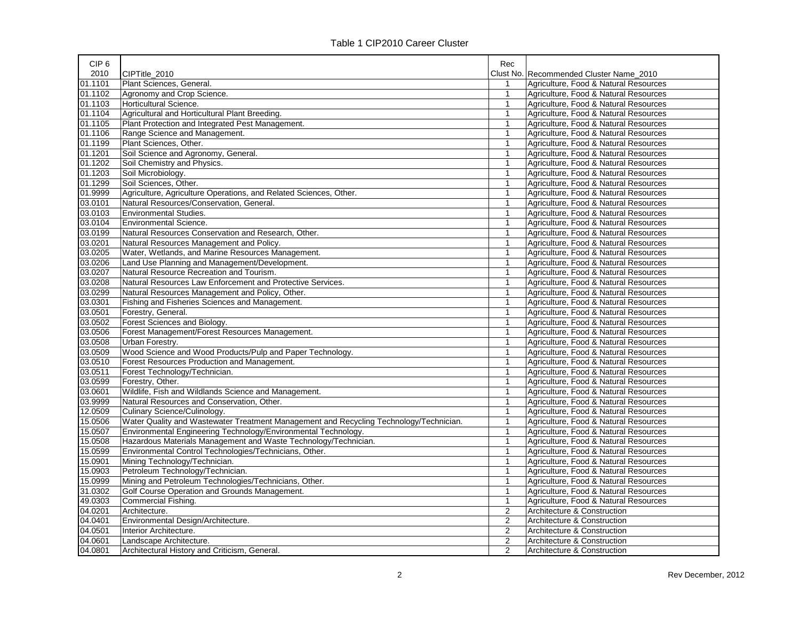| CIP <sub>6</sub> |                                                                                        | Rec            |                                         |
|------------------|----------------------------------------------------------------------------------------|----------------|-----------------------------------------|
| 2010             | CIPTitle 2010                                                                          |                | Clust No. Recommended Cluster Name_2010 |
| 01.1101          | Plant Sciences, General.                                                               |                | Agriculture, Food & Natural Resources   |
| 01.1102          | Agronomy and Crop Science.                                                             | $\mathbf{1}$   | Agriculture, Food & Natural Resources   |
| 01.1103          | Horticultural Science.                                                                 | $\mathbf{1}$   | Agriculture, Food & Natural Resources   |
| 01.1104          | Agricultural and Horticultural Plant Breeding.                                         | $\mathbf{1}$   | Agriculture, Food & Natural Resources   |
| 01.1105          | Plant Protection and Integrated Pest Management.                                       | 1              | Agriculture, Food & Natural Resources   |
| 01.1106          | Range Science and Management.                                                          | $\mathbf{1}$   | Agriculture, Food & Natural Resources   |
| 01.1199          | Plant Sciences, Other.                                                                 | $\mathbf{1}$   | Agriculture, Food & Natural Resources   |
| 01.1201          | Soil Science and Agronomy, General.                                                    | $\mathbf{1}$   | Agriculture, Food & Natural Resources   |
| 01.1202          | Soil Chemistry and Physics.                                                            | $\mathbf{1}$   | Agriculture, Food & Natural Resources   |
| 01.1203          | Soil Microbiology.                                                                     | $\mathbf{1}$   | Agriculture, Food & Natural Resources   |
| 01.1299          | Soil Sciences, Other.                                                                  | $\mathbf{1}$   | Agriculture, Food & Natural Resources   |
| 01.9999          | Agriculture, Agriculture Operations, and Related Sciences, Other.                      | $\mathbf{1}$   | Agriculture, Food & Natural Resources   |
| 03.0101          | Natural Resources/Conservation, General.                                               | $\mathbf{1}$   | Agriculture, Food & Natural Resources   |
| 03.0103          | Environmental Studies.                                                                 | $\mathbf{1}$   | Agriculture, Food & Natural Resources   |
| 03.0104          | <b>Environmental Science.</b>                                                          | $\mathbf{1}$   | Agriculture, Food & Natural Resources   |
| 03.0199          | Natural Resources Conservation and Research, Other.                                    | $\mathbf{1}$   | Agriculture, Food & Natural Resources   |
| 03.0201          | Natural Resources Management and Policy.                                               | $\mathbf{1}$   | Agriculture, Food & Natural Resources   |
| 03.0205          | Water, Wetlands, and Marine Resources Management.                                      | $\mathbf{1}$   | Agriculture, Food & Natural Resources   |
| 03.0206          | Land Use Planning and Management/Development.                                          | $\mathbf{1}$   | Agriculture, Food & Natural Resources   |
| 03.0207          | Natural Resource Recreation and Tourism.                                               | $\mathbf{1}$   | Agriculture, Food & Natural Resources   |
| 03.0208          | Natural Resources Law Enforcement and Protective Services.                             | $\mathbf{1}$   | Agriculture, Food & Natural Resources   |
| 03.0299          | Natural Resources Management and Policy, Other.                                        | $\mathbf{1}$   | Agriculture, Food & Natural Resources   |
| 03.0301          | Fishing and Fisheries Sciences and Management.                                         | $\mathbf{1}$   | Agriculture, Food & Natural Resources   |
| 03.0501          | Forestry, General.                                                                     | $\mathbf{1}$   | Agriculture, Food & Natural Resources   |
| 03.0502          | Forest Sciences and Biology.                                                           | $\mathbf{1}$   | Agriculture, Food & Natural Resources   |
| 03.0506          | Forest Management/Forest Resources Management.                                         | $\mathbf{1}$   | Agriculture, Food & Natural Resources   |
| 03.0508          | Urban Forestry.                                                                        | $\mathbf{1}$   | Agriculture, Food & Natural Resources   |
| 03.0509          | Wood Science and Wood Products/Pulp and Paper Technology.                              | $\mathbf{1}$   | Agriculture, Food & Natural Resources   |
| 03.0510          | Forest Resources Production and Management.                                            | $\mathbf{1}$   | Agriculture, Food & Natural Resources   |
| 03.0511          | Forest Technology/Technician.                                                          | 1              | Agriculture, Food & Natural Resources   |
| 03.0599          | Forestry, Other.                                                                       | $\mathbf{1}$   | Agriculture, Food & Natural Resources   |
| 03.0601          | Wildlife, Fish and Wildlands Science and Management.                                   | $\mathbf{1}$   | Agriculture, Food & Natural Resources   |
| 03.9999          | Natural Resources and Conservation, Other.                                             | $\mathbf{1}$   | Agriculture, Food & Natural Resources   |
| 12.0509          | Culinary Science/Culinology.                                                           | $\mathbf{1}$   | Agriculture, Food & Natural Resources   |
| 15.0506          | Water Quality and Wastewater Treatment Management and Recycling Technology/Technician. | $\mathbf{1}$   | Agriculture, Food & Natural Resources   |
| 15.0507          | Environmental Engineering Technology/Environmental Technology.                         | $\mathbf{1}$   | Agriculture, Food & Natural Resources   |
| 15.0508          | Hazardous Materials Management and Waste Technology/Technician.                        | $\mathbf{1}$   | Agriculture, Food & Natural Resources   |
| 15.0599          | Environmental Control Technologies/Technicians, Other.                                 | $\mathbf{1}$   | Agriculture, Food & Natural Resources   |
| 15.0901          | Mining Technology/Technician.                                                          | $\mathbf{1}$   | Agriculture, Food & Natural Resources   |
| 15.0903          | Petroleum Technology/Technician.                                                       | $\mathbf{1}$   | Agriculture, Food & Natural Resources   |
| 15.0999          | Mining and Petroleum Technologies/Technicians, Other.                                  | $\mathbf{1}$   | Agriculture, Food & Natural Resources   |
| 31.0302          | Golf Course Operation and Grounds Management.                                          | $\mathbf{1}$   | Agriculture, Food & Natural Resources   |
| 49.0303          | <b>Commercial Fishing.</b>                                                             | $\mathbf{1}$   | Agriculture, Food & Natural Resources   |
| 04.0201          | Architecture.                                                                          | $\overline{2}$ | Architecture & Construction             |
| 04.0401          | Environmental Design/Architecture.                                                     | $\overline{2}$ | Architecture & Construction             |
| 04.0501          | Interior Architecture.                                                                 | $\overline{2}$ | Architecture & Construction             |
| 04.0601          | Landscape Architecture.                                                                | $\overline{2}$ | Architecture & Construction             |
| 04.0801          | Architectural History and Criticism, General.                                          | $\overline{2}$ | Architecture & Construction             |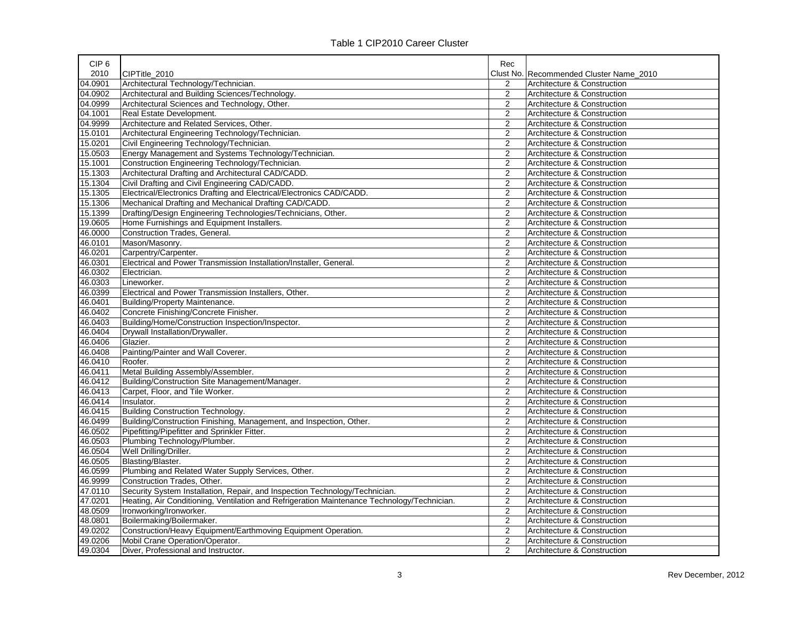| Table 1 CIP2010 Career Cluster |  |
|--------------------------------|--|
|--------------------------------|--|

| CIP <sub>6</sub> |                                                                                             | Rec                     |                                         |
|------------------|---------------------------------------------------------------------------------------------|-------------------------|-----------------------------------------|
| 2010             | CIPTitle_2010                                                                               |                         | Clust No. Recommended Cluster Name 2010 |
| 04.0901          | Architectural Technology/Technician.                                                        | 2                       | Architecture & Construction             |
| 04.0902          | Architectural and Building Sciences/Technology.                                             | $\overline{2}$          | Architecture & Construction             |
| 04.0999          | Architectural Sciences and Technology, Other.                                               | $\overline{2}$          | Architecture & Construction             |
| 04.1001          | Real Estate Development.                                                                    | $\overline{2}$          | Architecture & Construction             |
| 04.9999          | Architecture and Related Services, Other.                                                   | $\overline{2}$          | Architecture & Construction             |
| 15.0101          | Architectural Engineering Technology/Technician.                                            | $\overline{2}$          | Architecture & Construction             |
| 15.0201          | Civil Engineering Technology/Technician.                                                    | $\overline{2}$          | Architecture & Construction             |
| 15.0503          | Energy Management and Systems Technology/Technician.                                        | $\overline{2}$          | Architecture & Construction             |
| 15.1001          | Construction Engineering Technology/Technician.                                             | $\overline{2}$          | Architecture & Construction             |
| 15.1303          | Architectural Drafting and Architectural CAD/CADD.                                          | $\overline{2}$          | Architecture & Construction             |
| 15.1304          | Civil Drafting and Civil Engineering CAD/CADD.                                              | $\overline{2}$          | Architecture & Construction             |
| 15.1305          | Electrical/Electronics Drafting and Electrical/Electronics CAD/CADD.                        | $\overline{2}$          | Architecture & Construction             |
| 15.1306          | Mechanical Drafting and Mechanical Drafting CAD/CADD.                                       | $\overline{2}$          | Architecture & Construction             |
| 15.1399          | Drafting/Design Engineering Technologies/Technicians, Other.                                | $\overline{2}$          | Architecture & Construction             |
| 19.0605          | Home Furnishings and Equipment Installers.                                                  | $\overline{2}$          | Architecture & Construction             |
| 46.0000          | Construction Trades, General.                                                               | $\overline{2}$          | Architecture & Construction             |
| 46.0101          | Mason/Masonry.                                                                              | $\overline{2}$          | Architecture & Construction             |
| 46.0201          | Carpentry/Carpenter.                                                                        | $\overline{2}$          | Architecture & Construction             |
| 46.0301          | Electrical and Power Transmission Installation/Installer, General.                          | $\overline{2}$          | Architecture & Construction             |
| 46.0302          | Electrician.                                                                                | $\overline{2}$          | Architecture & Construction             |
| 46.0303          | Lineworker.                                                                                 | $\overline{2}$          | Architecture & Construction             |
| 46.0399          | Electrical and Power Transmission Installers, Other.                                        | $\overline{\mathbf{c}}$ | Architecture & Construction             |
| 46.0401          | Building/Property Maintenance.                                                              | $\overline{2}$          | Architecture & Construction             |
| 46.0402          | Concrete Finishing/Concrete Finisher.                                                       | $\overline{\mathbf{c}}$ | Architecture & Construction             |
| 46.0403          | Building/Home/Construction Inspection/Inspector.                                            | $\overline{2}$          | Architecture & Construction             |
| 46.0404          | Drywall Installation/Drywaller.                                                             | $\overline{2}$          | Architecture & Construction             |
| 46.0406          | Glazier.                                                                                    | $\overline{2}$          | Architecture & Construction             |
| 46.0408          | Painting/Painter and Wall Coverer.                                                          | $\overline{2}$          | Architecture & Construction             |
| 46.0410          | Roofer.                                                                                     | $\overline{\mathbf{c}}$ | Architecture & Construction             |
| 46.0411          | Metal Building Assembly/Assembler.                                                          | $\overline{2}$          | Architecture & Construction             |
| 46.0412          | Building/Construction Site Management/Manager.                                              | $\overline{2}$          | Architecture & Construction             |
| 46.0413          | Carpet, Floor, and Tile Worker.                                                             | $\overline{2}$          | Architecture & Construction             |
| 46.0414          | Insulator.                                                                                  | $\overline{2}$          | Architecture & Construction             |
| 46.0415          | <b>Building Construction Technology.</b>                                                    | $\overline{2}$          | Architecture & Construction             |
| 46.0499          | Building/Construction Finishing, Management, and Inspection, Other.                         | $\overline{2}$          | Architecture & Construction             |
| 46.0502          | Pipefitting/Pipefitter and Sprinkler Fitter.                                                | $\overline{2}$          | Architecture & Construction             |
| 46.0503          | Plumbing Technology/Plumber.                                                                | $\overline{2}$          | Architecture & Construction             |
| 46.0504          | Well Drilling/Driller.                                                                      | $\overline{2}$          | Architecture & Construction             |
| 46.0505          | Blasting/Blaster.                                                                           | $\overline{2}$          | Architecture & Construction             |
| 46.0599          | Plumbing and Related Water Supply Services, Other.                                          | $\overline{2}$          | Architecture & Construction             |
| 46.9999          | Construction Trades, Other.                                                                 | $\overline{2}$          | Architecture & Construction             |
| 47.0110          | Security System Installation, Repair, and Inspection Technology/Technician.                 | $\overline{2}$          | Architecture & Construction             |
| 47.0201          | Heating, Air Conditioning, Ventilation and Refrigeration Maintenance Technology/Technician. | $\overline{2}$          | Architecture & Construction             |
| 48.0509          | Ironworking/Ironworker.                                                                     | $\overline{2}$          | Architecture & Construction             |
| 48.0801          | Boilermaking/Boilermaker.                                                                   | $\overline{2}$          | Architecture & Construction             |
| 49.0202          | Construction/Heavy Equipment/Earthmoving Equipment Operation.                               | $\overline{2}$          | Architecture & Construction             |
| 49.0206          | Mobil Crane Operation/Operator.                                                             | $\overline{2}$          | Architecture & Construction             |
| 49.0304          | Diver, Professional and Instructor.                                                         | $\overline{2}$          | Architecture & Construction             |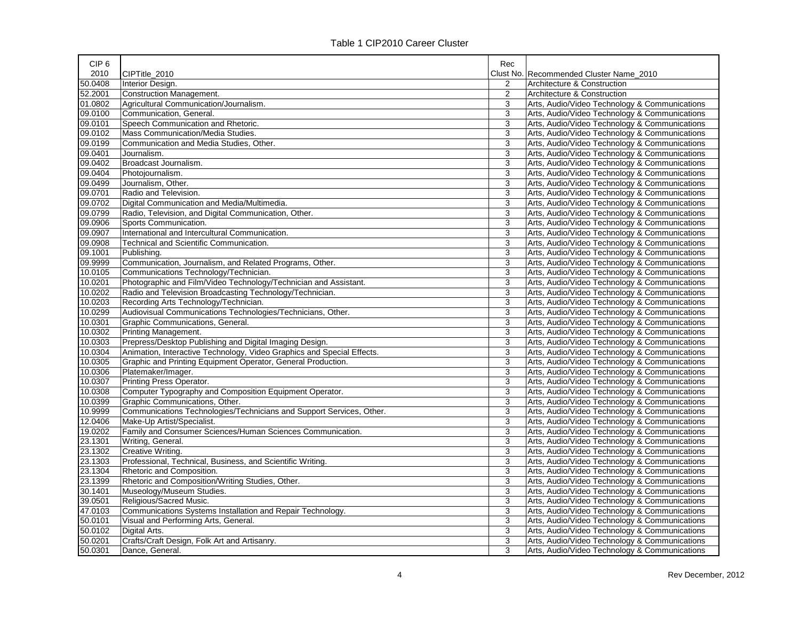| CIP <sub>6</sub> |                                                                        | Rec       |                                               |
|------------------|------------------------------------------------------------------------|-----------|-----------------------------------------------|
| 2010             | CIPTitle 2010                                                          | Clust No. | Recommended Cluster Name 2010                 |
| 50.0408          | Interior Design.                                                       | 2         | Architecture & Construction                   |
| 52.2001          | <b>Construction Management.</b>                                        | 2         | Architecture & Construction                   |
| 01.0802          | Agricultural Communication/Journalism.                                 | 3         | Arts, Audio/Video Technology & Communications |
| 09.0100          | Communication, General.                                                | 3         | Arts, Audio/Video Technology & Communications |
| 09.0101          | Speech Communication and Rhetoric.                                     | 3         | Arts, Audio/Video Technology & Communications |
| 09.0102          | Mass Communication/Media Studies.                                      | 3         | Arts, Audio/Video Technology & Communications |
| 09.0199          | Communication and Media Studies, Other.                                | 3         | Arts, Audio/Video Technology & Communications |
| 09.0401          | Journalism.                                                            | 3         | Arts, Audio/Video Technology & Communications |
| 09.0402          | Broadcast Journalism.                                                  | 3         | Arts, Audio/Video Technology & Communications |
| 09.0404          | Photojournalism.                                                       | 3         | Arts, Audio/Video Technology & Communications |
| 09.0499          | Journalism, Other.                                                     | 3         | Arts, Audio/Video Technology & Communications |
| 09.0701          | Radio and Television.                                                  | 3         | Arts, Audio/Video Technology & Communications |
| 09.0702          | Digital Communication and Media/Multimedia.                            | 3         | Arts, Audio/Video Technology & Communications |
| 09.0799          | Radio, Television, and Digital Communication, Other.                   | 3         | Arts, Audio/Video Technology & Communications |
| 09.0906          | Sports Communication.                                                  | 3         | Arts, Audio/Video Technology & Communications |
| 09.0907          | International and Intercultural Communication.                         | 3         | Arts, Audio/Video Technology & Communications |
| 09.0908          | Technical and Scientific Communication.                                | 3         | Arts, Audio/Video Technology & Communications |
| 09.1001          | Publishing.                                                            | 3         | Arts, Audio/Video Technology & Communications |
| 09.9999          | Communication, Journalism, and Related Programs, Other.                | 3         | Arts, Audio/Video Technology & Communications |
| 10.0105          | Communications Technology/Technician.                                  | 3         | Arts, Audio/Video Technology & Communications |
| 10.0201          | Photographic and Film/Video Technology/Technician and Assistant.       | 3         | Arts, Audio/Video Technology & Communications |
| 10.0202          | Radio and Television Broadcasting Technology/Technician.               | 3         | Arts, Audio/Video Technology & Communications |
| 10.0203          | Recording Arts Technology/Technician.                                  | 3         | Arts, Audio/Video Technology & Communications |
| 10.0299          | Audiovisual Communications Technologies/Technicians, Other.            | 3         | Arts, Audio/Video Technology & Communications |
| 10.0301          | Graphic Communications, General.                                       | 3         | Arts, Audio/Video Technology & Communications |
| 10.0302          | Printing Management.                                                   | 3         | Arts, Audio/Video Technology & Communications |
| 10.0303          | Prepress/Desktop Publishing and Digital Imaging Design.                | 3         | Arts, Audio/Video Technology & Communications |
| 10.0304          | Animation, Interactive Technology, Video Graphics and Special Effects. | 3         | Arts, Audio/Video Technology & Communications |
| 10.0305          | Graphic and Printing Equipment Operator, General Production.           | 3         | Arts, Audio/Video Technology & Communications |
| 10.0306          | Platemaker/Imager.                                                     | 3         | Arts, Audio/Video Technology & Communications |
| 10.0307          | Printing Press Operator.                                               | 3         | Arts, Audio/Video Technology & Communications |
| 10.0308          | Computer Typography and Composition Equipment Operator.                | 3         | Arts, Audio/Video Technology & Communications |
| 10.0399          | Graphic Communications, Other.                                         | 3         | Arts, Audio/Video Technology & Communications |
| 10.9999          | Communications Technologies/Technicians and Support Services, Other.   | 3         | Arts, Audio/Video Technology & Communications |
| 12.0406          | Make-Up Artist/Specialist.                                             | 3         | Arts, Audio/Video Technology & Communications |
| 19.0202          | Family and Consumer Sciences/Human Sciences Communication.             | 3         | Arts, Audio/Video Technology & Communications |
| 23.1301          | Writing, General.                                                      | 3         | Arts, Audio/Video Technology & Communications |
| 23.1302          | Creative Writing.                                                      | 3         | Arts, Audio/Video Technology & Communications |
| 23.1303          | Professional, Technical, Business, and Scientific Writing.             | 3         | Arts, Audio/Video Technology & Communications |
| 23.1304          | Rhetoric and Composition.                                              | 3         | Arts, Audio/Video Technology & Communications |
| 23.1399          | Rhetoric and Composition/Writing Studies, Other.                       | 3         | Arts, Audio/Video Technology & Communications |
| 30.1401          | Museology/Museum Studies.                                              | 3         | Arts, Audio/Video Technology & Communications |
| 39.0501          | Religious/Sacred Music.                                                | 3         | Arts, Audio/Video Technology & Communications |
| 47.0103          | Communications Systems Installation and Repair Technology.             | 3         | Arts, Audio/Video Technology & Communications |
| 50.0101          | Visual and Performing Arts, General.                                   | 3         | Arts, Audio/Video Technology & Communications |
| 50.0102          | Digital Arts.                                                          | 3         | Arts, Audio/Video Technology & Communications |
| 50.0201          | Crafts/Craft Design, Folk Art and Artisanry.                           | 3         | Arts, Audio/Video Technology & Communications |
| 50.0301          | Dance, General.                                                        | 3         | Arts, Audio/Video Technology & Communications |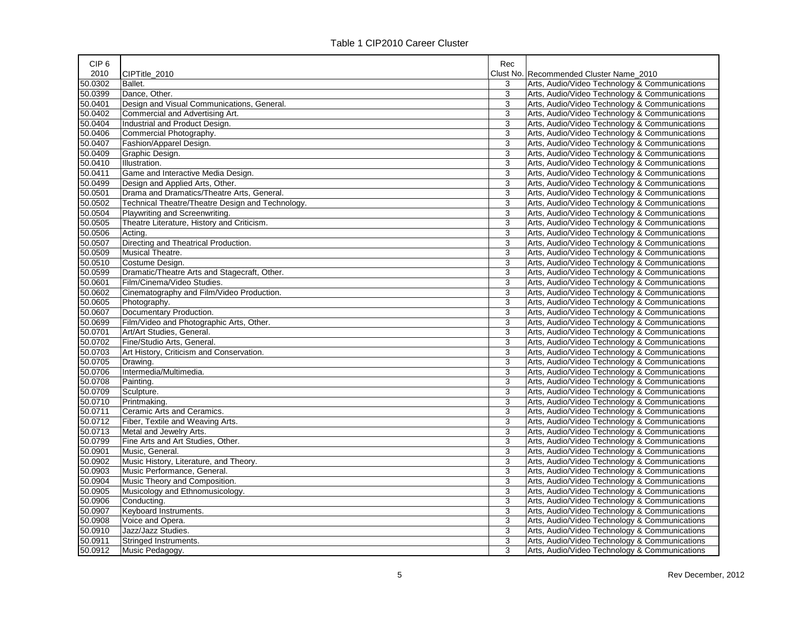| CIP <sub>6</sub> |                                                  | Rec       |                                               |
|------------------|--------------------------------------------------|-----------|-----------------------------------------------|
| 2010             | CIPTitle 2010                                    | Clust No. | Recommended Cluster Name 2010                 |
| 50.0302          | Ballet.                                          | 3         | Arts, Audio/Video Technology & Communications |
| 50.0399          | Dance, Other.                                    | 3         | Arts, Audio/Video Technology & Communications |
| 50.0401          | Design and Visual Communications, General.       | 3         | Arts, Audio/Video Technology & Communications |
| 50.0402          | Commercial and Advertising Art.                  | 3         | Arts, Audio/Video Technology & Communications |
| 50.0404          | Industrial and Product Design.                   | 3         | Arts, Audio/Video Technology & Communications |
| 50.0406          | Commercial Photography.                          | 3         | Arts, Audio/Video Technology & Communications |
| 50.0407          | Fashion/Apparel Design.                          | 3         | Arts, Audio/Video Technology & Communications |
| 50.0409          | Graphic Design.                                  | 3         | Arts, Audio/Video Technology & Communications |
| 50.0410          | Illustration.                                    | 3         | Arts, Audio/Video Technology & Communications |
| 50.0411          | Game and Interactive Media Design.               | 3         | Arts, Audio/Video Technology & Communications |
| 50.0499          | Design and Applied Arts, Other.                  | 3         | Arts, Audio/Video Technology & Communications |
| 50.0501          | Drama and Dramatics/Theatre Arts, General.       | 3         | Arts, Audio/Video Technology & Communications |
| 50.0502          | Technical Theatre/Theatre Design and Technology. | 3         | Arts, Audio/Video Technology & Communications |
| 50.0504          | Playwriting and Screenwriting.                   | 3         | Arts, Audio/Video Technology & Communications |
| 50.0505          | Theatre Literature, History and Criticism.       | 3         | Arts, Audio/Video Technology & Communications |
| 50.0506          | Acting.                                          | 3         | Arts, Audio/Video Technology & Communications |
| 50.0507          | Directing and Theatrical Production.             | 3         | Arts, Audio/Video Technology & Communications |
| 50.0509          | Musical Theatre.                                 | 3         | Arts, Audio/Video Technology & Communications |
| 50.0510          | Costume Design.                                  | 3         | Arts, Audio/Video Technology & Communications |
| 50.0599          | Dramatic/Theatre Arts and Stagecraft, Other.     | 3         | Arts, Audio/Video Technology & Communications |
| 50.0601          | Film/Cinema/Video Studies.                       | 3         | Arts, Audio/Video Technology & Communications |
| 50.0602          | Cinematography and Film/Video Production.        | 3         | Arts, Audio/Video Technology & Communications |
| 50.0605          | Photography.                                     | 3         | Arts, Audio/Video Technology & Communications |
| 50.0607          | Documentary Production.                          | 3         | Arts, Audio/Video Technology & Communications |
| 50.0699          | Film/Video and Photographic Arts, Other.         | 3         | Arts, Audio/Video Technology & Communications |
| 50.0701          | Art/Art Studies, General.                        | 3         | Arts, Audio/Video Technology & Communications |
| 50.0702          | Fine/Studio Arts, General.                       | 3         | Arts, Audio/Video Technology & Communications |
| 50.0703          | Art History, Criticism and Conservation.         | 3         | Arts, Audio/Video Technology & Communications |
| 50.0705          | Drawing.                                         | 3         | Arts, Audio/Video Technology & Communications |
| 50.0706          | Intermedia/Multimedia.                           | 3         | Arts, Audio/Video Technology & Communications |
| 50.0708          | Painting.                                        | 3         | Arts, Audio/Video Technology & Communications |
| 50.0709          | Sculpture.                                       | 3         | Arts, Audio/Video Technology & Communications |
| 50.0710          | Printmaking.                                     | 3         | Arts, Audio/Video Technology & Communications |
| 50.0711          | Ceramic Arts and Ceramics.                       | 3         | Arts, Audio/Video Technology & Communications |
| 50.0712          | Fiber, Textile and Weaving Arts.                 | 3         | Arts, Audio/Video Technology & Communications |
| 50.0713          | Metal and Jewelry Arts.                          | 3         | Arts, Audio/Video Technology & Communications |
| 50.0799          | Fine Arts and Art Studies, Other.                | 3         | Arts, Audio/Video Technology & Communications |
| 50.0901          | Music, General.                                  | 3         | Arts, Audio/Video Technology & Communications |
| 50.0902          | Music History, Literature, and Theory.           | 3         | Arts, Audio/Video Technology & Communications |
| 50.0903          | Music Performance, General.                      | 3         | Arts, Audio/Video Technology & Communications |
| 50.0904          | Music Theory and Composition.                    | 3         | Arts, Audio/Video Technology & Communications |
| 50.0905          | Musicology and Ethnomusicology.                  | 3         | Arts, Audio/Video Technology & Communications |
| 50.0906          | Conducting.                                      | 3         | Arts, Audio/Video Technology & Communications |
| 50.0907          | Keyboard Instruments.                            | 3         | Arts, Audio/Video Technology & Communications |
| 50.0908          | Voice and Opera.                                 | 3         | Arts, Audio/Video Technology & Communications |
| 50.0910          | Jazz/Jazz Studies.                               | 3         | Arts, Audio/Video Technology & Communications |
| 50.0911          | Stringed Instruments.                            | 3         | Arts, Audio/Video Technology & Communications |
| 50.0912          | Music Pedagogy.                                  | 3         | Arts, Audio/Video Technology & Communications |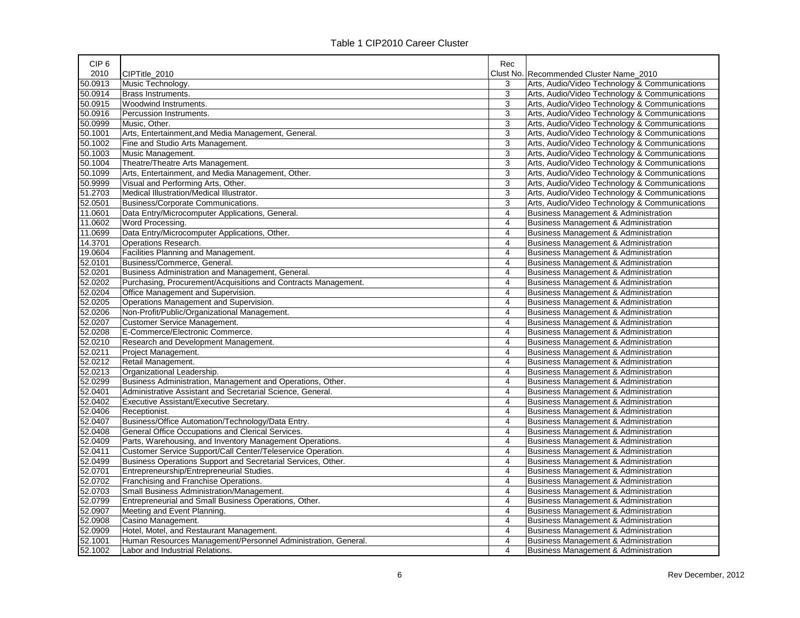| CIP <sub>6</sub> |                                                                | Rec            |                                                 |
|------------------|----------------------------------------------------------------|----------------|-------------------------------------------------|
| 2010             | CIPTitle 2010                                                  | Clust No.      | Recommended Cluster Name 2010                   |
| 50.0913          | Music Technology.                                              | 3              | Arts, Audio/Video Technology & Communications   |
| 50.0914          | Brass Instruments.                                             | 3              | Arts, Audio/Video Technology & Communications   |
| 50.0915          | Woodwind Instruments.                                          | 3              | Arts, Audio/Video Technology & Communications   |
| 50.0916          | Percussion Instruments.                                        | 3              | Arts, Audio/Video Technology & Communications   |
| 50.0999          | Music, Other.                                                  | 3              | Arts, Audio/Video Technology & Communications   |
| 50.1001          | Arts, Entertainment, and Media Management, General.            | 3              | Arts, Audio/Video Technology & Communications   |
| 50.1002          | Fine and Studio Arts Management.                               | 3              | Arts, Audio/Video Technology & Communications   |
| 50.1003          | Music Management.                                              | 3              | Arts, Audio/Video Technology & Communications   |
| 50.1004          | Theatre/Theatre Arts Management.                               | 3              | Arts, Audio/Video Technology & Communications   |
| 50.1099          | Arts, Entertainment, and Media Management, Other.              | 3              | Arts, Audio/Video Technology & Communications   |
| 50.9999          | Visual and Performing Arts, Other.                             | 3              | Arts, Audio/Video Technology & Communications   |
| 51.2703          | Medical Illustration/Medical Illustrator.                      | 3              | Arts, Audio/Video Technology & Communications   |
| 52.0501          | Business/Corporate Communications.                             | 3              | Arts, Audio/Video Technology & Communications   |
| 11.0601          | Data Entry/Microcomputer Applications, General.                | 4              | <b>Business Management &amp; Administration</b> |
| 11.0602          | Word Processing.                                               | 4              | <b>Business Management &amp; Administration</b> |
| 11.0699          | Data Entry/Microcomputer Applications, Other.                  | $\overline{4}$ | <b>Business Management &amp; Administration</b> |
| 14.3701          | Operations Research.                                           | 4              | <b>Business Management &amp; Administration</b> |
| 19.0604          | <b>Facilities Planning and Management.</b>                     | 4              | <b>Business Management &amp; Administration</b> |
| 52.0101          | Business/Commerce, General.                                    | 4              | <b>Business Management &amp; Administration</b> |
| 52.0201          | Business Administration and Management, General.               | 4              | <b>Business Management &amp; Administration</b> |
| 52.0202          | Purchasing, Procurement/Acquisitions and Contracts Management. | 4              | <b>Business Management &amp; Administration</b> |
| 52.0204          | Office Management and Supervision.                             | 4              | <b>Business Management &amp; Administration</b> |
| 52.0205          | Operations Management and Supervision.                         | 4              | <b>Business Management &amp; Administration</b> |
| 52.0206          | Non-Profit/Public/Organizational Management.                   | 4              | <b>Business Management &amp; Administration</b> |
| 52.0207          | Customer Service Management.                                   | $\overline{4}$ | <b>Business Management &amp; Administration</b> |
| 52.0208          | E-Commerce/Electronic Commerce.                                | 4              | <b>Business Management &amp; Administration</b> |
| 52.0210          | Research and Development Management.                           | 4              | <b>Business Management &amp; Administration</b> |
| 52.0211          | Project Management.                                            | 4              | <b>Business Management &amp; Administration</b> |
| 52.0212          | Retail Management.                                             | 4              | <b>Business Management &amp; Administration</b> |
| 52.0213          | Organizational Leadership.                                     | 4              | <b>Business Management &amp; Administration</b> |
| 52.0299          | Business Administration, Management and Operations, Other.     | 4              | <b>Business Management &amp; Administration</b> |
| 52.0401          | Administrative Assistant and Secretarial Science, General.     | 4              | <b>Business Management &amp; Administration</b> |
| 52.0402          | Executive Assistant/Executive Secretary.                       | 4              | <b>Business Management &amp; Administration</b> |
| 52.0406          | Receptionist.                                                  | 4              | <b>Business Management &amp; Administration</b> |
| 52.0407          | Business/Office Automation/Technology/Data Entry.              | 4              | <b>Business Management &amp; Administration</b> |
| 52.0408          | General Office Occupations and Clerical Services.              | $\overline{4}$ | <b>Business Management &amp; Administration</b> |
| 52.0409          | Parts, Warehousing, and Inventory Management Operations.       | 4              | <b>Business Management &amp; Administration</b> |
| 52.0411          | Customer Service Support/Call Center/Teleservice Operation.    | 4              | <b>Business Management &amp; Administration</b> |
| 52.0499          | Business Operations Support and Secretarial Services, Other.   | 4              | Business Management & Administration            |
| 52.0701          | Entrepreneurship/Entrepreneurial Studies.                      | 4              | <b>Business Management &amp; Administration</b> |
| 52.0702          | Franchising and Franchise Operations.                          | 4              | <b>Business Management &amp; Administration</b> |
| 52.0703          | Small Business Administration/Management.                      | 4              | <b>Business Management &amp; Administration</b> |
| 52.0799          | Entrepreneurial and Small Business Operations, Other.          | 4              | <b>Business Management &amp; Administration</b> |
| 52.0907          | Meeting and Event Planning.                                    | 4              | <b>Business Management &amp; Administration</b> |
| 52.0908          | Casino Management.                                             | 4              | <b>Business Management &amp; Administration</b> |
| 52.0909          | Hotel, Motel, and Restaurant Management.                       | 4              | <b>Business Management &amp; Administration</b> |
| 52.1001          | Human Resources Management/Personnel Administration, General.  | 4              | <b>Business Management &amp; Administration</b> |
| 52.1002          | Labor and Industrial Relations.                                | 4              | <b>Business Management &amp; Administration</b> |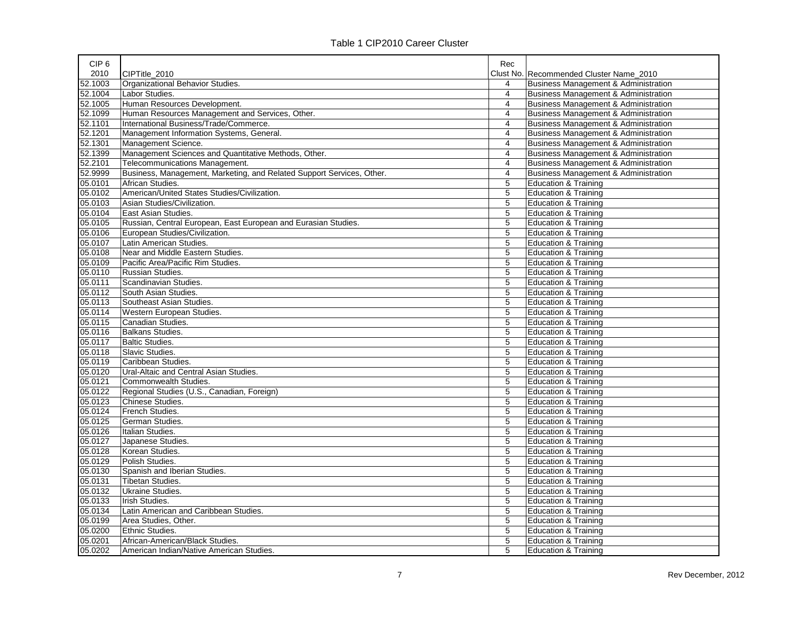| CIP <sub>6</sub> |                                                                       | Rec            |                                                 |
|------------------|-----------------------------------------------------------------------|----------------|-------------------------------------------------|
| 2010             | CIPTitle 2010                                                         |                | Clust No. Recommended Cluster Name 2010         |
| 52.1003          | Organizational Behavior Studies                                       | 4              | <b>Business Management &amp; Administration</b> |
| 52.1004          | Labor Studies.                                                        | $\overline{4}$ | <b>Business Management &amp; Administration</b> |
| 52.1005          | Human Resources Development.                                          | 4              | <b>Business Management &amp; Administration</b> |
| 52.1099          | Human Resources Management and Services, Other.                       | $\overline{4}$ | <b>Business Management &amp; Administration</b> |
| 52.1101          | International Business/Trade/Commerce.                                | $\overline{4}$ | <b>Business Management &amp; Administration</b> |
| 52.1201          | Management Information Systems, General.                              | $\overline{4}$ | <b>Business Management &amp; Administration</b> |
| 52.1301          | Management Science.                                                   | $\overline{4}$ | <b>Business Management &amp; Administration</b> |
| 52.1399          | Management Sciences and Quantitative Methods, Other.                  | $\overline{4}$ | <b>Business Management &amp; Administration</b> |
| 52.2101          | Telecommunications Management.                                        | $\overline{4}$ | <b>Business Management &amp; Administration</b> |
| 52.9999          | Business, Management, Marketing, and Related Support Services, Other. | 4              | <b>Business Management &amp; Administration</b> |
| 05.0101          | African Studies.                                                      | 5              | Education & Training                            |
| 05.0102          | American/United States Studies/Civilization.                          | 5              | Education & Training                            |
| 05.0103          | Asian Studies/Civilization.                                           | $\overline{5}$ | <b>Education &amp; Training</b>                 |
| 05.0104          | East Asian Studies.                                                   | $\overline{5}$ | <b>Education &amp; Training</b>                 |
| 05.0105          | Russian, Central European, East European and Eurasian Studies.        | 5              | Education & Training                            |
| 05.0106          | European Studies/Civilization.                                        | 5              | <b>Education &amp; Training</b>                 |
| 05.0107          | Latin American Studies.                                               | 5              | <b>Education &amp; Training</b>                 |
| 05.0108          | Near and Middle Eastern Studies.                                      | 5              | <b>Education &amp; Training</b>                 |
| 05.0109          | Pacific Area/Pacific Rim Studies.                                     | 5              | <b>Education &amp; Training</b>                 |
| 05.0110          | Russian Studies.                                                      | 5              | <b>Education &amp; Training</b>                 |
| 05.0111          | Scandinavian Studies.                                                 | 5              | <b>Education &amp; Training</b>                 |
| 05.0112          | South Asian Studies.                                                  | 5              | <b>Education &amp; Training</b>                 |
| 05.0113          | Southeast Asian Studies.                                              | 5              | <b>Education &amp; Training</b>                 |
| 05.0114          | Western European Studies.                                             | 5              | <b>Education &amp; Training</b>                 |
| 05.0115          | Canadian Studies.                                                     | 5              | <b>Education &amp; Training</b>                 |
| 05.0116          | <b>Balkans Studies.</b>                                               | 5              | Education & Training                            |
| 05.0117          | <b>Baltic Studies.</b>                                                | 5              | <b>Education &amp; Training</b>                 |
| 05.0118          | Slavic Studies.                                                       | 5              | <b>Education &amp; Training</b>                 |
| 05.0119          | Caribbean Studies.                                                    | 5              | <b>Education &amp; Training</b>                 |
| 05.0120          | Ural-Altaic and Central Asian Studies.                                | 5              | <b>Education &amp; Training</b>                 |
| 05.0121          | Commonwealth Studies.                                                 | 5              | <b>Education &amp; Training</b>                 |
| 05.0122          | Regional Studies (U.S., Canadian, Foreign)                            | 5              | Education & Training                            |
| 05.0123          | Chinese Studies.                                                      | 5              | <b>Education &amp; Training</b>                 |
| 05.0124          | French Studies.                                                       | $\overline{5}$ | Education & Training                            |
| 05.0125          | German Studies.                                                       | 5              | <b>Education &amp; Training</b>                 |
| 05.0126          | Italian Studies.                                                      | 5              | <b>Education &amp; Training</b>                 |
| 05.0127          | Japanese Studies.                                                     | 5              | <b>Education &amp; Training</b>                 |
| 05.0128          | Korean Studies.                                                       | 5              | <b>Education &amp; Training</b>                 |
| 05.0129          | Polish Studies.                                                       | 5              | <b>Education &amp; Training</b>                 |
| 05.0130          | Spanish and Iberian Studies.                                          | 5              | <b>Education &amp; Training</b>                 |
| 05.0131          | Tibetan Studies.                                                      | 5              | <b>Education &amp; Training</b>                 |
| 05.0132          | Ukraine Studies.                                                      | $\overline{5}$ | <b>Education &amp; Training</b>                 |
| 05.0133          | Irish Studies.                                                        | 5              | <b>Education &amp; Training</b>                 |
| 05.0134          | Latin American and Caribbean Studies.                                 | 5              | <b>Education &amp; Training</b>                 |
| 05.0199          | Area Studies, Other.                                                  | 5              | <b>Education &amp; Training</b>                 |
| 05.0200          | Ethnic Studies.                                                       | 5              | <b>Education &amp; Training</b>                 |
| 05.0201          | African-American/Black Studies.                                       | $\overline{5}$ | <b>Education &amp; Training</b>                 |
| 05.0202          | American Indian/Native American Studies.                              | 5              | <b>Education &amp; Training</b>                 |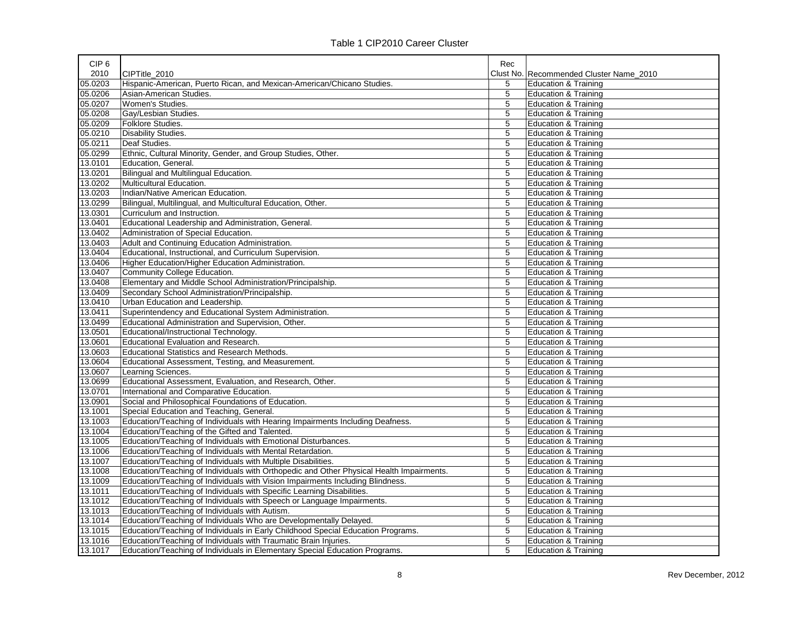| CIP <sub>6</sub> |                                                                                          | Rec            |                                         |
|------------------|------------------------------------------------------------------------------------------|----------------|-----------------------------------------|
| 2010             | CIPTitle 2010                                                                            |                | Clust No. Recommended Cluster Name_2010 |
| 05.0203          | Hispanic-American, Puerto Rican, and Mexican-American/Chicano Studies.                   | 5              | Education & Training                    |
| 05.0206          | Asian-American Studies.                                                                  | 5              | Education & Training                    |
| 05.0207          | Women's Studies.                                                                         | 5              | Education & Training                    |
| 05.0208          | Gay/Lesbian Studies.                                                                     | 5              | Education & Training                    |
| 05.0209          | Folklore Studies.                                                                        | 5              | <b>Education &amp; Training</b>         |
| 05.0210          | <b>Disability Studies.</b>                                                               | 5              | <b>Education &amp; Training</b>         |
| 05.0211          | Deaf Studies.                                                                            | 5              | <b>Education &amp; Training</b>         |
| 05.0299          | Ethnic, Cultural Minority, Gender, and Group Studies, Other.                             | 5              | <b>Education &amp; Training</b>         |
| 13.0101          | Education, General.                                                                      | 5              | Education & Training                    |
| 13.0201          | Bilingual and Multilingual Education.                                                    | 5              | Education & Training                    |
| 13.0202          | Multicultural Education.                                                                 | 5              | <b>Education &amp; Training</b>         |
| 13.0203          | Indian/Native American Education.                                                        | 5              | <b>Education &amp; Training</b>         |
| 13.0299          | Bilingual, Multilingual, and Multicultural Education, Other.                             | 5              | <b>Education &amp; Training</b>         |
| 13.0301          | Curriculum and Instruction.                                                              | 5              | Education & Training                    |
| 13.0401          | Educational Leadership and Administration, General.                                      | 5              | Education & Training                    |
| 13.0402          | Administration of Special Education.                                                     | 5              | Education & Training                    |
| 13.0403          | Adult and Continuing Education Administration.                                           | 5              | Education & Training                    |
| 13.0404          | Educational, Instructional, and Curriculum Supervision.                                  | 5              | <b>Education &amp; Training</b>         |
| 13.0406          | Higher Education/Higher Education Administration.                                        | 5              | <b>Education &amp; Training</b>         |
| 13.0407          | Community College Education.                                                             | 5              | <b>Education &amp; Training</b>         |
| 13.0408          | Elementary and Middle School Administration/Principalship.                               | 5              | Education & Training                    |
| 13.0409          | Secondary School Administration/Principalship.                                           | 5              | Education & Training                    |
| 13.0410          | Urban Education and Leadership.                                                          | 5              | <b>Education &amp; Training</b>         |
| 13.0411          | Superintendency and Educational System Administration.                                   | 5              | Education & Training                    |
| 13.0499          | Educational Administration and Supervision, Other.                                       | 5              | <b>Education &amp; Training</b>         |
| 13.0501          | Educational/Instructional Technology.                                                    | 5              | <b>Education &amp; Training</b>         |
| 13.0601          | Educational Evaluation and Research.                                                     | 5              | Education & Training                    |
| 13.0603          | Educational Statistics and Research Methods.                                             | 5              | <b>Education &amp; Training</b>         |
| 13.0604          | Educational Assessment, Testing, and Measurement.                                        | 5              | Education & Training                    |
| 13.0607          | Learning Sciences.                                                                       | 5              | <b>Education &amp; Training</b>         |
| 13.0699          | Educational Assessment, Evaluation, and Research, Other.                                 | 5              | <b>Education &amp; Training</b>         |
| 13.0701          | International and Comparative Education.                                                 | 5              | Education & Training                    |
| 13.0901          | Social and Philosophical Foundations of Education.                                       | 5              | <b>Education &amp; Training</b>         |
| 13.1001          | Special Education and Teaching, General.                                                 | 5              | Education & Training                    |
| 13.1003          | Education/Teaching of Individuals with Hearing Impairments Including Deafness.           | 5              | Education & Training                    |
| 13.1004          | Education/Teaching of the Gifted and Talented.                                           | 5              | Education & Training                    |
| 13.1005          | Education/Teaching of Individuals with Emotional Disturbances.                           | 5              | Education & Training                    |
| 13.1006          | Education/Teaching of Individuals with Mental Retardation.                               | 5              | <b>Education &amp; Training</b>         |
| 13.1007          | Education/Teaching of Individuals with Multiple Disabilities.                            | 5              | <b>Education &amp; Training</b>         |
| 13.1008          | Education/Teaching of Individuals with Orthopedic and Other Physical Health Impairments. | 5              | <b>Education &amp; Training</b>         |
| 13.1009          | Education/Teaching of Individuals with Vision Impairments Including Blindness.           | 5              | Education & Training                    |
| 13.1011          | Education/Teaching of Individuals with Specific Learning Disabilities.                   | 5              | Education & Training                    |
| 13.1012          | Education/Teaching of Individuals with Speech or Language Impairments.                   | $\overline{5}$ | <b>Education &amp; Training</b>         |
| 13.1013          | Education/Teaching of Individuals with Autism.                                           | 5              | <b>Education &amp; Training</b>         |
| 13.1014          | Education/Teaching of Individuals Who are Developmentally Delayed.                       | 5              | <b>Education &amp; Training</b>         |
| 13.1015          | Education/Teaching of Individuals in Early Childhood Special Education Programs.         | 5              | Education & Training                    |
| 13.1016          | Education/Teaching of Individuals with Traumatic Brain Injuries.                         | 5              | Education & Training                    |
| 13.1017          | Education/Teaching of Individuals in Elementary Special Education Programs.              | 5              | <b>Education &amp; Training</b>         |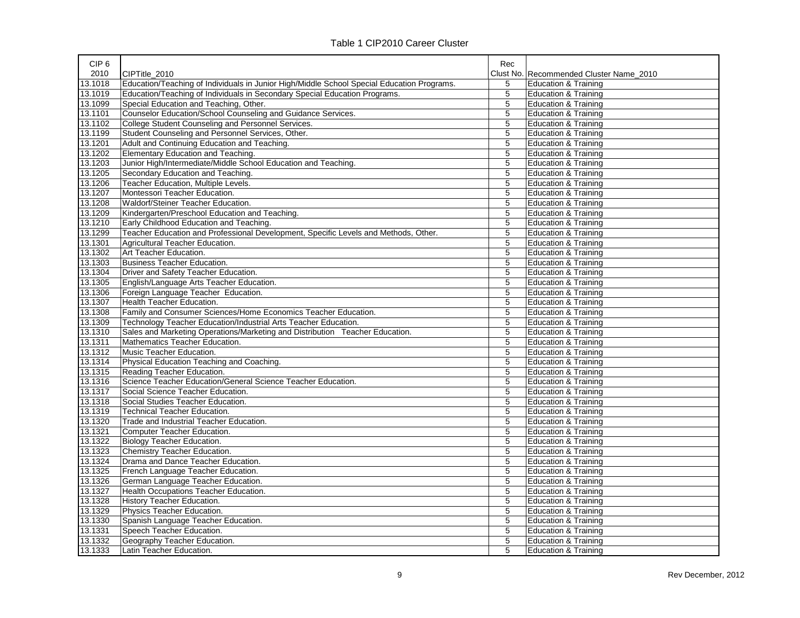| CIP <sub>6</sub> |                                                                                            | Rec         |                                         |
|------------------|--------------------------------------------------------------------------------------------|-------------|-----------------------------------------|
| 2010             | CIPTitle_2010                                                                              |             | Clust No. Recommended Cluster Name_2010 |
| 13.1018          | Education/Teaching of Individuals in Junior High/Middle School Special Education Programs. | 5           | <b>Education &amp; Training</b>         |
| 13.1019          | Education/Teaching of Individuals in Secondary Special Education Programs.                 | 5           | <b>Education &amp; Training</b>         |
| 13.1099          | Special Education and Teaching, Other.                                                     | 5           | <b>Education &amp; Training</b>         |
| 13.1101          | Counselor Education/School Counseling and Guidance Services.                               | 5           | <b>Education &amp; Training</b>         |
| 13.1102          | College Student Counseling and Personnel Services.                                         | 5           | <b>Education &amp; Training</b>         |
| 13.1199          | Student Counseling and Personnel Services, Other.                                          | 5           | <b>Education &amp; Training</b>         |
| 13.1201          | Adult and Continuing Education and Teaching.                                               | 5           | <b>Education &amp; Training</b>         |
| 13.1202          | Elementary Education and Teaching.                                                         | 5           | <b>Education &amp; Training</b>         |
| 13.1203          | Junior High/Intermediate/Middle School Education and Teaching.                             | 5           | <b>Education &amp; Training</b>         |
| 13.1205          | Secondary Education and Teaching.                                                          | 5           | <b>Education &amp; Training</b>         |
| 13.1206          | Teacher Education, Multiple Levels.                                                        | 5           | <b>Education &amp; Training</b>         |
| 13.1207          | Montessori Teacher Education.                                                              | 5           | <b>Education &amp; Training</b>         |
| 13.1208          | Waldorf/Steiner Teacher Education.                                                         | 5           | <b>Education &amp; Training</b>         |
| 13.1209          | Kindergarten/Preschool Education and Teaching.                                             | 5           | <b>Education &amp; Training</b>         |
| 13.1210          | Early Childhood Education and Teaching.                                                    | $\mathbf 5$ | <b>Education &amp; Training</b>         |
| 13.1299          | Teacher Education and Professional Development, Specific Levels and Methods, Other.        | 5           | Education & Training                    |
| 13.1301          | Agricultural Teacher Education.                                                            | 5           | <b>Education &amp; Training</b>         |
| 13.1302          | Art Teacher Education.                                                                     | 5           | <b>Education &amp; Training</b>         |
| 13.1303          | <b>Business Teacher Education.</b>                                                         | 5           | <b>Education &amp; Training</b>         |
| 13.1304          | Driver and Safety Teacher Education.                                                       | 5           | <b>Education &amp; Training</b>         |
| 13.1305          | English/Language Arts Teacher Education.                                                   | 5           | <b>Education &amp; Training</b>         |
| 13.1306          | Foreign Language Teacher Education.                                                        | 5           | <b>Education &amp; Training</b>         |
| 13.1307          | Health Teacher Education.                                                                  | 5           | <b>Education &amp; Training</b>         |
| 13.1308          | Family and Consumer Sciences/Home Economics Teacher Education.                             | 5           | <b>Education &amp; Training</b>         |
| 13.1309          | Technology Teacher Education/Industrial Arts Teacher Education.                            | 5           | <b>Education &amp; Training</b>         |
| 13.1310          | Sales and Marketing Operations/Marketing and Distribution Teacher Education.               | 5           | <b>Education &amp; Training</b>         |
| 13.1311          | Mathematics Teacher Education.                                                             | 5           | <b>Education &amp; Training</b>         |
| 13.1312          | Music Teacher Education.                                                                   | 5           | <b>Education &amp; Training</b>         |
| 13.1314          | Physical Education Teaching and Coaching.                                                  | 5           | <b>Education &amp; Training</b>         |
| 13.1315          | Reading Teacher Education.                                                                 | 5           | <b>Education &amp; Training</b>         |
| 13.1316          | Science Teacher Education/General Science Teacher Education.                               | 5           | <b>Education &amp; Training</b>         |
| 13.1317          | Social Science Teacher Education.                                                          | 5           | <b>Education &amp; Training</b>         |
| 13.1318          | Social Studies Teacher Education.                                                          | 5           | <b>Education &amp; Training</b>         |
| 13.1319          | Technical Teacher Education.                                                               | 5           | <b>Education &amp; Training</b>         |
| 13.1320          | Trade and Industrial Teacher Education.                                                    | 5           | <b>Education &amp; Training</b>         |
| 13.1321          | Computer Teacher Education.                                                                | 5           | <b>Education &amp; Training</b>         |
| 13.1322          | <b>Biology Teacher Education.</b>                                                          | 5           | <b>Education &amp; Training</b>         |
| 13.1323          | Chemistry Teacher Education.                                                               | 5           | <b>Education &amp; Training</b>         |
| 13.1324          | Drama and Dance Teacher Education.                                                         | 5           | <b>Education &amp; Training</b>         |
| 13.1325          | French Language Teacher Education.                                                         | 5           | <b>Education &amp; Training</b>         |
| 13.1326          | German Language Teacher Education.                                                         | 5           | <b>Education &amp; Training</b>         |
| 13.1327          | Health Occupations Teacher Education.                                                      | 5           | <b>Education &amp; Training</b>         |
| 13.1328          | History Teacher Education.                                                                 | 5           | <b>Education &amp; Training</b>         |
| 13.1329          | Physics Teacher Education.                                                                 | 5           | <b>Education &amp; Training</b>         |
| 13.1330          | Spanish Language Teacher Education.                                                        | 5           | Education & Training                    |
| 13.1331          | Speech Teacher Education.                                                                  | 5           | <b>Education &amp; Training</b>         |
| 13.1332          | Geography Teacher Education.                                                               | 5           | <b>Education &amp; Training</b>         |
| 13.1333          | Latin Teacher Education                                                                    | 5           | <b>Education &amp; Training</b>         |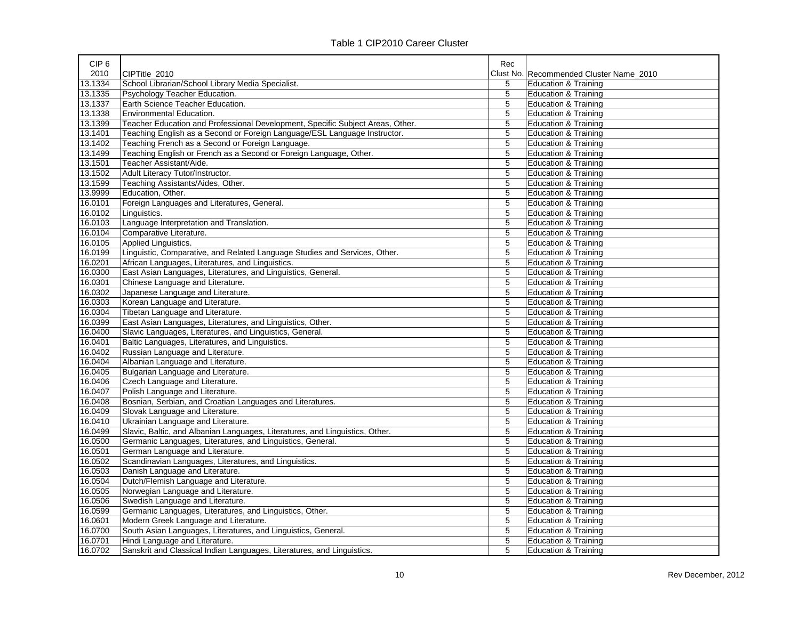| CIP <sub>6</sub> |                                                                                | Rec |                                         |
|------------------|--------------------------------------------------------------------------------|-----|-----------------------------------------|
| 2010             | CIPTitle_2010                                                                  |     | Clust No. Recommended Cluster Name 2010 |
| 13.1334          | School Librarian/School Library Media Specialist.                              | 5   | Education & Training                    |
| 13.1335          | Psychology Teacher Education.                                                  | 5   | <b>Education &amp; Training</b>         |
| 13.1337          | Earth Science Teacher Education.                                               | 5   | <b>Education &amp; Training</b>         |
| 13.1338          | Environmental Education.                                                       | 5   | <b>Education &amp; Training</b>         |
| 13.1399          | Teacher Education and Professional Development, Specific Subject Areas, Other. | 5   | <b>Education &amp; Training</b>         |
| 13.1401          | Teaching English as a Second or Foreign Language/ESL Language Instructor.      | 5   | <b>Education &amp; Training</b>         |
| 13.1402          | Teaching French as a Second or Foreign Language.                               | 5   | <b>Education &amp; Training</b>         |
| 13.1499          | Teaching English or French as a Second or Foreign Language, Other.             | 5   | <b>Education &amp; Training</b>         |
| 13.1501          | Teacher Assistant/Aide.                                                        | 5   | <b>Education &amp; Training</b>         |
| 13.1502          | Adult Literacy Tutor/Instructor.                                               | 5   | <b>Education &amp; Training</b>         |
| 13.1599          | Teaching Assistants/Aides, Other.                                              | 5   | <b>Education &amp; Training</b>         |
| 13.9999          | Education, Other.                                                              | 5   | <b>Education &amp; Training</b>         |
| 16.0101          | Foreign Languages and Literatures, General.                                    | 5   | <b>Education &amp; Training</b>         |
| 16.0102          | Linguistics.                                                                   | 5   | <b>Education &amp; Training</b>         |
| 16.0103          | Language Interpretation and Translation.                                       | 5   | <b>Education &amp; Training</b>         |
| 16.0104          | Comparative Literature.                                                        | 5   | <b>Education &amp; Training</b>         |
| 16.0105          | Applied Linguistics.                                                           | 5   | <b>Education &amp; Training</b>         |
| 16.0199          | Linguistic, Comparative, and Related Language Studies and Services, Other.     | 5   | <b>Education &amp; Training</b>         |
| 16.0201          | African Languages, Literatures, and Linguistics.                               | 5   | <b>Education &amp; Training</b>         |
| 16.0300          | East Asian Languages, Literatures, and Linguistics, General.                   | 5   | <b>Education &amp; Training</b>         |
| 16.0301          | Chinese Language and Literature.                                               | 5   | <b>Education &amp; Training</b>         |
| 16.0302          | Japanese Language and Literature.                                              | 5   | <b>Education &amp; Training</b>         |
| 16.0303          | Korean Language and Literature.                                                | 5   | <b>Education &amp; Training</b>         |
| 16.0304          | Tibetan Language and Literature.                                               | 5   | <b>Education &amp; Training</b>         |
| 16.0399          | East Asian Languages, Literatures, and Linguistics, Other.                     | 5   | <b>Education &amp; Training</b>         |
| 16.0400          | Slavic Languages, Literatures, and Linguistics, General.                       | 5   | <b>Education &amp; Training</b>         |
| 16.0401          | Baltic Languages, Literatures, and Linguistics.                                | 5   | <b>Education &amp; Training</b>         |
| 16.0402          | Russian Language and Literature.                                               | 5   | <b>Education &amp; Training</b>         |
| 16.0404          | Albanian Language and Literature.                                              | 5   | <b>Education &amp; Training</b>         |
| 16.0405          | Bulgarian Language and Literature.                                             | 5   | <b>Education &amp; Training</b>         |
| 16.0406          | Czech Language and Literature.                                                 | 5   | <b>Education &amp; Training</b>         |
| 16.0407          | Polish Language and Literature.                                                | 5   | <b>Education &amp; Training</b>         |
| 16.0408          | Bosnian, Serbian, and Croatian Languages and Literatures.                      | 5   | <b>Education &amp; Training</b>         |
| 16.0409          | Slovak Language and Literature.                                                | 5   | <b>Education &amp; Training</b>         |
| 16.0410          | Ukrainian Language and Literature.                                             | 5   | <b>Education &amp; Training</b>         |
| 16.0499          | Slavic, Baltic, and Albanian Languages, Literatures, and Linguistics, Other.   | 5   | <b>Education &amp; Training</b>         |
| 16.0500          | Germanic Languages, Literatures, and Linguistics, General.                     | 5   | <b>Education &amp; Training</b>         |
| 16.0501          | German Language and Literature.                                                | 5   | <b>Education &amp; Training</b>         |
| 16.0502          | Scandinavian Languages, Literatures, and Linguistics.                          | 5   | <b>Education &amp; Training</b>         |
| 16.0503          | Danish Language and Literature.                                                | 5   | Education & Training                    |
| 16.0504          | Dutch/Flemish Language and Literature.                                         | 5   | <b>Education &amp; Training</b>         |
| 16.0505          | Norwegian Language and Literature.                                             | 5   | <b>Education &amp; Training</b>         |
| 16.0506          | Swedish Language and Literature.                                               | 5   | <b>Education &amp; Training</b>         |
| 16.0599          | Germanic Languages, Literatures, and Linguistics, Other.                       | 5   | <b>Education &amp; Training</b>         |
| 16.0601          | Modern Greek Language and Literature.                                          | 5   | Education & Training                    |
| 16.0700          | South Asian Languages, Literatures, and Linguistics, General.                  | 5   | <b>Education &amp; Training</b>         |
| 16.0701          | Hindi Language and Literature.                                                 | 5   | <b>Education &amp; Training</b>         |
| 16.0702          | Sanskrit and Classical Indian Languages, Literatures, and Linguistics.         | 5   | <b>Education &amp; Training</b>         |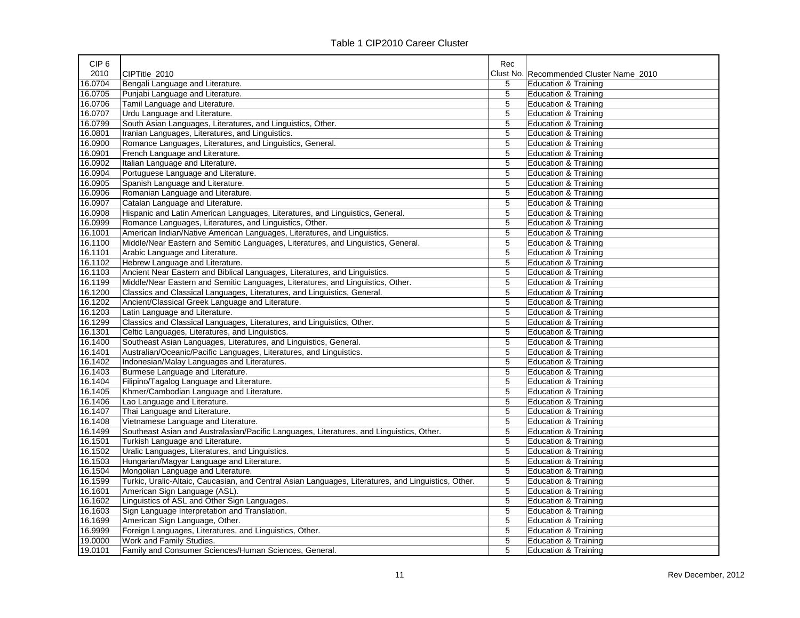| CIP <sub>6</sub> |                                                                                                     | Rec |                                         |
|------------------|-----------------------------------------------------------------------------------------------------|-----|-----------------------------------------|
| 2010             | CIPTitle 2010                                                                                       |     | Clust No. Recommended Cluster Name_2010 |
| 16.0704          | Bengali Language and Literature.                                                                    | 5   | Education & Training                    |
| 16.0705          | Punjabi Language and Literature.                                                                    | 5   | <b>Education &amp; Training</b>         |
| 16.0706          | Tamil Language and Literature.                                                                      | 5   | <b>Education &amp; Training</b>         |
| 16.0707          | Urdu Language and Literature.                                                                       | 5   | <b>Education &amp; Training</b>         |
| 16.0799          | South Asian Languages, Literatures, and Linguistics, Other.                                         | 5   | <b>Education &amp; Training</b>         |
| 16.0801          | Iranian Languages, Literatures, and Linguistics.                                                    | 5   | Education & Training                    |
| 16.0900          | Romance Languages, Literatures, and Linguistics, General.                                           | 5   | Education & Training                    |
| 16.0901          | French Language and Literature.                                                                     | 5   | <b>Education &amp; Training</b>         |
| 16.0902          | Italian Language and Literature.                                                                    | 5   | <b>Education &amp; Training</b>         |
| 16.0904          | Portuguese Language and Literature.                                                                 | 5   | <b>Education &amp; Training</b>         |
| 16.0905          | Spanish Language and Literature.                                                                    | 5   | <b>Education &amp; Training</b>         |
| 16.0906          | Romanian Language and Literature.                                                                   | 5   | <b>Education &amp; Training</b>         |
| 16.0907          | Catalan Language and Literature.                                                                    | 5   | <b>Education &amp; Training</b>         |
| 16.0908          | Hispanic and Latin American Languages, Literatures, and Linguistics, General.                       | 5   | Education & Training                    |
| 16.0999          | Romance Languages, Literatures, and Linguistics, Other.                                             | 5   | <b>Education &amp; Training</b>         |
| 16.1001          | American Indian/Native American Languages, Literatures, and Linguistics.                            | 5   | <b>Education &amp; Training</b>         |
| 16.1100          | Middle/Near Eastern and Semitic Languages, Literatures, and Linguistics, General.                   | 5   | <b>Education &amp; Training</b>         |
| 16.1101          | Arabic Language and Literature.                                                                     | 5   | <b>Education &amp; Training</b>         |
| 16.1102          | Hebrew Language and Literature.                                                                     | 5   | <b>Education &amp; Training</b>         |
| 16.1103          | Ancient Near Eastern and Biblical Languages, Literatures, and Linguistics.                          | 5   | <b>Education &amp; Training</b>         |
| 16.1199          | Middle/Near Eastern and Semitic Languages, Literatures, and Linguistics, Other.                     | 5   | <b>Education &amp; Training</b>         |
| 16.1200          | Classics and Classical Languages, Literatures, and Linguistics, General.                            | 5   | <b>Education &amp; Training</b>         |
| 16.1202          | Ancient/Classical Greek Language and Literature.                                                    | 5   | <b>Education &amp; Training</b>         |
| 16.1203          | Latin Language and Literature.                                                                      | 5   | <b>Education &amp; Training</b>         |
| 16.1299          | Classics and Classical Languages, Literatures, and Linguistics, Other.                              | 5   | <b>Education &amp; Training</b>         |
| 16.1301          | Celtic Languages, Literatures, and Linguistics.                                                     | 5   | <b>Education &amp; Training</b>         |
| 16.1400          | Southeast Asian Languages, Literatures, and Linguistics, General.                                   | 5   | <b>Education &amp; Training</b>         |
| 16.1401          | Australian/Oceanic/Pacific Languages, Literatures, and Linguistics.                                 | 5   | Education & Training                    |
| 16.1402          | Indonesian/Malay Languages and Literatures.                                                         | 5   | <b>Education &amp; Training</b>         |
| 16.1403          | Burmese Language and Literature.                                                                    | 5   | <b>Education &amp; Training</b>         |
| 16.1404          | Filipino/Tagalog Language and Literature.                                                           | 5   | <b>Education &amp; Training</b>         |
| 16.1405          | Khmer/Cambodian Language and Literature.                                                            | 5   | <b>Education &amp; Training</b>         |
| 16.1406          | Lao Language and Literature.                                                                        | 5   | <b>Education &amp; Training</b>         |
| 16.1407          | Thai Language and Literature.                                                                       | 5   | <b>Education &amp; Training</b>         |
| 16.1408          | Vietnamese Language and Literature.                                                                 | 5   | <b>Education &amp; Training</b>         |
| 16.1499          | Southeast Asian and Australasian/Pacific Languages, Literatures, and Linguistics, Other.            | 5   | <b>Education &amp; Training</b>         |
| 16.1501          | Turkish Language and Literature.                                                                    | 5   | <b>Education &amp; Training</b>         |
| 16.1502          | Uralic Languages, Literatures, and Linguistics.                                                     | 5   | <b>Education &amp; Training</b>         |
| 16.1503          | Hungarian/Magyar Language and Literature.                                                           | 5   | <b>Education &amp; Training</b>         |
| 16.1504          | Mongolian Language and Literature.                                                                  | 5   | <b>Education &amp; Training</b>         |
| 16.1599          | Turkic, Uralic-Altaic, Caucasian, and Central Asian Languages, Literatures, and Linguistics, Other. | 5   | <b>Education &amp; Training</b>         |
| 16.1601          | American Sign Language (ASL).                                                                       | 5   | Education & Training                    |
| 16.1602          | Linguistics of ASL and Other Sign Languages.                                                        | 5   | Education & Training                    |
| 16.1603          | Sign Language Interpretation and Translation.                                                       | 5   | <b>Education &amp; Training</b>         |
| 16.1699          | American Sign Language, Other.                                                                      | 5   | <b>Education &amp; Training</b>         |
| 16.9999          | Foreign Languages, Literatures, and Linguistics, Other.                                             | 5   | <b>Education &amp; Training</b>         |
| 19.0000          | Work and Family Studies.                                                                            | 5   | Education & Training                    |
| 19.0101          | Family and Consumer Sciences/Human Sciences, General.                                               | 5   | <b>Education &amp; Training</b>         |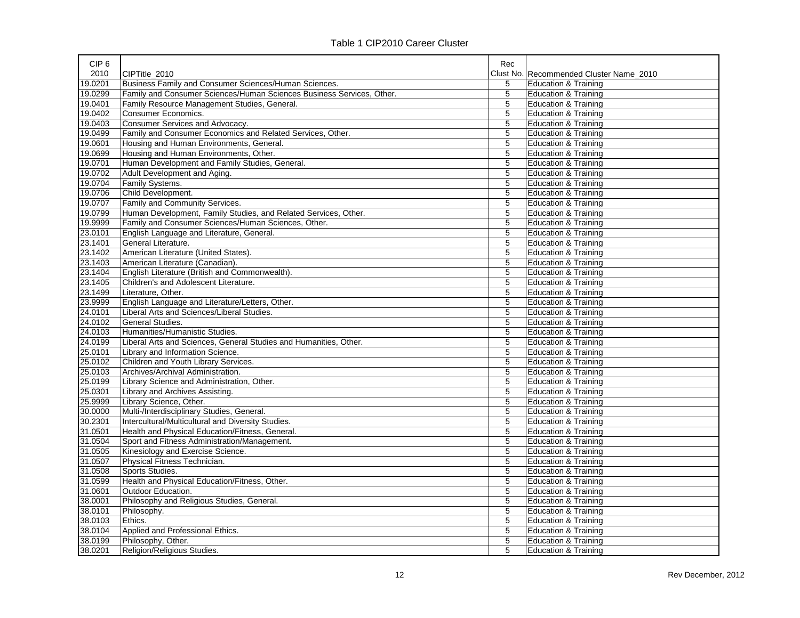|  | Table 1 CIP2010 Career Cluster |  |
|--|--------------------------------|--|
|--|--------------------------------|--|

| CIP <sub>6</sub> |                                                                       | Rec            |                                         |
|------------------|-----------------------------------------------------------------------|----------------|-----------------------------------------|
| 2010             | CIPTitle 2010                                                         |                | Clust No. Recommended Cluster Name 2010 |
| 19.0201          | Business Family and Consumer Sciences/Human Sciences.                 | 5              | <b>Education &amp; Training</b>         |
| 19.0299          | Family and Consumer Sciences/Human Sciences Business Services, Other. | $\overline{5}$ | <b>Education &amp; Training</b>         |
| 19.0401          | Family Resource Management Studies, General.                          | 5              | <b>Education &amp; Training</b>         |
| 19.0402          | Consumer Economics.                                                   | 5              | <b>Education &amp; Training</b>         |
| 19.0403          | Consumer Services and Advocacy.                                       | 5              | Education & Training                    |
| 19.0499          | Family and Consumer Economics and Related Services, Other.            | $\overline{5}$ | <b>Education &amp; Training</b>         |
| 19.0601          | Housing and Human Environments, General.                              | 5              | <b>Education &amp; Training</b>         |
| 19.0699          | Housing and Human Environments, Other.                                | 5              | <b>Education &amp; Training</b>         |
| 19.0701          | Human Development and Family Studies, General.                        | 5              | <b>Education &amp; Training</b>         |
| 19.0702          | Adult Development and Aging.                                          | 5              | <b>Education &amp; Training</b>         |
| 19.0704          | Family Systems.                                                       | 5              | <b>Education &amp; Training</b>         |
| 19.0706          | Child Development.                                                    | 5              | <b>Education &amp; Training</b>         |
| 19.0707          | Family and Community Services.                                        | 5              | Education & Training                    |
| 19.0799          | Human Development, Family Studies, and Related Services, Other.       | 5              | <b>Education &amp; Training</b>         |
| 19.9999          | Family and Consumer Sciences/Human Sciences, Other.                   | 5              | <b>Education &amp; Training</b>         |
| 23.0101          | English Language and Literature, General.                             | 5              | <b>Education &amp; Training</b>         |
| 23.1401          | General Literature.                                                   | 5              | <b>Education &amp; Training</b>         |
| 23.1402          | American Literature (United States).                                  | 5              | Education & Training                    |
| 23.1403          | American Literature (Canadian).                                       | 5              | <b>Education &amp; Training</b>         |
| 23.1404          | English Literature (British and Commonwealth).                        | 5              | <b>Education &amp; Training</b>         |
| 23.1405          | Children's and Adolescent Literature.                                 | 5              | <b>Education &amp; Training</b>         |
| 23.1499          | Literature, Other.                                                    | 5              | <b>Education &amp; Training</b>         |
| 23.9999          | English Language and Literature/Letters, Other.                       | 5              | <b>Education &amp; Training</b>         |
| 24.0101          | Liberal Arts and Sciences/Liberal Studies.                            | 5              | <b>Education &amp; Training</b>         |
| 24.0102          | General Studies.                                                      | 5              | <b>Education &amp; Training</b>         |
| 24.0103          | Humanities/Humanistic Studies.                                        | 5              | <b>Education &amp; Training</b>         |
| 24.0199          | Liberal Arts and Sciences, General Studies and Humanities, Other.     | 5              | <b>Education &amp; Training</b>         |
| 25.0101          | Library and Information Science.                                      | 5              | <b>Education &amp; Training</b>         |
| 25.0102          | Children and Youth Library Services.                                  | 5              | <b>Education &amp; Training</b>         |
| 25.0103          | Archives/Archival Administration.                                     | 5              | <b>Education &amp; Training</b>         |
| 25.0199          | Library Science and Administration, Other.                            | 5              | <b>Education &amp; Training</b>         |
| 25.0301          | Library and Archives Assisting.                                       | 5              | <b>Education &amp; Training</b>         |
| 25.9999          | Library Science, Other.                                               | 5              | Education & Training                    |
| 30.0000          | Multi-/Interdisciplinary Studies, General.                            | $\overline{5}$ | <b>Education &amp; Training</b>         |
| 30.2301          | Intercultural/Multicultural and Diversity Studies.                    | 5              | Education & Training                    |
| 31.0501          | Health and Physical Education/Fitness, General.                       | 5              | <b>Education &amp; Training</b>         |
| 31.0504          | Sport and Fitness Administration/Management.                          | 5              | <b>Education &amp; Training</b>         |
| 31.0505          | Kinesiology and Exercise Science.                                     | $\overline{5}$ | <b>Education &amp; Training</b>         |
| 31.0507          | Physical Fitness Technician.                                          | 5              | <b>Education &amp; Training</b>         |
| 31.0508          | Sports Studies.                                                       | 5              | <b>Education &amp; Training</b>         |
| 31.0599          | Health and Physical Education/Fitness, Other.                         | 5              | <b>Education &amp; Training</b>         |
| 31.0601          | Outdoor Education.                                                    | 5              | <b>Education &amp; Training</b>         |
| 38.0001          | Philosophy and Religious Studies, General.                            | 5              | <b>Education &amp; Training</b>         |
| 38.0101          | Philosophy.                                                           | 5              | <b>Education &amp; Training</b>         |
| 38.0103          | Ethics.                                                               | 5              | Education & Training                    |
| 38.0104          | Applied and Professional Ethics.                                      | 5              | <b>Education &amp; Training</b>         |
| 38.0199          | Philosophy, Other.                                                    | 5              | <b>Education &amp; Training</b>         |
| 38.0201          | Religion/Religious Studies.                                           | 5              | <b>Education &amp; Training</b>         |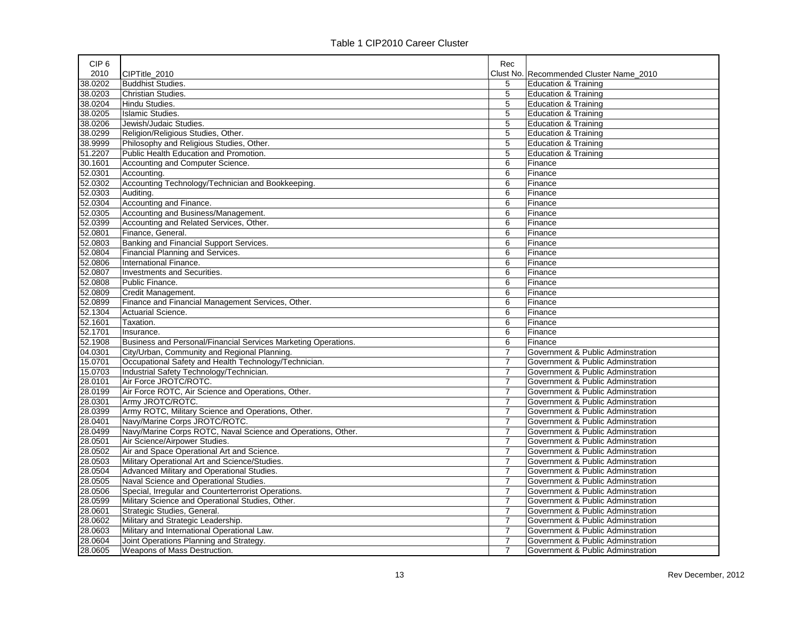| CIP <sub>6</sub> |                                                                | Rec            |                                         |
|------------------|----------------------------------------------------------------|----------------|-----------------------------------------|
| 2010             | CIPTitle_2010                                                  |                | Clust No. Recommended Cluster Name 2010 |
| 38.0202          | <b>Buddhist Studies.</b>                                       | 5              | <b>Education &amp; Training</b>         |
| 38.0203          | <b>Christian Studies.</b>                                      | $\overline{5}$ | <b>Education &amp; Training</b>         |
| 38.0204          | Hindu Studies.                                                 | 5              | <b>Education &amp; Training</b>         |
| 38.0205          | <b>Islamic Studies.</b>                                        | 5              | <b>Education &amp; Training</b>         |
| 38.0206          | Jewish/Judaic Studies.                                         | 5              | <b>Education &amp; Training</b>         |
| 38.0299          | Religion/Religious Studies, Other.                             | $\overline{5}$ | <b>Education &amp; Training</b>         |
| 38.9999          | Philosophy and Religious Studies, Other.                       | 5              | <b>Education &amp; Training</b>         |
| 51.2207          | Public Health Education and Promotion.                         | 5              | <b>Education &amp; Training</b>         |
| 30.1601          | Accounting and Computer Science.                               | 6              | Finance                                 |
| 52.0301          | Accounting.                                                    | 6              | Finance                                 |
| 52.0302          | Accounting Technology/Technician and Bookkeeping.              | 6              | Finance                                 |
| 52.0303          | Auditing.                                                      | 6              | Finance                                 |
| 52.0304          | Accounting and Finance.                                        | 6              | Finance                                 |
| 52.0305          | Accounting and Business/Management.                            | 6              | Finance                                 |
| 52.0399          | Accounting and Related Services, Other.                        | 6              | Finance                                 |
| 52.0801          | Finance, General.                                              | 6              | Finance                                 |
| 52.0803          | Banking and Financial Support Services.                        | 6              | Finance                                 |
| 52.0804          | <b>Financial Planning and Services.</b>                        | 6              | Finance                                 |
| 52.0806          | International Finance.                                         | 6              | Finance                                 |
| 52.0807          | Investments and Securities.                                    | 6              | Finance                                 |
| 52.0808          | Public Finance.                                                | 6              | Finance                                 |
| 52.0809          | Credit Management.                                             | 6              | Finance                                 |
| 52.0899          | Finance and Financial Management Services, Other.              | 6              | Finance                                 |
| 52.1304          | Actuarial Science.                                             | 6              | Finance                                 |
| 52.1601          | Taxation.                                                      | 6              | Finance                                 |
| 52.1701          | Insurance.                                                     | 6              | Finance                                 |
| 52.1908          | Business and Personal/Financial Services Marketing Operations. | 6              | Finance                                 |
| 04.0301          | City/Urban, Community and Regional Planning.                   | $\overline{7}$ | Government & Public Adminstration       |
| 15.0701          | Occupational Safety and Health Technology/Technician.          | 7              | Government & Public Adminstration       |
| 15.0703          | Industrial Safety Technology/Technician.                       | $\overline{7}$ | Government & Public Adminstration       |
| 28.0101          | Air Force JROTC/ROTC.                                          | $\overline{7}$ | Government & Public Adminstration       |
| 28.0199          | Air Force ROTC, Air Science and Operations, Other.             | $\overline{7}$ | Government & Public Adminstration       |
| 28.0301          | Army JROTC/ROTC.                                               | $\overline{7}$ | Government & Public Adminstration       |
| 28.0399          | Army ROTC, Military Science and Operations, Other.             | $\overline{7}$ | Government & Public Adminstration       |
| 28.0401          | Navy/Marine Corps JROTC/ROTC.                                  | $\overline{7}$ | Government & Public Adminstration       |
| 28.0499          | Navy/Marine Corps ROTC, Naval Science and Operations, Other.   | $\overline{7}$ | Government & Public Adminstration       |
| 28.0501          | Air Science/Airpower Studies.                                  | $\overline{7}$ | Government & Public Adminstration       |
| 28.0502          | Air and Space Operational Art and Science.                     | $\overline{7}$ | Government & Public Adminstration       |
| 28.0503          | Military Operational Art and Science/Studies.                  | $\overline{7}$ | Government & Public Adminstration       |
| 28.0504          | Advanced Military and Operational Studies.                     | $\overline{7}$ | Government & Public Adminstration       |
| 28.0505          | Naval Science and Operational Studies.                         | $\overline{7}$ | Government & Public Adminstration       |
| 28.0506          | Special, Irregular and Counterterrorist Operations.            | $\overline{7}$ | Government & Public Adminstration       |
| 28.0599          | Military Science and Operational Studies, Other.               | $\overline{7}$ | Government & Public Adminstration       |
| 28.0601          | Strategic Studies, General.                                    | $\overline{7}$ | Government & Public Adminstration       |
| 28.0602          | Military and Strategic Leadership.                             | $\overline{7}$ | Government & Public Adminstration       |
| 28.0603          | Military and International Operational Law.                    | $\overline{7}$ | Government & Public Adminstration       |
| 28.0604          | Joint Operations Planning and Strategy.                        | $\overline{7}$ | Government & Public Adminstration       |
| 28.0605          | Weapons of Mass Destruction.                                   | $\overline{7}$ | Government & Public Adminstration       |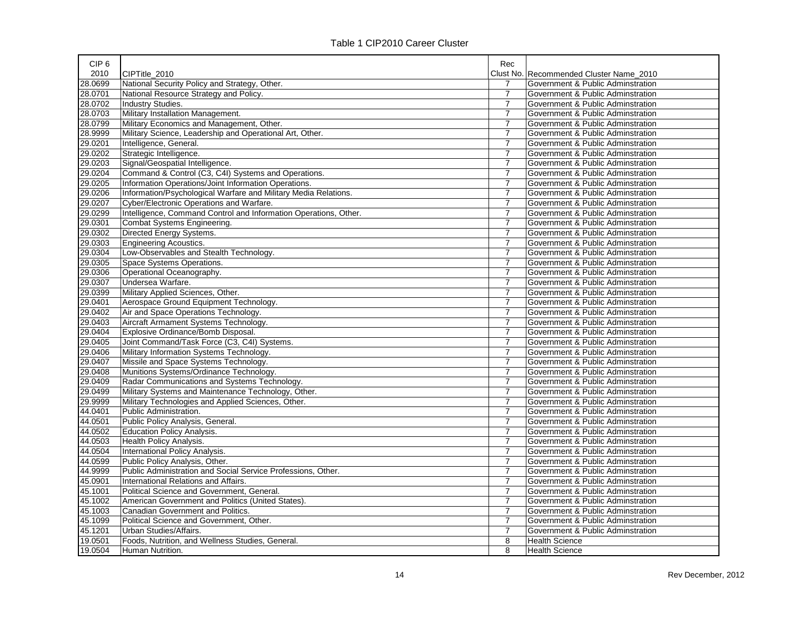| CIP <sub>6</sub> |                                                                  | Rec            |                                         |
|------------------|------------------------------------------------------------------|----------------|-----------------------------------------|
| 2010             | CIPTitle 2010                                                    |                | Clust No. Recommended Cluster Name 2010 |
| 28.0699          | National Security Policy and Strategy, Other.                    | 7              | Government & Public Adminstration       |
| 28.0701          | National Resource Strategy and Policy.                           | $\overline{7}$ | Government & Public Adminstration       |
| 28.0702          | Industry Studies.                                                | 7              | Government & Public Adminstration       |
| 28.0703          | Military Installation Management.                                | $\overline{7}$ | Government & Public Adminstration       |
| 28.0799          | Military Economics and Management, Other.                        | 7              | Government & Public Adminstration       |
| 28.9999          | Military Science, Leadership and Operational Art, Other.         | $\overline{7}$ | Government & Public Adminstration       |
| 29.0201          | Intelligence, General.                                           | $\overline{7}$ | Government & Public Adminstration       |
| 29.0202          | Strategic Intelligence.                                          | $\overline{7}$ | Government & Public Adminstration       |
| 29.0203          | Signal/Geospatial Intelligence.                                  | $\overline{7}$ | Government & Public Adminstration       |
| 29.0204          | Command & Control (C3, C4I) Systems and Operations.              | $\overline{7}$ | Government & Public Adminstration       |
| 29.0205          | Information Operations/Joint Information Operations.             | $\overline{7}$ | Government & Public Adminstration       |
| 29.0206          | Information/Psychological Warfare and Military Media Relations.  | $\overline{7}$ | Government & Public Adminstration       |
| 29.0207          | Cyber/Electronic Operations and Warfare.                         | $\overline{7}$ | Government & Public Adminstration       |
| 29.0299          | Intelligence, Command Control and Information Operations, Other. | $\overline{7}$ | Government & Public Adminstration       |
| 29.0301          | Combat Systems Engineering.                                      | $\overline{7}$ | Government & Public Adminstration       |
| 29.0302          | Directed Energy Systems.                                         | $\overline{7}$ | Government & Public Adminstration       |
| 29.0303          | <b>Engineering Acoustics.</b>                                    | $\overline{7}$ | Government & Public Adminstration       |
| 29.0304          | Low-Observables and Stealth Technology.                          | 7              | Government & Public Adminstration       |
| 29.0305          | Space Systems Operations.                                        | 7              | Government & Public Adminstration       |
| 29.0306          | Operational Oceanography.                                        | 7              | Government & Public Adminstration       |
| 29.0307          | Undersea Warfare.                                                | $\overline{7}$ | Government & Public Adminstration       |
| 29.0399          | Military Applied Sciences, Other.                                | 7              | Government & Public Adminstration       |
| 29.0401          | Aerospace Ground Equipment Technology.                           | $\overline{7}$ | Government & Public Adminstration       |
| 29.0402          | Air and Space Operations Technology.                             | $\overline{7}$ | Government & Public Adminstration       |
| 29.0403          | Aircraft Armament Systems Technology.                            | $\overline{7}$ | Government & Public Adminstration       |
| 29.0404          | Explosive Ordinance/Bomb Disposal.                               | $\overline{7}$ | Government & Public Adminstration       |
| 29.0405          | Joint Command/Task Force (C3, C4I) Systems.                      | $\overline{7}$ | Government & Public Adminstration       |
| 29.0406          | Military Information Systems Technology.                         | $\overline{7}$ | Government & Public Adminstration       |
| 29.0407          | Missile and Space Systems Technology.                            | $\overline{7}$ | Government & Public Adminstration       |
| 29.0408          | Munitions Systems/Ordinance Technology.                          | $\overline{7}$ | Government & Public Adminstration       |
| 29.0409          | Radar Communications and Systems Technology.                     | $\overline{7}$ | Government & Public Adminstration       |
| 29.0499          | Military Systems and Maintenance Technology, Other.              | $\overline{7}$ | Government & Public Adminstration       |
| 29.9999          | Military Technologies and Applied Sciences, Other.               | $\overline{7}$ | Government & Public Adminstration       |
| 44.0401          | Public Administration.                                           | $\overline{7}$ | Government & Public Adminstration       |
| 44.0501          | Public Policy Analysis, General.                                 | $\overline{7}$ | Government & Public Adminstration       |
| 44.0502          | <b>Education Policy Analysis.</b>                                | $\overline{7}$ | Government & Public Adminstration       |
| 44.0503          | Health Policy Analysis.                                          | $\overline{7}$ | Government & Public Adminstration       |
| 44.0504          | International Policy Analysis.                                   | $\overline{7}$ | Government & Public Adminstration       |
| 44.0599          | Public Policy Analysis, Other.                                   | $\overline{7}$ | Government & Public Adminstration       |
| 44.9999          | Public Administration and Social Service Professions, Other.     | $\overline{7}$ | Government & Public Adminstration       |
| 45.0901          | International Relations and Affairs.                             | $\overline{7}$ | Government & Public Adminstration       |
| 45.1001          | Political Science and Government, General.                       | $\overline{7}$ | Government & Public Adminstration       |
| 45.1002          | American Government and Politics (United States).                | $\overline{7}$ | Government & Public Adminstration       |
| 45.1003          | Canadian Government and Politics.                                | $\overline{7}$ | Government & Public Adminstration       |
| 45.1099          | Political Science and Government, Other.                         | $\overline{7}$ | Government & Public Adminstration       |
| 45.1201          | Urban Studies/Affairs.                                           | $\overline{7}$ | Government & Public Adminstration       |
| 19.0501          | Foods, Nutrition, and Wellness Studies, General.                 | 8              | <b>Health Science</b>                   |
| 19.0504          | Human Nutrition.                                                 | 8              | <b>Health Science</b>                   |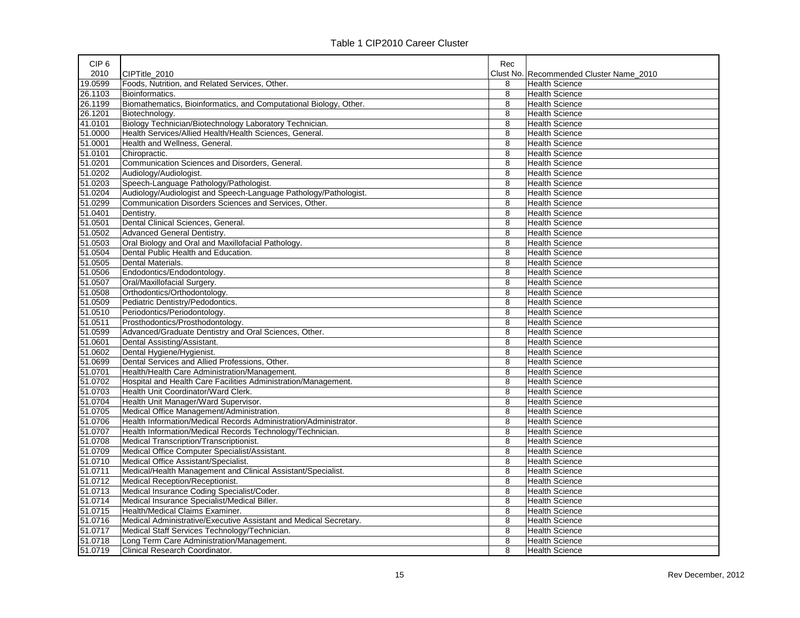| CIP <sub>6</sub> |                                                                   | Rec |                                         |
|------------------|-------------------------------------------------------------------|-----|-----------------------------------------|
| 2010             | CIPTitle 2010                                                     |     | Clust No. Recommended Cluster Name 2010 |
| 19.0599          | Foods, Nutrition, and Related Services, Other.                    | 8   | <b>Health Science</b>                   |
| 26.1103          | Bioinformatics.                                                   | 8   | <b>Health Science</b>                   |
| 26.1199          | Biomathematics, Bioinformatics, and Computational Biology, Other. | 8   | <b>Health Science</b>                   |
| 26.1201          | Biotechnology.                                                    | 8   | <b>Health Science</b>                   |
| 41.0101          | Biology Technician/Biotechnology Laboratory Technician.           | 8   | <b>Health Science</b>                   |
| 51.0000          | Health Services/Allied Health/Health Sciences, General.           | 8   | <b>Health Science</b>                   |
| 51.0001          | Health and Wellness, General.                                     | 8   | <b>Health Science</b>                   |
| 51.0101          | Chiropractic.                                                     | 8   | <b>Health Science</b>                   |
| 51.0201          | Communication Sciences and Disorders, General.                    | 8   | <b>Health Science</b>                   |
| 51.0202          | Audiology/Audiologist.                                            | 8   | <b>Health Science</b>                   |
| 51.0203          | Speech-Language Pathology/Pathologist.                            | 8   | <b>Health Science</b>                   |
| 51.0204          | Audiology/Audiologist and Speech-Language Pathology/Pathologist.  | 8   | <b>Health Science</b>                   |
| 51.0299          | Communication Disorders Sciences and Services, Other.             | 8   | <b>Health Science</b>                   |
| 51.0401          | Dentistry.                                                        | 8   | <b>Health Science</b>                   |
| 51.0501          | Dental Clinical Sciences, General.                                | 8   | <b>Health Science</b>                   |
| 51.0502          | <b>Advanced General Dentistry.</b>                                | 8   | <b>Health Science</b>                   |
| 51.0503          | Oral Biology and Oral and Maxillofacial Pathology.                | 8   | <b>Health Science</b>                   |
| 51.0504          | Dental Public Health and Education.                               | 8   | <b>Health Science</b>                   |
| 51.0505          | Dental Materials.                                                 | 8   | <b>Health Science</b>                   |
| 51.0506          | Endodontics/Endodontology.                                        | 8   | <b>Health Science</b>                   |
| 51.0507          | Oral/Maxillofacial Surgery.                                       | 8   | <b>Health Science</b>                   |
| 51.0508          | Orthodontics/Orthodontology.                                      | 8   | <b>Health Science</b>                   |
| 51.0509          | Pediatric Dentistry/Pedodontics.                                  | 8   | <b>Health Science</b>                   |
| 51.0510          | Periodontics/Periodontology.                                      | 8   | <b>Health Science</b>                   |
| 51.0511          | Prosthodontics/Prosthodontology.                                  | 8   | <b>Health Science</b>                   |
| 51.0599          | Advanced/Graduate Dentistry and Oral Sciences, Other.             | 8   | <b>Health Science</b>                   |
| 51.0601          | Dental Assisting/Assistant.                                       | 8   | <b>Health Science</b>                   |
| 51.0602          | Dental Hygiene/Hygienist.                                         | 8   | <b>Health Science</b>                   |
| 51.0699          | Dental Services and Allied Professions, Other.                    | 8   | <b>Health Science</b>                   |
| 51.0701          | Health/Health Care Administration/Management.                     | 8   | <b>Health Science</b>                   |
| 51.0702          | Hospital and Health Care Facilities Administration/Management.    | 8   | <b>Health Science</b>                   |
| 51.0703          | Health Unit Coordinator/Ward Clerk.                               | 8   | <b>Health Science</b>                   |
| 51.0704          | Health Unit Manager/Ward Supervisor.                              | 8   | <b>Health Science</b>                   |
| 51.0705          | Medical Office Management/Administration.                         | 8   | <b>Health Science</b>                   |
| 51.0706          | Health Information/Medical Records Administration/Administrator.  | 8   | Health Science                          |
| 51.0707          | Health Information/Medical Records Technology/Technician.         | 8   | <b>Health Science</b>                   |
| 51.0708          | Medical Transcription/Transcriptionist.                           | 8   | <b>Health Science</b>                   |
| 51.0709          | Medical Office Computer Specialist/Assistant.                     | 8   | <b>Health Science</b>                   |
| 51.0710          | Medical Office Assistant/Specialist.                              | 8   | <b>Health Science</b>                   |
| 51.0711          | Medical/Health Management and Clinical Assistant/Specialist.      | 8   | <b>Health Science</b>                   |
| 51.0712          | Medical Reception/Receptionist.                                   | 8   | <b>Health Science</b>                   |
| 51.0713          | Medical Insurance Coding Specialist/Coder.                        | 8   | <b>Health Science</b>                   |
| 51.0714          | Medical Insurance Specialist/Medical Biller.                      | 8   | <b>Health Science</b>                   |
| 51.0715          | Health/Medical Claims Examiner.                                   | 8   | <b>Health Science</b>                   |
| 51.0716          | Medical Administrative/Executive Assistant and Medical Secretary. | 8   | Health Science                          |
| 51.0717          | Medical Staff Services Technology/Technician.                     | 8   | <b>Health Science</b>                   |
| 51.0718          | Long Term Care Administration/Management.                         | 8   | <b>Health Science</b>                   |
| 51.0719          | Clinical Research Coordinator.                                    | 8   | <b>Health Science</b>                   |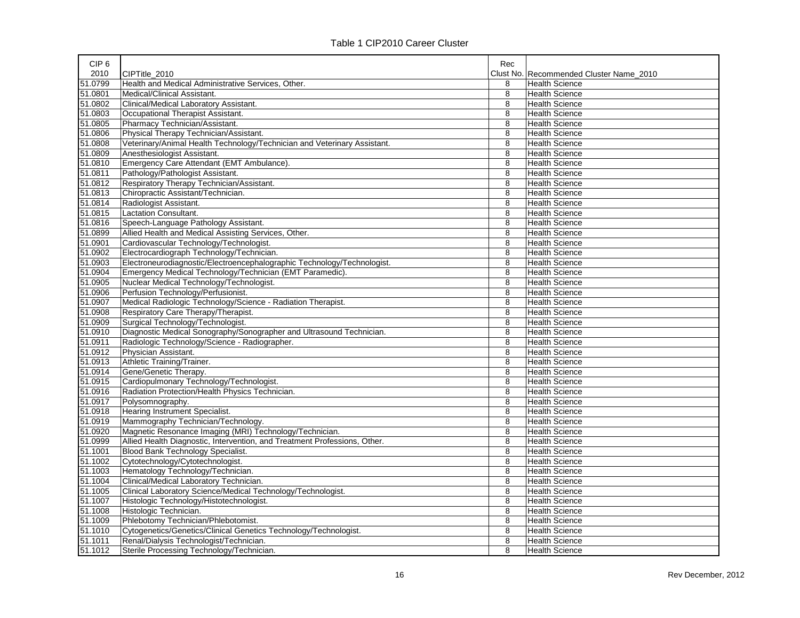| CIP <sub>6</sub> |                                                                           | Rec |                                         |
|------------------|---------------------------------------------------------------------------|-----|-----------------------------------------|
| 2010             | CIPTitle 2010                                                             |     | Clust No. Recommended Cluster Name 2010 |
| 51.0799          | Health and Medical Administrative Services, Other.                        | 8   | <b>Health Science</b>                   |
| 51.0801          | Medical/Clinical Assistant.                                               | 8   | <b>Health Science</b>                   |
| 51.0802          | Clinical/Medical Laboratory Assistant.                                    | 8   | <b>Health Science</b>                   |
| 51.0803          | Occupational Therapist Assistant.                                         | 8   | <b>Health Science</b>                   |
| 51.0805          | Pharmacy Technician/Assistant.                                            | 8   | <b>Health Science</b>                   |
| 51.0806          | Physical Therapy Technician/Assistant.                                    | 8   | <b>Health Science</b>                   |
| 51.0808          | Veterinary/Animal Health Technology/Technician and Veterinary Assistant.  | 8   | <b>Health Science</b>                   |
| 51.0809          | Anesthesiologist Assistant.                                               | 8   | <b>Health Science</b>                   |
| 51.0810          | Emergency Care Attendant (EMT Ambulance).                                 | 8   | <b>Health Science</b>                   |
| 51.0811          | Pathology/Pathologist Assistant.                                          | 8   | <b>Health Science</b>                   |
| 51.0812          | Respiratory Therapy Technician/Assistant.                                 | 8   | <b>Health Science</b>                   |
| 51.0813          | Chiropractic Assistant/Technician.                                        | 8   | <b>Health Science</b>                   |
| 51.0814          | Radiologist Assistant.                                                    | 8   | <b>Health Science</b>                   |
| 51.0815          | Lactation Consultant.                                                     | 8   | <b>Health Science</b>                   |
| 51.0816          | Speech-Language Pathology Assistant.                                      | 8   | <b>Health Science</b>                   |
| 51.0899          | Allied Health and Medical Assisting Services, Other.                      | 8   | <b>Health Science</b>                   |
| 51.0901          | Cardiovascular Technology/Technologist.                                   | 8   | <b>Health Science</b>                   |
| 51.0902          | Electrocardiograph Technology/Technician.                                 | 8   | <b>Health Science</b>                   |
| 51.0903          | Electroneurodiagnostic/Electroencephalographic Technology/Technologist.   | 8   | <b>Health Science</b>                   |
| 51.0904          | Emergency Medical Technology/Technician (EMT Paramedic).                  | 8   | <b>Health Science</b>                   |
| 51.0905          | Nuclear Medical Technology/Technologist.                                  | 8   | <b>Health Science</b>                   |
| 51.0906          | Perfusion Technology/Perfusionist.                                        | 8   | <b>Health Science</b>                   |
| 51.0907          | Medical Radiologic Technology/Science - Radiation Therapist.              | 8   | <b>Health Science</b>                   |
| 51.0908          | Respiratory Care Therapy/Therapist.                                       | 8   | <b>Health Science</b>                   |
| 51.0909          | Surgical Technology/Technologist.                                         | 8   | <b>Health Science</b>                   |
| 51.0910          | Diagnostic Medical Sonography/Sonographer and Ultrasound Technician.      | 8   | <b>Health Science</b>                   |
| 51.0911          | Radiologic Technology/Science - Radiographer.                             | 8   | <b>Health Science</b>                   |
| 51.0912          | Physician Assistant.                                                      | 8   | <b>Health Science</b>                   |
| 51.0913          | Athletic Training/Trainer.                                                | 8   | <b>Health Science</b>                   |
| 51.0914          | Gene/Genetic Therapy.                                                     | 8   | <b>Health Science</b>                   |
| 51.0915          | Cardiopulmonary Technology/Technologist.                                  | 8   | <b>Health Science</b>                   |
| 51.0916          | Radiation Protection/Health Physics Technician.                           | 8   | <b>Health Science</b>                   |
| 51.0917          | Polysomnography.                                                          | 8   | <b>Health Science</b>                   |
| 51.0918          | Hearing Instrument Specialist.                                            | 8   | <b>Health Science</b>                   |
| 51.0919          | Mammography Technician/Technology.                                        | 8   | <b>Health Science</b>                   |
| 51.0920          | Magnetic Resonance Imaging (MRI) Technology/Technician.                   | 8   | <b>Health Science</b>                   |
| 51.0999          | Allied Health Diagnostic, Intervention, and Treatment Professions, Other. | 8   | <b>Health Science</b>                   |
| 51.1001          | Blood Bank Technology Specialist.                                         | 8   | <b>Health Science</b>                   |
| 51.1002          | Cytotechnology/Cytotechnologist.                                          | 8   | <b>Health Science</b>                   |
| 51.1003          | Hematology Technology/Technician.                                         | 8   | <b>Health Science</b>                   |
| 51.1004          | Clinical/Medical Laboratory Technician.                                   | 8   | <b>Health Science</b>                   |
| 51.1005          | Clinical Laboratory Science/Medical Technology/Technologist.              | 8   | <b>Health Science</b>                   |
| 51.1007          | Histologic Technology/Histotechnologist.                                  | 8   | <b>Health Science</b>                   |
| 51.1008          | Histologic Technician.                                                    | 8   | <b>Health Science</b>                   |
| 51.1009          | Phlebotomy Technician/Phlebotomist.                                       | 8   | <b>Health Science</b>                   |
| 51.1010          | Cytogenetics/Genetics/Clinical Genetics Technology/Technologist.          | 8   | <b>Health Science</b>                   |
| 51.1011          | Renal/Dialysis Technologist/Technician.                                   | 8   | <b>Health Science</b>                   |
| 51.1012          | Sterile Processing Technology/Technician.                                 | 8   | <b>Health Science</b>                   |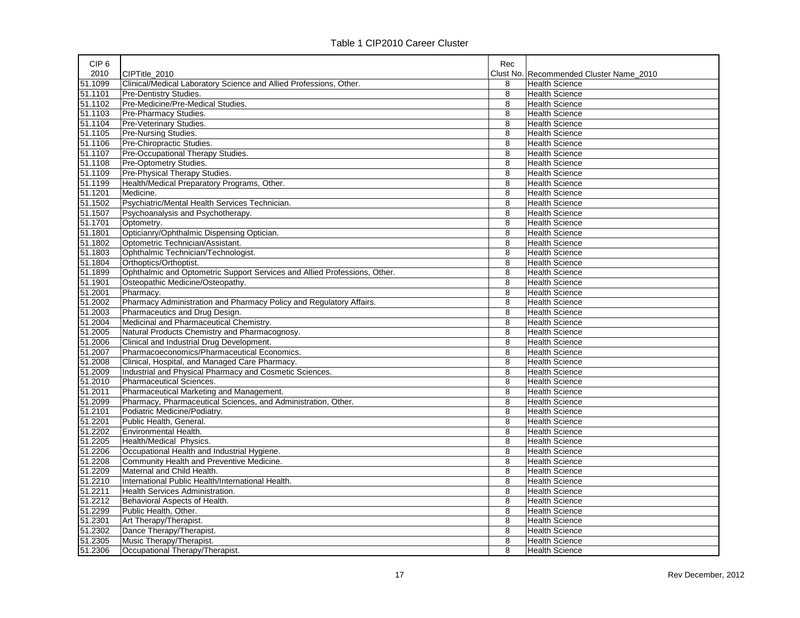| 2010<br>CIPTitle 2010<br>Clust No. Recommended Cluster Name 2010<br>Clinical/Medical Laboratory Science and Allied Professions, Other.<br>8<br><b>Health Science</b><br>8<br>Pre-Dentistry Studies.<br><b>Health Science</b><br>Pre-Medicine/Pre-Medical Studies.<br>8<br><b>Health Science</b><br>Pre-Pharmacy Studies.<br>8<br><b>Health Science</b><br>Pre-Veterinary Studies.<br>8<br><b>Health Science</b><br><b>Pre-Nursing Studies.</b><br><b>Health Science</b><br>8<br>Pre-Chiropractic Studies.<br>8<br><b>Health Science</b><br>Pre-Occupational Therapy Studies.<br>8<br><b>Health Science</b><br>Pre-Optometry Studies.<br>8<br><b>Health Science</b><br>Pre-Physical Therapy Studies.<br>8<br><b>Health Science</b><br>51.1199<br>Health/Medical Preparatory Programs, Other.<br>8<br><b>Health Science</b><br>Medicine.<br>8<br><b>Health Science</b><br>51.1502<br>Psychiatric/Mental Health Services Technician.<br>8<br><b>Health Science</b><br>Psychoanalysis and Psychotherapy.<br>8<br><b>Health Science</b><br>8<br>Optometry.<br><b>Health Science</b><br>Opticianry/Ophthalmic Dispensing Optician.<br>8<br><b>Health Science</b><br>Optometric Technician/Assistant.<br>8<br><b>Health Science</b><br>Ophthalmic Technician/Technologist.<br>8<br><b>Health Science</b><br>Orthoptics/Orthoptist.<br>8<br><b>Health Science</b><br>Ophthalmic and Optometric Support Services and Allied Professions, Other.<br>8<br><b>Health Science</b><br>Osteopathic Medicine/Osteopathy.<br>8<br><b>Health Science</b><br>8<br><b>Health Science</b><br>Pharmacy.<br>Pharmacy Administration and Pharmacy Policy and Regulatory Affairs.<br>8<br><b>Health Science</b><br>Pharmaceutics and Drug Design.<br>8<br><b>Health Science</b><br>Medicinal and Pharmaceutical Chemistry.<br>8<br><b>Health Science</b><br>Natural Products Chemistry and Pharmacognosy.<br>8<br><b>Health Science</b><br>Clinical and Industrial Drug Development.<br><b>Health Science</b><br>8<br>Pharmacoeconomics/Pharmaceutical Economics.<br>8<br><b>Health Science</b><br>Clinical, Hospital, and Managed Care Pharmacy.<br>8<br><b>Health Science</b><br>Industrial and Physical Pharmacy and Cosmetic Sciences.<br>8<br><b>Health Science</b><br><b>Pharmaceutical Sciences.</b><br>8<br><b>Health Science</b><br>Pharmaceutical Marketing and Management.<br>8<br><b>Health Science</b><br>Pharmacy, Pharmaceutical Sciences, and Administration, Other.<br>8<br><b>Health Science</b><br>Podiatric Medicine/Podiatry.<br>8<br><b>Health Science</b><br>Public Health, General.<br>8<br><b>Health Science</b><br>Environmental Health.<br>8<br><b>Health Science</b><br>Health/Medical Physics.<br>8<br><b>Health Science</b><br>Occupational Health and Industrial Hygiene.<br>8<br><b>Health Science</b><br>Community Health and Preventive Medicine.<br>8<br><b>Health Science</b><br>Maternal and Child Health.<br>8<br><b>Health Science</b><br>International Public Health/International Health.<br>8<br><b>Health Science</b><br>Health Services Administration.<br>8<br><b>Health Science</b><br>Behavioral Aspects of Health.<br>8<br><b>Health Science</b><br>8<br>Public Health, Other.<br><b>Health Science</b> | CIP <sub>6</sub> |                        | Rec |                       |
|--------------------------------------------------------------------------------------------------------------------------------------------------------------------------------------------------------------------------------------------------------------------------------------------------------------------------------------------------------------------------------------------------------------------------------------------------------------------------------------------------------------------------------------------------------------------------------------------------------------------------------------------------------------------------------------------------------------------------------------------------------------------------------------------------------------------------------------------------------------------------------------------------------------------------------------------------------------------------------------------------------------------------------------------------------------------------------------------------------------------------------------------------------------------------------------------------------------------------------------------------------------------------------------------------------------------------------------------------------------------------------------------------------------------------------------------------------------------------------------------------------------------------------------------------------------------------------------------------------------------------------------------------------------------------------------------------------------------------------------------------------------------------------------------------------------------------------------------------------------------------------------------------------------------------------------------------------------------------------------------------------------------------------------------------------------------------------------------------------------------------------------------------------------------------------------------------------------------------------------------------------------------------------------------------------------------------------------------------------------------------------------------------------------------------------------------------------------------------------------------------------------------------------------------------------------------------------------------------------------------------------------------------------------------------------------------------------------------------------------------------------------------------------------------------------------------------------------------------------------------------------------------------------------------------------------------------------------------------------------------------------------------------------------------------------------------------------------------------------------------------------------------------------------------------------------------------------------------------------|------------------|------------------------|-----|-----------------------|
|                                                                                                                                                                                                                                                                                                                                                                                                                                                                                                                                                                                                                                                                                                                                                                                                                                                                                                                                                                                                                                                                                                                                                                                                                                                                                                                                                                                                                                                                                                                                                                                                                                                                                                                                                                                                                                                                                                                                                                                                                                                                                                                                                                                                                                                                                                                                                                                                                                                                                                                                                                                                                                                                                                                                                                                                                                                                                                                                                                                                                                                                                                                                                                                                                                |                  |                        |     |                       |
|                                                                                                                                                                                                                                                                                                                                                                                                                                                                                                                                                                                                                                                                                                                                                                                                                                                                                                                                                                                                                                                                                                                                                                                                                                                                                                                                                                                                                                                                                                                                                                                                                                                                                                                                                                                                                                                                                                                                                                                                                                                                                                                                                                                                                                                                                                                                                                                                                                                                                                                                                                                                                                                                                                                                                                                                                                                                                                                                                                                                                                                                                                                                                                                                                                | 51.1099          |                        |     |                       |
|                                                                                                                                                                                                                                                                                                                                                                                                                                                                                                                                                                                                                                                                                                                                                                                                                                                                                                                                                                                                                                                                                                                                                                                                                                                                                                                                                                                                                                                                                                                                                                                                                                                                                                                                                                                                                                                                                                                                                                                                                                                                                                                                                                                                                                                                                                                                                                                                                                                                                                                                                                                                                                                                                                                                                                                                                                                                                                                                                                                                                                                                                                                                                                                                                                | 51.1101          |                        |     |                       |
|                                                                                                                                                                                                                                                                                                                                                                                                                                                                                                                                                                                                                                                                                                                                                                                                                                                                                                                                                                                                                                                                                                                                                                                                                                                                                                                                                                                                                                                                                                                                                                                                                                                                                                                                                                                                                                                                                                                                                                                                                                                                                                                                                                                                                                                                                                                                                                                                                                                                                                                                                                                                                                                                                                                                                                                                                                                                                                                                                                                                                                                                                                                                                                                                                                | 51.1102          |                        |     |                       |
|                                                                                                                                                                                                                                                                                                                                                                                                                                                                                                                                                                                                                                                                                                                                                                                                                                                                                                                                                                                                                                                                                                                                                                                                                                                                                                                                                                                                                                                                                                                                                                                                                                                                                                                                                                                                                                                                                                                                                                                                                                                                                                                                                                                                                                                                                                                                                                                                                                                                                                                                                                                                                                                                                                                                                                                                                                                                                                                                                                                                                                                                                                                                                                                                                                | 51.1103          |                        |     |                       |
|                                                                                                                                                                                                                                                                                                                                                                                                                                                                                                                                                                                                                                                                                                                                                                                                                                                                                                                                                                                                                                                                                                                                                                                                                                                                                                                                                                                                                                                                                                                                                                                                                                                                                                                                                                                                                                                                                                                                                                                                                                                                                                                                                                                                                                                                                                                                                                                                                                                                                                                                                                                                                                                                                                                                                                                                                                                                                                                                                                                                                                                                                                                                                                                                                                | 51.1104          |                        |     |                       |
|                                                                                                                                                                                                                                                                                                                                                                                                                                                                                                                                                                                                                                                                                                                                                                                                                                                                                                                                                                                                                                                                                                                                                                                                                                                                                                                                                                                                                                                                                                                                                                                                                                                                                                                                                                                                                                                                                                                                                                                                                                                                                                                                                                                                                                                                                                                                                                                                                                                                                                                                                                                                                                                                                                                                                                                                                                                                                                                                                                                                                                                                                                                                                                                                                                | 51.1105          |                        |     |                       |
|                                                                                                                                                                                                                                                                                                                                                                                                                                                                                                                                                                                                                                                                                                                                                                                                                                                                                                                                                                                                                                                                                                                                                                                                                                                                                                                                                                                                                                                                                                                                                                                                                                                                                                                                                                                                                                                                                                                                                                                                                                                                                                                                                                                                                                                                                                                                                                                                                                                                                                                                                                                                                                                                                                                                                                                                                                                                                                                                                                                                                                                                                                                                                                                                                                | 51.1106          |                        |     |                       |
|                                                                                                                                                                                                                                                                                                                                                                                                                                                                                                                                                                                                                                                                                                                                                                                                                                                                                                                                                                                                                                                                                                                                                                                                                                                                                                                                                                                                                                                                                                                                                                                                                                                                                                                                                                                                                                                                                                                                                                                                                                                                                                                                                                                                                                                                                                                                                                                                                                                                                                                                                                                                                                                                                                                                                                                                                                                                                                                                                                                                                                                                                                                                                                                                                                | 51.1107          |                        |     |                       |
|                                                                                                                                                                                                                                                                                                                                                                                                                                                                                                                                                                                                                                                                                                                                                                                                                                                                                                                                                                                                                                                                                                                                                                                                                                                                                                                                                                                                                                                                                                                                                                                                                                                                                                                                                                                                                                                                                                                                                                                                                                                                                                                                                                                                                                                                                                                                                                                                                                                                                                                                                                                                                                                                                                                                                                                                                                                                                                                                                                                                                                                                                                                                                                                                                                | 51.1108          |                        |     |                       |
|                                                                                                                                                                                                                                                                                                                                                                                                                                                                                                                                                                                                                                                                                                                                                                                                                                                                                                                                                                                                                                                                                                                                                                                                                                                                                                                                                                                                                                                                                                                                                                                                                                                                                                                                                                                                                                                                                                                                                                                                                                                                                                                                                                                                                                                                                                                                                                                                                                                                                                                                                                                                                                                                                                                                                                                                                                                                                                                                                                                                                                                                                                                                                                                                                                | 51.1109          |                        |     |                       |
|                                                                                                                                                                                                                                                                                                                                                                                                                                                                                                                                                                                                                                                                                                                                                                                                                                                                                                                                                                                                                                                                                                                                                                                                                                                                                                                                                                                                                                                                                                                                                                                                                                                                                                                                                                                                                                                                                                                                                                                                                                                                                                                                                                                                                                                                                                                                                                                                                                                                                                                                                                                                                                                                                                                                                                                                                                                                                                                                                                                                                                                                                                                                                                                                                                |                  |                        |     |                       |
|                                                                                                                                                                                                                                                                                                                                                                                                                                                                                                                                                                                                                                                                                                                                                                                                                                                                                                                                                                                                                                                                                                                                                                                                                                                                                                                                                                                                                                                                                                                                                                                                                                                                                                                                                                                                                                                                                                                                                                                                                                                                                                                                                                                                                                                                                                                                                                                                                                                                                                                                                                                                                                                                                                                                                                                                                                                                                                                                                                                                                                                                                                                                                                                                                                | 51.1201          |                        |     |                       |
|                                                                                                                                                                                                                                                                                                                                                                                                                                                                                                                                                                                                                                                                                                                                                                                                                                                                                                                                                                                                                                                                                                                                                                                                                                                                                                                                                                                                                                                                                                                                                                                                                                                                                                                                                                                                                                                                                                                                                                                                                                                                                                                                                                                                                                                                                                                                                                                                                                                                                                                                                                                                                                                                                                                                                                                                                                                                                                                                                                                                                                                                                                                                                                                                                                |                  |                        |     |                       |
|                                                                                                                                                                                                                                                                                                                                                                                                                                                                                                                                                                                                                                                                                                                                                                                                                                                                                                                                                                                                                                                                                                                                                                                                                                                                                                                                                                                                                                                                                                                                                                                                                                                                                                                                                                                                                                                                                                                                                                                                                                                                                                                                                                                                                                                                                                                                                                                                                                                                                                                                                                                                                                                                                                                                                                                                                                                                                                                                                                                                                                                                                                                                                                                                                                | 51.1507          |                        |     |                       |
|                                                                                                                                                                                                                                                                                                                                                                                                                                                                                                                                                                                                                                                                                                                                                                                                                                                                                                                                                                                                                                                                                                                                                                                                                                                                                                                                                                                                                                                                                                                                                                                                                                                                                                                                                                                                                                                                                                                                                                                                                                                                                                                                                                                                                                                                                                                                                                                                                                                                                                                                                                                                                                                                                                                                                                                                                                                                                                                                                                                                                                                                                                                                                                                                                                | 51.1701          |                        |     |                       |
|                                                                                                                                                                                                                                                                                                                                                                                                                                                                                                                                                                                                                                                                                                                                                                                                                                                                                                                                                                                                                                                                                                                                                                                                                                                                                                                                                                                                                                                                                                                                                                                                                                                                                                                                                                                                                                                                                                                                                                                                                                                                                                                                                                                                                                                                                                                                                                                                                                                                                                                                                                                                                                                                                                                                                                                                                                                                                                                                                                                                                                                                                                                                                                                                                                | 51.1801          |                        |     |                       |
|                                                                                                                                                                                                                                                                                                                                                                                                                                                                                                                                                                                                                                                                                                                                                                                                                                                                                                                                                                                                                                                                                                                                                                                                                                                                                                                                                                                                                                                                                                                                                                                                                                                                                                                                                                                                                                                                                                                                                                                                                                                                                                                                                                                                                                                                                                                                                                                                                                                                                                                                                                                                                                                                                                                                                                                                                                                                                                                                                                                                                                                                                                                                                                                                                                | 51.1802          |                        |     |                       |
|                                                                                                                                                                                                                                                                                                                                                                                                                                                                                                                                                                                                                                                                                                                                                                                                                                                                                                                                                                                                                                                                                                                                                                                                                                                                                                                                                                                                                                                                                                                                                                                                                                                                                                                                                                                                                                                                                                                                                                                                                                                                                                                                                                                                                                                                                                                                                                                                                                                                                                                                                                                                                                                                                                                                                                                                                                                                                                                                                                                                                                                                                                                                                                                                                                | 51.1803          |                        |     |                       |
|                                                                                                                                                                                                                                                                                                                                                                                                                                                                                                                                                                                                                                                                                                                                                                                                                                                                                                                                                                                                                                                                                                                                                                                                                                                                                                                                                                                                                                                                                                                                                                                                                                                                                                                                                                                                                                                                                                                                                                                                                                                                                                                                                                                                                                                                                                                                                                                                                                                                                                                                                                                                                                                                                                                                                                                                                                                                                                                                                                                                                                                                                                                                                                                                                                | 51.1804          |                        |     |                       |
|                                                                                                                                                                                                                                                                                                                                                                                                                                                                                                                                                                                                                                                                                                                                                                                                                                                                                                                                                                                                                                                                                                                                                                                                                                                                                                                                                                                                                                                                                                                                                                                                                                                                                                                                                                                                                                                                                                                                                                                                                                                                                                                                                                                                                                                                                                                                                                                                                                                                                                                                                                                                                                                                                                                                                                                                                                                                                                                                                                                                                                                                                                                                                                                                                                | 51.1899          |                        |     |                       |
|                                                                                                                                                                                                                                                                                                                                                                                                                                                                                                                                                                                                                                                                                                                                                                                                                                                                                                                                                                                                                                                                                                                                                                                                                                                                                                                                                                                                                                                                                                                                                                                                                                                                                                                                                                                                                                                                                                                                                                                                                                                                                                                                                                                                                                                                                                                                                                                                                                                                                                                                                                                                                                                                                                                                                                                                                                                                                                                                                                                                                                                                                                                                                                                                                                | 51.1901          |                        |     |                       |
|                                                                                                                                                                                                                                                                                                                                                                                                                                                                                                                                                                                                                                                                                                                                                                                                                                                                                                                                                                                                                                                                                                                                                                                                                                                                                                                                                                                                                                                                                                                                                                                                                                                                                                                                                                                                                                                                                                                                                                                                                                                                                                                                                                                                                                                                                                                                                                                                                                                                                                                                                                                                                                                                                                                                                                                                                                                                                                                                                                                                                                                                                                                                                                                                                                | 51.2001          |                        |     |                       |
|                                                                                                                                                                                                                                                                                                                                                                                                                                                                                                                                                                                                                                                                                                                                                                                                                                                                                                                                                                                                                                                                                                                                                                                                                                                                                                                                                                                                                                                                                                                                                                                                                                                                                                                                                                                                                                                                                                                                                                                                                                                                                                                                                                                                                                                                                                                                                                                                                                                                                                                                                                                                                                                                                                                                                                                                                                                                                                                                                                                                                                                                                                                                                                                                                                | 51.2002          |                        |     |                       |
|                                                                                                                                                                                                                                                                                                                                                                                                                                                                                                                                                                                                                                                                                                                                                                                                                                                                                                                                                                                                                                                                                                                                                                                                                                                                                                                                                                                                                                                                                                                                                                                                                                                                                                                                                                                                                                                                                                                                                                                                                                                                                                                                                                                                                                                                                                                                                                                                                                                                                                                                                                                                                                                                                                                                                                                                                                                                                                                                                                                                                                                                                                                                                                                                                                | 51.2003          |                        |     |                       |
|                                                                                                                                                                                                                                                                                                                                                                                                                                                                                                                                                                                                                                                                                                                                                                                                                                                                                                                                                                                                                                                                                                                                                                                                                                                                                                                                                                                                                                                                                                                                                                                                                                                                                                                                                                                                                                                                                                                                                                                                                                                                                                                                                                                                                                                                                                                                                                                                                                                                                                                                                                                                                                                                                                                                                                                                                                                                                                                                                                                                                                                                                                                                                                                                                                | 51.2004          |                        |     |                       |
|                                                                                                                                                                                                                                                                                                                                                                                                                                                                                                                                                                                                                                                                                                                                                                                                                                                                                                                                                                                                                                                                                                                                                                                                                                                                                                                                                                                                                                                                                                                                                                                                                                                                                                                                                                                                                                                                                                                                                                                                                                                                                                                                                                                                                                                                                                                                                                                                                                                                                                                                                                                                                                                                                                                                                                                                                                                                                                                                                                                                                                                                                                                                                                                                                                | 51.2005          |                        |     |                       |
|                                                                                                                                                                                                                                                                                                                                                                                                                                                                                                                                                                                                                                                                                                                                                                                                                                                                                                                                                                                                                                                                                                                                                                                                                                                                                                                                                                                                                                                                                                                                                                                                                                                                                                                                                                                                                                                                                                                                                                                                                                                                                                                                                                                                                                                                                                                                                                                                                                                                                                                                                                                                                                                                                                                                                                                                                                                                                                                                                                                                                                                                                                                                                                                                                                | 51.2006          |                        |     |                       |
|                                                                                                                                                                                                                                                                                                                                                                                                                                                                                                                                                                                                                                                                                                                                                                                                                                                                                                                                                                                                                                                                                                                                                                                                                                                                                                                                                                                                                                                                                                                                                                                                                                                                                                                                                                                                                                                                                                                                                                                                                                                                                                                                                                                                                                                                                                                                                                                                                                                                                                                                                                                                                                                                                                                                                                                                                                                                                                                                                                                                                                                                                                                                                                                                                                | 51.2007          |                        |     |                       |
|                                                                                                                                                                                                                                                                                                                                                                                                                                                                                                                                                                                                                                                                                                                                                                                                                                                                                                                                                                                                                                                                                                                                                                                                                                                                                                                                                                                                                                                                                                                                                                                                                                                                                                                                                                                                                                                                                                                                                                                                                                                                                                                                                                                                                                                                                                                                                                                                                                                                                                                                                                                                                                                                                                                                                                                                                                                                                                                                                                                                                                                                                                                                                                                                                                | 51.2008          |                        |     |                       |
|                                                                                                                                                                                                                                                                                                                                                                                                                                                                                                                                                                                                                                                                                                                                                                                                                                                                                                                                                                                                                                                                                                                                                                                                                                                                                                                                                                                                                                                                                                                                                                                                                                                                                                                                                                                                                                                                                                                                                                                                                                                                                                                                                                                                                                                                                                                                                                                                                                                                                                                                                                                                                                                                                                                                                                                                                                                                                                                                                                                                                                                                                                                                                                                                                                | 51.2009          |                        |     |                       |
|                                                                                                                                                                                                                                                                                                                                                                                                                                                                                                                                                                                                                                                                                                                                                                                                                                                                                                                                                                                                                                                                                                                                                                                                                                                                                                                                                                                                                                                                                                                                                                                                                                                                                                                                                                                                                                                                                                                                                                                                                                                                                                                                                                                                                                                                                                                                                                                                                                                                                                                                                                                                                                                                                                                                                                                                                                                                                                                                                                                                                                                                                                                                                                                                                                | 51.2010          |                        |     |                       |
|                                                                                                                                                                                                                                                                                                                                                                                                                                                                                                                                                                                                                                                                                                                                                                                                                                                                                                                                                                                                                                                                                                                                                                                                                                                                                                                                                                                                                                                                                                                                                                                                                                                                                                                                                                                                                                                                                                                                                                                                                                                                                                                                                                                                                                                                                                                                                                                                                                                                                                                                                                                                                                                                                                                                                                                                                                                                                                                                                                                                                                                                                                                                                                                                                                | 51.2011          |                        |     |                       |
|                                                                                                                                                                                                                                                                                                                                                                                                                                                                                                                                                                                                                                                                                                                                                                                                                                                                                                                                                                                                                                                                                                                                                                                                                                                                                                                                                                                                                                                                                                                                                                                                                                                                                                                                                                                                                                                                                                                                                                                                                                                                                                                                                                                                                                                                                                                                                                                                                                                                                                                                                                                                                                                                                                                                                                                                                                                                                                                                                                                                                                                                                                                                                                                                                                | 51.2099          |                        |     |                       |
|                                                                                                                                                                                                                                                                                                                                                                                                                                                                                                                                                                                                                                                                                                                                                                                                                                                                                                                                                                                                                                                                                                                                                                                                                                                                                                                                                                                                                                                                                                                                                                                                                                                                                                                                                                                                                                                                                                                                                                                                                                                                                                                                                                                                                                                                                                                                                                                                                                                                                                                                                                                                                                                                                                                                                                                                                                                                                                                                                                                                                                                                                                                                                                                                                                | 51.2101          |                        |     |                       |
|                                                                                                                                                                                                                                                                                                                                                                                                                                                                                                                                                                                                                                                                                                                                                                                                                                                                                                                                                                                                                                                                                                                                                                                                                                                                                                                                                                                                                                                                                                                                                                                                                                                                                                                                                                                                                                                                                                                                                                                                                                                                                                                                                                                                                                                                                                                                                                                                                                                                                                                                                                                                                                                                                                                                                                                                                                                                                                                                                                                                                                                                                                                                                                                                                                | 51.2201          |                        |     |                       |
|                                                                                                                                                                                                                                                                                                                                                                                                                                                                                                                                                                                                                                                                                                                                                                                                                                                                                                                                                                                                                                                                                                                                                                                                                                                                                                                                                                                                                                                                                                                                                                                                                                                                                                                                                                                                                                                                                                                                                                                                                                                                                                                                                                                                                                                                                                                                                                                                                                                                                                                                                                                                                                                                                                                                                                                                                                                                                                                                                                                                                                                                                                                                                                                                                                | 51.2202          |                        |     |                       |
|                                                                                                                                                                                                                                                                                                                                                                                                                                                                                                                                                                                                                                                                                                                                                                                                                                                                                                                                                                                                                                                                                                                                                                                                                                                                                                                                                                                                                                                                                                                                                                                                                                                                                                                                                                                                                                                                                                                                                                                                                                                                                                                                                                                                                                                                                                                                                                                                                                                                                                                                                                                                                                                                                                                                                                                                                                                                                                                                                                                                                                                                                                                                                                                                                                | 51.2205          |                        |     |                       |
|                                                                                                                                                                                                                                                                                                                                                                                                                                                                                                                                                                                                                                                                                                                                                                                                                                                                                                                                                                                                                                                                                                                                                                                                                                                                                                                                                                                                                                                                                                                                                                                                                                                                                                                                                                                                                                                                                                                                                                                                                                                                                                                                                                                                                                                                                                                                                                                                                                                                                                                                                                                                                                                                                                                                                                                                                                                                                                                                                                                                                                                                                                                                                                                                                                | 51.2206          |                        |     |                       |
|                                                                                                                                                                                                                                                                                                                                                                                                                                                                                                                                                                                                                                                                                                                                                                                                                                                                                                                                                                                                                                                                                                                                                                                                                                                                                                                                                                                                                                                                                                                                                                                                                                                                                                                                                                                                                                                                                                                                                                                                                                                                                                                                                                                                                                                                                                                                                                                                                                                                                                                                                                                                                                                                                                                                                                                                                                                                                                                                                                                                                                                                                                                                                                                                                                | 51.2208          |                        |     |                       |
|                                                                                                                                                                                                                                                                                                                                                                                                                                                                                                                                                                                                                                                                                                                                                                                                                                                                                                                                                                                                                                                                                                                                                                                                                                                                                                                                                                                                                                                                                                                                                                                                                                                                                                                                                                                                                                                                                                                                                                                                                                                                                                                                                                                                                                                                                                                                                                                                                                                                                                                                                                                                                                                                                                                                                                                                                                                                                                                                                                                                                                                                                                                                                                                                                                | 51.2209          |                        |     |                       |
|                                                                                                                                                                                                                                                                                                                                                                                                                                                                                                                                                                                                                                                                                                                                                                                                                                                                                                                                                                                                                                                                                                                                                                                                                                                                                                                                                                                                                                                                                                                                                                                                                                                                                                                                                                                                                                                                                                                                                                                                                                                                                                                                                                                                                                                                                                                                                                                                                                                                                                                                                                                                                                                                                                                                                                                                                                                                                                                                                                                                                                                                                                                                                                                                                                | 51.2210          |                        |     |                       |
|                                                                                                                                                                                                                                                                                                                                                                                                                                                                                                                                                                                                                                                                                                                                                                                                                                                                                                                                                                                                                                                                                                                                                                                                                                                                                                                                                                                                                                                                                                                                                                                                                                                                                                                                                                                                                                                                                                                                                                                                                                                                                                                                                                                                                                                                                                                                                                                                                                                                                                                                                                                                                                                                                                                                                                                                                                                                                                                                                                                                                                                                                                                                                                                                                                | 51.2211          |                        |     |                       |
|                                                                                                                                                                                                                                                                                                                                                                                                                                                                                                                                                                                                                                                                                                                                                                                                                                                                                                                                                                                                                                                                                                                                                                                                                                                                                                                                                                                                                                                                                                                                                                                                                                                                                                                                                                                                                                                                                                                                                                                                                                                                                                                                                                                                                                                                                                                                                                                                                                                                                                                                                                                                                                                                                                                                                                                                                                                                                                                                                                                                                                                                                                                                                                                                                                | 51.2212          |                        |     |                       |
|                                                                                                                                                                                                                                                                                                                                                                                                                                                                                                                                                                                                                                                                                                                                                                                                                                                                                                                                                                                                                                                                                                                                                                                                                                                                                                                                                                                                                                                                                                                                                                                                                                                                                                                                                                                                                                                                                                                                                                                                                                                                                                                                                                                                                                                                                                                                                                                                                                                                                                                                                                                                                                                                                                                                                                                                                                                                                                                                                                                                                                                                                                                                                                                                                                | 51.2299          |                        |     |                       |
|                                                                                                                                                                                                                                                                                                                                                                                                                                                                                                                                                                                                                                                                                                                                                                                                                                                                                                                                                                                                                                                                                                                                                                                                                                                                                                                                                                                                                                                                                                                                                                                                                                                                                                                                                                                                                                                                                                                                                                                                                                                                                                                                                                                                                                                                                                                                                                                                                                                                                                                                                                                                                                                                                                                                                                                                                                                                                                                                                                                                                                                                                                                                                                                                                                | 51.2301          | Art Therapy/Therapist. | 8   | <b>Health Science</b> |
| Dance Therapy/Therapist.<br>8<br><b>Health Science</b>                                                                                                                                                                                                                                                                                                                                                                                                                                                                                                                                                                                                                                                                                                                                                                                                                                                                                                                                                                                                                                                                                                                                                                                                                                                                                                                                                                                                                                                                                                                                                                                                                                                                                                                                                                                                                                                                                                                                                                                                                                                                                                                                                                                                                                                                                                                                                                                                                                                                                                                                                                                                                                                                                                                                                                                                                                                                                                                                                                                                                                                                                                                                                                         | 51.2302          |                        |     |                       |
| Music Therapy/Therapist.<br>8<br><b>Health Science</b>                                                                                                                                                                                                                                                                                                                                                                                                                                                                                                                                                                                                                                                                                                                                                                                                                                                                                                                                                                                                                                                                                                                                                                                                                                                                                                                                                                                                                                                                                                                                                                                                                                                                                                                                                                                                                                                                                                                                                                                                                                                                                                                                                                                                                                                                                                                                                                                                                                                                                                                                                                                                                                                                                                                                                                                                                                                                                                                                                                                                                                                                                                                                                                         | 51.2305          |                        |     |                       |
| Occupational Therapy/Therapist.<br>8<br><b>Health Science</b>                                                                                                                                                                                                                                                                                                                                                                                                                                                                                                                                                                                                                                                                                                                                                                                                                                                                                                                                                                                                                                                                                                                                                                                                                                                                                                                                                                                                                                                                                                                                                                                                                                                                                                                                                                                                                                                                                                                                                                                                                                                                                                                                                                                                                                                                                                                                                                                                                                                                                                                                                                                                                                                                                                                                                                                                                                                                                                                                                                                                                                                                                                                                                                  | 51.2306          |                        |     |                       |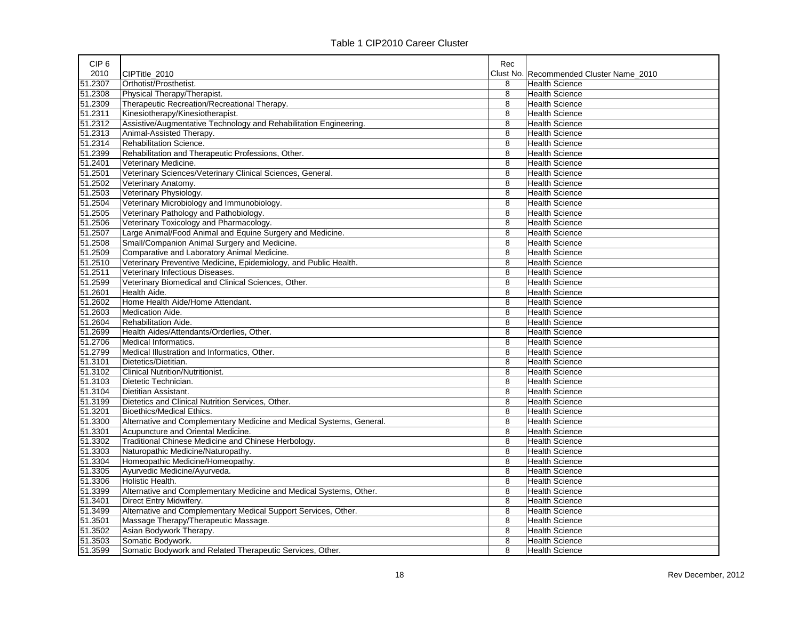|  | Table 1 CIP2010 Career Cluster |  |
|--|--------------------------------|--|
|--|--------------------------------|--|

| CIP <sub>6</sub> |                                                                      | Rec |                                         |
|------------------|----------------------------------------------------------------------|-----|-----------------------------------------|
| 2010             | CIPTitle_2010                                                        |     | Clust No. Recommended Cluster Name 2010 |
| 51.2307          | Orthotist/Prosthetist.                                               | 8   | <b>Health Science</b>                   |
| 51.2308          | Physical Therapy/Therapist.                                          | 8   | <b>Health Science</b>                   |
| 51.2309          | Therapeutic Recreation/Recreational Therapy.                         | 8   | <b>Health Science</b>                   |
| 51.2311          | Kinesiotherapy/Kinesiotherapist.                                     | 8   | <b>Health Science</b>                   |
| 51.2312          | Assistive/Augmentative Technology and Rehabilitation Engineering.    | 8   | <b>Health Science</b>                   |
| 51.2313          | Animal-Assisted Therapy.                                             | 8   | <b>Health Science</b>                   |
| 51.2314          | Rehabilitation Science.                                              | 8   | <b>Health Science</b>                   |
| 51.2399          | Rehabilitation and Therapeutic Professions, Other.                   | 8   | <b>Health Science</b>                   |
| 51.2401          | Veterinary Medicine.                                                 | 8   | <b>Health Science</b>                   |
| 51.2501          | Veterinary Sciences/Veterinary Clinical Sciences, General.           | 8   | <b>Health Science</b>                   |
| 51.2502          | Veterinary Anatomy.                                                  | 8   | Health Science                          |
| 51.2503          | Veterinary Physiology.                                               | 8   | <b>Health Science</b>                   |
| 51.2504          | Veterinary Microbiology and Immunobiology.                           | 8   | <b>Health Science</b>                   |
| 51.2505          | Veterinary Pathology and Pathobiology.                               | 8   | <b>Health Science</b>                   |
| 51.2506          | Veterinary Toxicology and Pharmacology.                              | 8   | <b>Health Science</b>                   |
| 51.2507          | Large Animal/Food Animal and Equine Surgery and Medicine.            | 8   | <b>Health Science</b>                   |
| 51.2508          | Small/Companion Animal Surgery and Medicine.                         | 8   | <b>Health Science</b>                   |
| 51.2509          | Comparative and Laboratory Animal Medicine.                          | 8   | <b>Health Science</b>                   |
| 51.2510          | Veterinary Preventive Medicine, Epidemiology, and Public Health.     | 8   | <b>Health Science</b>                   |
| 51.2511          | Veterinary Infectious Diseases.                                      | 8   | <b>Health Science</b>                   |
| 51.2599          | Veterinary Biomedical and Clinical Sciences, Other.                  | 8   | <b>Health Science</b>                   |
| 51.2601          | Health Aide.                                                         | 8   | <b>Health Science</b>                   |
| 51.2602          | Home Health Aide/Home Attendant.                                     | 8   | <b>Health Science</b>                   |
| 51.2603          | Medication Aide.                                                     | 8   | <b>Health Science</b>                   |
| 51.2604          | Rehabilitation Aide.                                                 | 8   | <b>Health Science</b>                   |
| 51.2699          | Health Aides/Attendants/Orderlies, Other.                            | 8   | <b>Health Science</b>                   |
| 51.2706          | Medical Informatics.                                                 | 8   | <b>Health Science</b>                   |
| 51.2799          | Medical Illustration and Informatics, Other.                         | 8   | <b>Health Science</b>                   |
| 51.3101          | Dietetics/Dietitian.                                                 | 8   | <b>Health Science</b>                   |
| 51.3102          | <b>Clinical Nutrition/Nutritionist.</b>                              | 8   | <b>Health Science</b>                   |
| 51.3103          | Dietetic Technician.                                                 | 8   | <b>Health Science</b>                   |
| 51.3104          | Dietitian Assistant.                                                 | 8   | <b>Health Science</b>                   |
| 51.3199          | Dietetics and Clinical Nutrition Services, Other.                    | 8   | <b>Health Science</b>                   |
| 51.3201          | Bioethics/Medical Ethics.                                            | 8   | <b>Health Science</b>                   |
| 51.3300          | Alternative and Complementary Medicine and Medical Systems, General. | 8   | <b>Health Science</b>                   |
| 51.3301          | Acupuncture and Oriental Medicine.                                   | 8   | <b>Health Science</b>                   |
| 51.3302          | Traditional Chinese Medicine and Chinese Herbology.                  | 8   | <b>Health Science</b>                   |
| 51.3303          | Naturopathic Medicine/Naturopathy.                                   | 8   | <b>Health Science</b>                   |
| 51.3304          | Homeopathic Medicine/Homeopathy.                                     | 8   | <b>Health Science</b>                   |
| 51.3305          | Ayurvedic Medicine/Ayurveda.                                         | 8   | <b>Health Science</b>                   |
| 51.3306          | Holistic Health.                                                     | 8   | <b>Health Science</b>                   |
| 51.3399          | Alternative and Complementary Medicine and Medical Systems, Other.   | 8   | <b>Health Science</b>                   |
| 51.3401          | Direct Entry Midwifery.                                              | 8   | <b>Health Science</b>                   |
| 51.3499          | Alternative and Complementary Medical Support Services, Other.       | 8   | <b>Health Science</b>                   |
| 51.3501          | Massage Therapy/Therapeutic Massage.                                 | 8   | <b>Health Science</b>                   |
| 51.3502          | Asian Bodywork Therapy.                                              | 8   | <b>Health Science</b>                   |
| 51.3503          | Somatic Bodywork.                                                    | 8   | <b>Health Science</b>                   |
| 51.3599          | Somatic Bodywork and Related Therapeutic Services, Other.            | 8   | <b>Health Science</b>                   |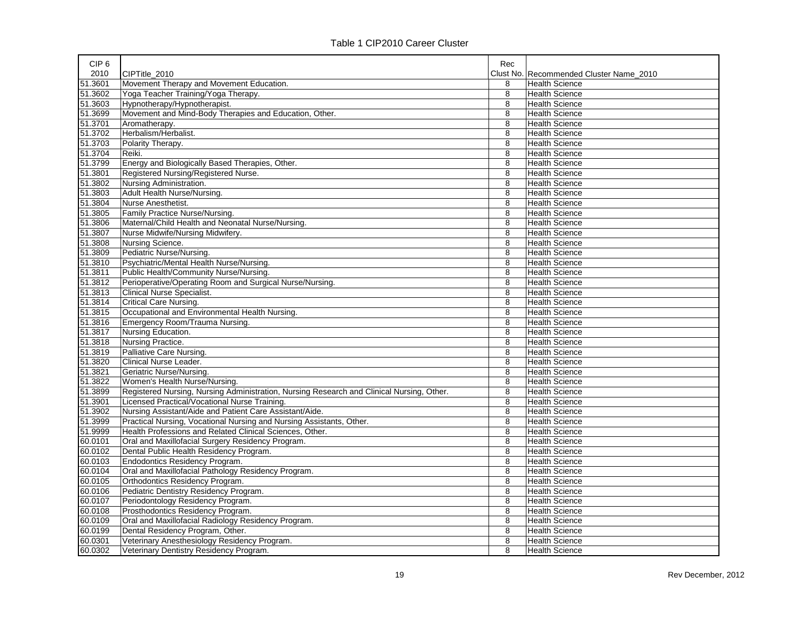| CIP <sub>6</sub> |                                                                                           | Rec |                                         |
|------------------|-------------------------------------------------------------------------------------------|-----|-----------------------------------------|
| 2010             | CIPTitle 2010                                                                             |     | Clust No. Recommended Cluster Name 2010 |
| 51.3601          | Movement Therapy and Movement Education.                                                  | 8   | <b>Health Science</b>                   |
| 51.3602          | Yoga Teacher Training/Yoga Therapy.                                                       | 8   | <b>Health Science</b>                   |
| 51.3603          | Hypnotherapy/Hypnotherapist.                                                              | 8   | <b>Health Science</b>                   |
| 51.3699          | Movement and Mind-Body Therapies and Education, Other.                                    | 8   | <b>Health Science</b>                   |
| 51.3701          | Aromatherapy.                                                                             | 8   | <b>Health Science</b>                   |
| 51.3702          | Herbalism/Herbalist.                                                                      | 8   | <b>Health Science</b>                   |
| 51.3703          | Polarity Therapy.                                                                         | 8   | <b>Health Science</b>                   |
| 51.3704          | Reiki.                                                                                    | 8   | Health Science                          |
| 51.3799          | Energy and Biologically Based Therapies, Other.                                           | 8   | <b>Health Science</b>                   |
| 51.3801          | Registered Nursing/Registered Nurse.                                                      | 8   | <b>Health Science</b>                   |
| 51.3802          | Nursing Administration.                                                                   | 8   | <b>Health Science</b>                   |
| 51.3803          | Adult Health Nurse/Nursing.                                                               | 8   | <b>Health Science</b>                   |
| 51.3804          | Nurse Anesthetist.                                                                        | 8   | <b>Health Science</b>                   |
| 51.3805          | Family Practice Nurse/Nursing.                                                            | 8   | <b>Health Science</b>                   |
| 51.3806          | Maternal/Child Health and Neonatal Nurse/Nursing.                                         | 8   | <b>Health Science</b>                   |
| 51.3807          | Nurse Midwife/Nursing Midwifery.                                                          | 8   | <b>Health Science</b>                   |
| 51.3808          | Nursing Science.                                                                          | 8   | <b>Health Science</b>                   |
| 51.3809          | Pediatric Nurse/Nursing.                                                                  | 8   | <b>Health Science</b>                   |
| 51.3810          | Psychiatric/Mental Health Nurse/Nursing.                                                  | 8   | <b>Health Science</b>                   |
| 51.3811          | Public Health/Community Nurse/Nursing.                                                    | 8   | <b>Health Science</b>                   |
| 51.3812          | Perioperative/Operating Room and Surgical Nurse/Nursing.                                  | 8   | Health Science                          |
| 51.3813          | <b>Clinical Nurse Specialist.</b>                                                         | 8   | <b>Health Science</b>                   |
| 51.3814          | <b>Critical Care Nursing.</b>                                                             | 8   | <b>Health Science</b>                   |
| 51.3815          | Occupational and Environmental Health Nursing                                             | 8   | <b>Health Science</b>                   |
| 51.3816          | Emergency Room/Trauma Nursing.                                                            | 8   | <b>Health Science</b>                   |
| 51.3817          | Nursing Education.                                                                        | 8   | <b>Health Science</b>                   |
| 51.3818          | Nursing Practice.                                                                         | 8   | <b>Health Science</b>                   |
| 51.3819          | Palliative Care Nursing.                                                                  | 8   | <b>Health Science</b>                   |
| 51.3820          | Clinical Nurse Leader.                                                                    | 8   | <b>Health Science</b>                   |
| 51.3821          | Geriatric Nurse/Nursing.                                                                  | 8   | <b>Health Science</b>                   |
| 51.3822          | Women's Health Nurse/Nursing.                                                             | 8   | <b>Health Science</b>                   |
| 51.3899          | Registered Nursing, Nursing Administration, Nursing Research and Clinical Nursing, Other. | 8   | <b>Health Science</b>                   |
| 51.3901          | Licensed Practical/Vocational Nurse Training.                                             | 8   | <b>Health Science</b>                   |
| 51.3902          | Nursing Assistant/Aide and Patient Care Assistant/Aide.                                   | 8   | <b>Health Science</b>                   |
| 51.3999          | Practical Nursing, Vocational Nursing and Nursing Assistants, Other.                      | 8   | <b>Health Science</b>                   |
| 51.9999          | Health Professions and Related Clinical Sciences, Other.                                  | 8   | <b>Health Science</b>                   |
| 60.0101          | Oral and Maxillofacial Surgery Residency Program.                                         | 8   | <b>Health Science</b>                   |
| 60.0102          | Dental Public Health Residency Program.                                                   | 8   | <b>Health Science</b>                   |
| 60.0103          | Endodontics Residency Program.                                                            | 8   | <b>Health Science</b>                   |
| 60.0104          | Oral and Maxillofacial Pathology Residency Program.                                       | 8   | <b>Health Science</b>                   |
| 60.0105          | Orthodontics Residency Program.                                                           | 8   | <b>Health Science</b>                   |
| 60.0106          | Pediatric Dentistry Residency Program.                                                    | 8   | <b>Health Science</b>                   |
| 60.0107          | Periodontology Residency Program.                                                         | 8   | <b>Health Science</b>                   |
| 60.0108          | Prosthodontics Residency Program.                                                         | 8   | <b>Health Science</b>                   |
| 60.0109          | Oral and Maxillofacial Radiology Residency Program.                                       | 8   | <b>Health Science</b>                   |
| 60.0199          | Dental Residency Program, Other.                                                          | 8   | <b>Health Science</b>                   |
| 60.0301          | Veterinary Anesthesiology Residency Program.                                              | 8   | Health Science                          |
| 60.0302          | Veterinary Dentistry Residency Program.                                                   | 8   | <b>Health Science</b>                   |
|                  |                                                                                           |     |                                         |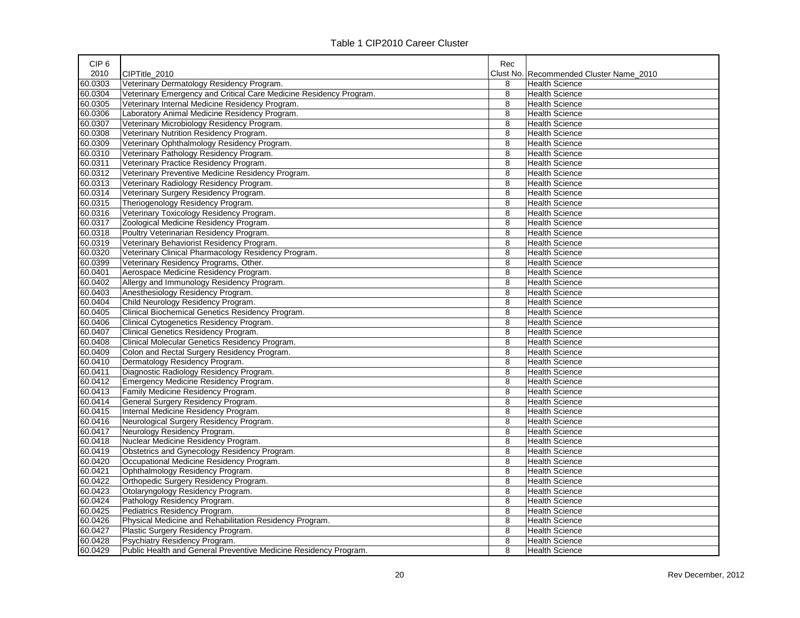| CIP <sub>6</sub> |                                                                    | Rec |                                         |
|------------------|--------------------------------------------------------------------|-----|-----------------------------------------|
| 2010             | CIPTitle 2010                                                      |     | Clust No. Recommended Cluster Name 2010 |
| 60.0303          | Veterinary Dermatology Residency Program.                          | 8   | <b>Health Science</b>                   |
| 60.0304          | Veterinary Emergency and Critical Care Medicine Residency Program. | 8   | <b>Health Science</b>                   |
| 60.0305          | Veterinary Internal Medicine Residency Program.                    | 8   | <b>Health Science</b>                   |
| 60.0306          | Laboratory Animal Medicine Residency Program.                      | 8   | <b>Health Science</b>                   |
| 60.0307          | Veterinary Microbiology Residency Program.                         | 8   | <b>Health Science</b>                   |
| 60.0308          | Veterinary Nutrition Residency Program.                            | 8   | <b>Health Science</b>                   |
| 60.0309          | Veterinary Ophthalmology Residency Program.                        | 8   | <b>Health Science</b>                   |
| 60.0310          | Veterinary Pathology Residency Program.                            | 8   | <b>Health Science</b>                   |
| 60.0311          | Veterinary Practice Residency Program.                             | 8   | <b>Health Science</b>                   |
| 60.0312          | Veterinary Preventive Medicine Residency Program.                  | 8   | <b>Health Science</b>                   |
| 60.0313          | Veterinary Radiology Residency Program.                            | 8   | <b>Health Science</b>                   |
| 60.0314          | Veterinary Surgery Residency Program.                              | 8   | <b>Health Science</b>                   |
| 60.0315          | Theriogenology Residency Program.                                  | 8   | <b>Health Science</b>                   |
| 60.0316          | Veterinary Toxicology Residency Program.                           | 8   | <b>Health Science</b>                   |
| 60.0317          | Zoological Medicine Residency Program.                             | 8   | <b>Health Science</b>                   |
| 60.0318          | Poultry Veterinarian Residency Program.                            | 8   | Health Science                          |
| 60.0319          | Veterinary Behaviorist Residency Program.                          | 8   | <b>Health Science</b>                   |
| 60.0320          | Veterinary Clinical Pharmacology Residency Program.                | 8   | <b>Health Science</b>                   |
| 60.0399          | Veterinary Residency Programs, Other.                              | 8   | <b>Health Science</b>                   |
| 60.0401          | Aerospace Medicine Residency Program.                              | 8   | <b>Health Science</b>                   |
| 60.0402          | Allergy and Immunology Residency Program.                          | 8   | <b>Health Science</b>                   |
| 60.0403          | Anesthesiology Residency Program.                                  | 8   | <b>Health Science</b>                   |
| 60.0404          | Child Neurology Residency Program.                                 | 8   | <b>Health Science</b>                   |
| 60.0405          | Clinical Biochemical Genetics Residency Program.                   | 8   | <b>Health Science</b>                   |
| 60.0406          | Clinical Cytogenetics Residency Program.                           | 8   | Health Science                          |
| 60.0407          | Clinical Genetics Residency Program.                               | 8   | <b>Health Science</b>                   |
| 60.0408          | Clinical Molecular Genetics Residency Program.                     | 8   | <b>Health Science</b>                   |
| 60.0409          | Colon and Rectal Surgery Residency Program.                        | 8   | <b>Health Science</b>                   |
| 60.0410          | Dermatology Residency Program.                                     | 8   | <b>Health Science</b>                   |
| 60.0411          | Diagnostic Radiology Residency Program.                            | 8   | <b>Health Science</b>                   |
| 60.0412          | Emergency Medicine Residency Program.                              | 8   | Health Science                          |
| 60.0413          | Family Medicine Residency Program.                                 | 8   | <b>Health Science</b>                   |
| 60.0414          | General Surgery Residency Program.                                 | 8   | <b>Health Science</b>                   |
| 60.0415          | Internal Medicine Residency Program.                               | 8   | <b>Health Science</b>                   |
| 60.0416          | Neurological Surgery Residency Program.                            | 8   | <b>Health Science</b>                   |
| 60.0417          | Neurology Residency Program.                                       | 8   | <b>Health Science</b>                   |
| 60.0418          | Nuclear Medicine Residency Program.                                | 8   |                                         |
|                  |                                                                    |     | <b>Health Science</b>                   |
| 60.0419          | Obstetrics and Gynecology Residency Program.                       | 8   | <b>Health Science</b>                   |
| 60.0420          | Occupational Medicine Residency Program.                           | 8   | <b>Health Science</b>                   |
| 60.0421          | Ophthalmology Residency Program.                                   | 8   | <b>Health Science</b>                   |
| 60.0422          | Orthopedic Surgery Residency Program.                              | 8   | <b>Health Science</b>                   |
| 60.0423          | Otolaryngology Residency Program.                                  | 8   | <b>Health Science</b>                   |
| 60.0424          | Pathology Residency Program.                                       | 8   | <b>Health Science</b>                   |
| 60.0425          | Pediatrics Residency Program.                                      | 8   | <b>Health Science</b>                   |
| 60.0426          | Physical Medicine and Rehabilitation Residency Program.            | 8   | <b>Health Science</b>                   |
| 60.0427          | Plastic Surgery Residency Program.                                 | 8   | <b>Health Science</b>                   |
| 60.0428          | Psychiatry Residency Program.                                      | 8   | <b>Health Science</b>                   |
| 60.0429          | Public Health and General Preventive Medicine Residency Program.   | 8   | <b>Health Science</b>                   |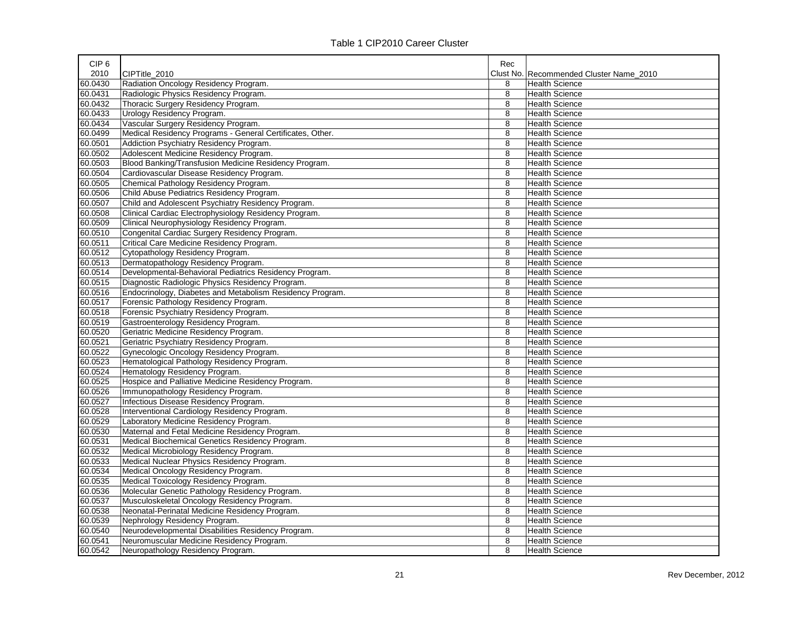| CIP <sub>6</sub> |                                                           | Rec |                                         |
|------------------|-----------------------------------------------------------|-----|-----------------------------------------|
| 2010             | CIPTitle 2010                                             |     | Clust No. Recommended Cluster Name 2010 |
| 60.0430          | Radiation Oncology Residency Program.                     | 8   | <b>Health Science</b>                   |
| 60.0431          | Radiologic Physics Residency Program.                     | 8   | <b>Health Science</b>                   |
| 60.0432          | Thoracic Surgery Residency Program.                       | 8   | <b>Health Science</b>                   |
| 60.0433          | Urology Residency Program.                                | 8   | <b>Health Science</b>                   |
| 60.0434          | Vascular Surgery Residency Program.                       | 8   | <b>Health Science</b>                   |
| 60.0499          | Medical Residency Programs - General Certificates, Other. | 8   | <b>Health Science</b>                   |
| 60.0501          | Addiction Psychiatry Residency Program.                   | 8   | <b>Health Science</b>                   |
| 60.0502          | Adolescent Medicine Residency Program.                    | 8   | <b>Health Science</b>                   |
| 60.0503          | Blood Banking/Transfusion Medicine Residency Program.     | 8   | <b>Health Science</b>                   |
| 60.0504          | Cardiovascular Disease Residency Program.                 | 8   | <b>Health Science</b>                   |
| 60.0505          | Chemical Pathology Residency Program.                     | 8   | <b>Health Science</b>                   |
| 60.0506          | Child Abuse Pediatrics Residency Program.                 | 8   | <b>Health Science</b>                   |
| 60.0507          | Child and Adolescent Psychiatry Residency Program.        | 8   | <b>Health Science</b>                   |
| 60.0508          | Clinical Cardiac Electrophysiology Residency Program.     | 8   | <b>Health Science</b>                   |
| 60.0509          | Clinical Neurophysiology Residency Program.               | 8   | Health Science                          |
| 60.0510          | Congenital Cardiac Surgery Residency Program.             | 8   | <b>Health Science</b>                   |
| 60.0511          | Critical Care Medicine Residency Program.                 | 8   | <b>Health Science</b>                   |
| 60.0512          | Cytopathology Residency Program.                          | 8   | <b>Health Science</b>                   |
| 60.0513          | Dermatopathology Residency Program.                       | 8   | Health Science                          |
| 60.0514          | Developmental-Behavioral Pediatrics Residency Program.    | 8   | <b>Health Science</b>                   |
| 60.0515          | Diagnostic Radiologic Physics Residency Program.          | 8   | <b>Health Science</b>                   |
| 60.0516          | Endocrinology, Diabetes and Metabolism Residency Program. | 8   | <b>Health Science</b>                   |
| 60.0517          | Forensic Pathology Residency Program.                     | 8   | <b>Health Science</b>                   |
| 60.0518          | Forensic Psychiatry Residency Program.                    | 8   | <b>Health Science</b>                   |
| 60.0519          | Gastroenterology Residency Program.                       | 8   | <b>Health Science</b>                   |
| 60.0520          | Geriatric Medicine Residency Program.                     | 8   | <b>Health Science</b>                   |
| 60.0521          | Geriatric Psychiatry Residency Program.                   | 8   | <b>Health Science</b>                   |
| 60.0522          | Gynecologic Oncology Residency Program.                   | 8   | <b>Health Science</b>                   |
| 60.0523          | Hematological Pathology Residency Program.                | 8   | <b>Health Science</b>                   |
| 60.0524          | Hematology Residency Program.                             | 8   | <b>Health Science</b>                   |
| 60.0525          | Hospice and Palliative Medicine Residency Program.        | 8   | <b>Health Science</b>                   |
| 60.0526          | Immunopathology Residency Program.                        | 8   | <b>Health Science</b>                   |
| 60.0527          | Infectious Disease Residency Program.                     | 8   | <b>Health Science</b>                   |
| 60.0528          | Interventional Cardiology Residency Program.              | 8   | <b>Health Science</b>                   |
| 60.0529          | Laboratory Medicine Residency Program.                    | 8   | <b>Health Science</b>                   |
| 60.0530          | Maternal and Fetal Medicine Residency Program.            | 8   | <b>Health Science</b>                   |
| 60.0531          | Medical Biochemical Genetics Residency Program.           | 8   | <b>Health Science</b>                   |
| 60.0532          | Medical Microbiology Residency Program.                   | 8   | <b>Health Science</b>                   |
| 60.0533          | Medical Nuclear Physics Residency Program.                | 8   | <b>Health Science</b>                   |
| 60.0534          | Medical Oncology Residency Program.                       | 8   | <b>Health Science</b>                   |
| 60.0535          | Medical Toxicology Residency Program.                     | 8   | <b>Health Science</b>                   |
| 60.0536          | Molecular Genetic Pathology Residency Program.            | 8   | <b>Health Science</b>                   |
| 60.0537          | Musculoskeletal Oncology Residency Program.               | 8   | <b>Health Science</b>                   |
| 60.0538          | Neonatal-Perinatal Medicine Residency Program.            | 8   | <b>Health Science</b>                   |
| 60.0539          | Nephrology Residency Program.                             | 8   | <b>Health Science</b>                   |
| 60.0540          | Neurodevelopmental Disabilities Residency Program.        | 8   | <b>Health Science</b>                   |
| 60.0541          | Neuromuscular Medicine Residency Program.                 | 8   | <b>Health Science</b>                   |
| 60.0542          | Neuropathology Residency Program.                         | 8   | <b>Health Science</b>                   |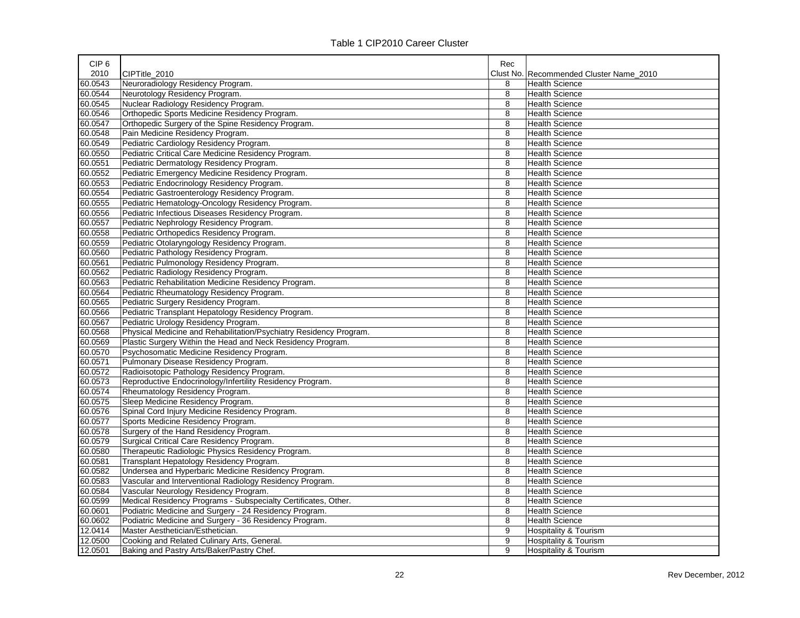| CIP <sub>6</sub> |                                                                    | Rec       |                                  |
|------------------|--------------------------------------------------------------------|-----------|----------------------------------|
| 2010             | CIPTitle 2010                                                      | Clust No. | Recommended Cluster Name 2010    |
| 60.0543          | Neuroradiology Residency Program.                                  | 8         | <b>Health Science</b>            |
| 60.0544          | Neurotology Residency Program.                                     | 8         | <b>Health Science</b>            |
| 60.0545          | Nuclear Radiology Residency Program.                               | 8         | <b>Health Science</b>            |
| 60.0546          | Orthopedic Sports Medicine Residency Program.                      | 8         | <b>Health Science</b>            |
| 60.0547          | Orthopedic Surgery of the Spine Residency Program.                 | 8         | <b>Health Science</b>            |
| 60.0548          | Pain Medicine Residency Program.                                   | 8         | <b>Health Science</b>            |
| 60.0549          | Pediatric Cardiology Residency Program.                            | 8         | <b>Health Science</b>            |
| 60.0550          | Pediatric Critical Care Medicine Residency Program.                | 8         | <b>Health Science</b>            |
| 60.0551          | Pediatric Dermatology Residency Program.                           | 8         | <b>Health Science</b>            |
| 60.0552          | Pediatric Emergency Medicine Residency Program.                    | 8         | <b>Health Science</b>            |
| 60.0553          | Pediatric Endocrinology Residency Program.                         | 8         | <b>Health Science</b>            |
| 60.0554          | Pediatric Gastroenterology Residency Program.                      | 8         | <b>Health Science</b>            |
| 60.0555          | Pediatric Hematology-Oncology Residency Program.                   | 8         | <b>Health Science</b>            |
| 60.0556          | Pediatric Infectious Diseases Residency Program.                   | 8         | <b>Health Science</b>            |
| 60.0557          | Pediatric Nephrology Residency Program.                            | 8         | <b>Health Science</b>            |
| 60.0558          | Pediatric Orthopedics Residency Program.                           | 8         | <b>Health Science</b>            |
| 60.0559          | Pediatric Otolaryngology Residency Program.                        | 8         | <b>Health Science</b>            |
| 60.0560          | Pediatric Pathology Residency Program.                             | 8         | <b>Health Science</b>            |
| 60.0561          | Pediatric Pulmonology Residency Program.                           | 8         | <b>Health Science</b>            |
| 60.0562          | Pediatric Radiology Residency Program.                             | 8         | <b>Health Science</b>            |
| 60.0563          | Pediatric Rehabilitation Medicine Residency Program.               | 8         | <b>Health Science</b>            |
| 60.0564          | Pediatric Rheumatology Residency Program.                          | 8         | <b>Health Science</b>            |
| 60.0565          | Pediatric Surgery Residency Program.                               | 8         | <b>Health Science</b>            |
| 60.0566          | Pediatric Transplant Hepatology Residency Program.                 | 8         | <b>Health Science</b>            |
| 60.0567          | Pediatric Urology Residency Program.                               | 8         | <b>Health Science</b>            |
| 60.0568          | Physical Medicine and Rehabilitation/Psychiatry Residency Program. | 8         | <b>Health Science</b>            |
| 60.0569          | Plastic Surgery Within the Head and Neck Residency Program.        | 8         | <b>Health Science</b>            |
| 60.0570          | Psychosomatic Medicine Residency Program.                          | 8         | <b>Health Science</b>            |
| 60.0571          | Pulmonary Disease Residency Program.                               | 8         | <b>Health Science</b>            |
| 60.0572          | Radioisotopic Pathology Residency Program.                         | 8         | <b>Health Science</b>            |
| 60.0573          | Reproductive Endocrinology/Infertility Residency Program.          | 8         | <b>Health Science</b>            |
| 60.0574          | Rheumatology Residency Program.                                    | 8         | <b>Health Science</b>            |
| 60.0575          | Sleep Medicine Residency Program.                                  | 8         | <b>Health Science</b>            |
| 60.0576          | Spinal Cord Injury Medicine Residency Program.                     | 8         | <b>Health Science</b>            |
| 60.0577          | Sports Medicine Residency Program.                                 | 8         | <b>Health Science</b>            |
| 60.0578          | Surgery of the Hand Residency Program.                             | 8         | <b>Health Science</b>            |
| 60.0579          | Surgical Critical Care Residency Program.                          | 8         | <b>Health Science</b>            |
| 60.0580          | Therapeutic Radiologic Physics Residency Program.                  | 8         | <b>Health Science</b>            |
| 60.0581          | Transplant Hepatology Residency Program.                           | 8         | Health Science                   |
| 60.0582          | Undersea and Hyperbaric Medicine Residency Program.                | 8         | <b>Health Science</b>            |
| 60.0583          | Vascular and Interventional Radiology Residency Program.           | 8         | <b>Health Science</b>            |
| 60.0584          | Vascular Neurology Residency Program.                              | 8         | <b>Health Science</b>            |
| 60.0599          | Medical Residency Programs - Subspecialty Certificates, Other.     | 8         | <b>Health Science</b>            |
| 60.0601          | Podiatric Medicine and Surgery - 24 Residency Program.             | 8         | <b>Health Science</b>            |
| 60.0602          | Podiatric Medicine and Surgery - 36 Residency Program.             | 8         | <b>Health Science</b>            |
| 12.0414          | Master Aesthetician/Esthetician.                                   | 9         | Hospitality & Tourism            |
| 12.0500          | Cooking and Related Culinary Arts, General.                        | 9         | <b>Hospitality &amp; Tourism</b> |
| 12.0501          | Baking and Pastry Arts/Baker/Pastry Chef.                          | 9         | Hospitality & Tourism            |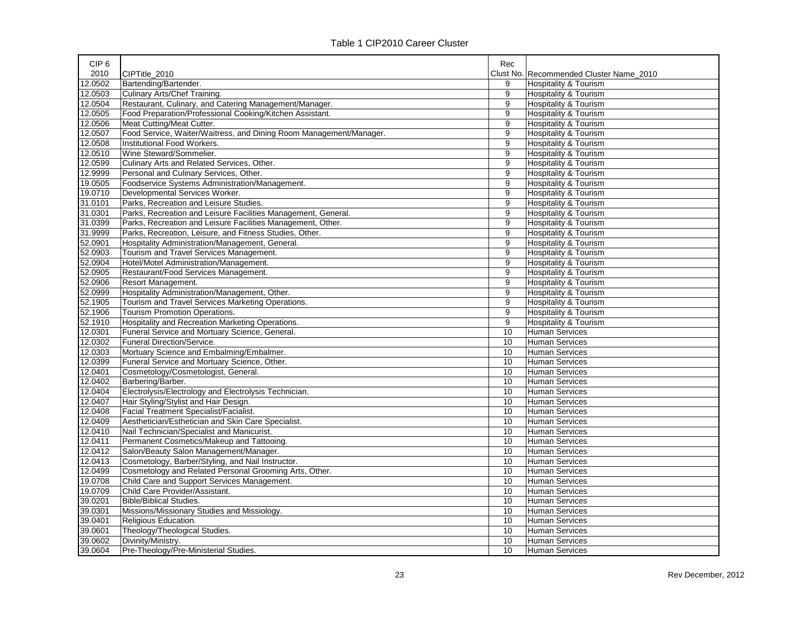| CIP <sub>6</sub> |                                                                    | Rec |                                         |
|------------------|--------------------------------------------------------------------|-----|-----------------------------------------|
| 2010             | CIPTitle 2010                                                      |     | Clust No. Recommended Cluster Name 2010 |
| 12.0502          | Bartending/Bartender.                                              | 9   | Hospitality & Tourism                   |
| 12.0503          | Culinary Arts/Chef Training.                                       | 9   | Hospitality & Tourism                   |
| 12.0504          | Restaurant, Culinary, and Catering Management/Manager.             | 9   | Hospitality & Tourism                   |
| 12.0505          | Food Preparation/Professional Cooking/Kitchen Assistant.           | 9   | Hospitality & Tourism                   |
| 12.0506          | Meat Cutting/Meat Cutter.                                          | 9   | <b>Hospitality &amp; Tourism</b>        |
| 12.0507          | Food Service, Waiter/Waitress, and Dining Room Management/Manager. | 9   | <b>Hospitality &amp; Tourism</b>        |
| 12.0508          | Institutional Food Workers.                                        | 9   | Hospitality & Tourism                   |
| 12.0510          | Wine Steward/Sommelier.                                            | 9   | Hospitality & Tourism                   |
| 12.0599          | Culinary Arts and Related Services, Other.                         | 9   | <b>Hospitality &amp; Tourism</b>        |
| 12.9999          | Personal and Culinary Services, Other.                             | 9   | Hospitality & Tourism                   |
| 19.0505          | Foodservice Systems Administration/Management.                     | 9   | Hospitality & Tourism                   |
| 19.0710          | Developmental Services Worker.                                     | 9   | Hospitality & Tourism                   |
| 31.0101          | Parks, Recreation and Leisure Studies.                             | 9   | Hospitality & Tourism                   |
| 31.0301          | Parks, Recreation and Leisure Facilities Management, General.      | 9   | Hospitality & Tourism                   |
| 31.0399          | Parks, Recreation and Leisure Facilities Management, Other.        | 9   | <b>Hospitality &amp; Tourism</b>        |
| 31.9999          | Parks, Recreation, Leisure, and Fitness Studies, Other.            | 9   | <b>Hospitality &amp; Tourism</b>        |
| 52.0901          | Hospitality Administration/Management, General.                    | 9   | <b>Hospitality &amp; Tourism</b>        |
| 52.0903          | Tourism and Travel Services Management.                            | 9   | Hospitality & Tourism                   |
| 52.0904          | Hotel/Motel Administration/Management.                             | 9   | <b>Hospitality &amp; Tourism</b>        |
| 52.0905          | Restaurant/Food Services Management.                               | 9   | Hospitality & Tourism                   |
| 52.0906          | Resort Management.                                                 | 9   | <b>Hospitality &amp; Tourism</b>        |
| 52.0999          | Hospitality Administration/Management, Other.                      | 9   | <b>Hospitality &amp; Tourism</b>        |
| 52.1905          | Tourism and Travel Services Marketing Operations.                  | 9   | <b>Hospitality &amp; Tourism</b>        |
| 52.1906          | <b>Tourism Promotion Operations.</b>                               | 9   | Hospitality & Tourism                   |
| 52.1910          | Hospitality and Recreation Marketing Operations.                   | 9   | Hospitality & Tourism                   |
| 12.0301          | Funeral Service and Mortuary Science, General.                     | 10  | <b>Human Services</b>                   |
| 12.0302          | Funeral Direction/Service.                                         | 10  | <b>Human Services</b>                   |
| 12.0303          | Mortuary Science and Embalming/Embalmer.                           | 10  | <b>Human Services</b>                   |
| 12.0399          | Funeral Service and Mortuary Science, Other.                       | 10  | <b>Human Services</b>                   |
| 12.0401          | Cosmetology/Cosmetologist, General.                                | 10  | <b>Human Services</b>                   |
| 12.0402          | Barbering/Barber.                                                  | 10  | <b>Human Services</b>                   |
| 12.0404          | Electrolysis/Electrology and Electrolysis Technician.              | 10  | <b>Human Services</b>                   |
| 12.0407          | Hair Styling/Stylist and Hair Design.                              | 10  | <b>Human Services</b>                   |
| 12.0408          | Facial Treatment Specialist/Facialist.                             | 10  | <b>Human Services</b>                   |
| 12.0409          | Aesthetician/Esthetician and Skin Care Specialist.                 | 10  | <b>Human Services</b>                   |
| 12.0410          | Nail Technician/Specialist and Manicurist.                         | 10  | <b>Human Services</b>                   |
| 12.0411          | Permanent Cosmetics/Makeup and Tattooing.                          | 10  | <b>Human Services</b>                   |
| 12.0412          | Salon/Beauty Salon Management/Manager.                             | 10  | <b>Human Services</b>                   |
| 12.0413          | Cosmetology, Barber/Styling, and Nail Instructor.                  | 10  | <b>Human Services</b>                   |
| 12.0499          | Cosmetology and Related Personal Grooming Arts, Other.             | 10  | <b>Human Services</b>                   |
| 19.0708          | Child Care and Support Services Management.                        | 10  | <b>Human Services</b>                   |
| 19.0709          | Child Care Provider/Assistant.                                     | 10  | <b>Human Services</b>                   |
| 39.0201          | <b>Bible/Biblical Studies.</b>                                     | 10  | <b>Human Services</b>                   |
| 39.0301          | Missions/Missionary Studies and Missiology.                        | 10  | <b>Human Services</b>                   |
| 39.0401          | Religious Education.                                               | 10  | <b>Human Services</b>                   |
| 39.0601          | Theology/Theological Studies.                                      | 10  | <b>Human Services</b>                   |
| 39.0602          | Divinity/Ministry.                                                 | 10  | <b>Human Services</b>                   |
| 39.0604          | Pre-Theology/Pre-Ministerial Studies.                              | 10  | <b>Human Services</b>                   |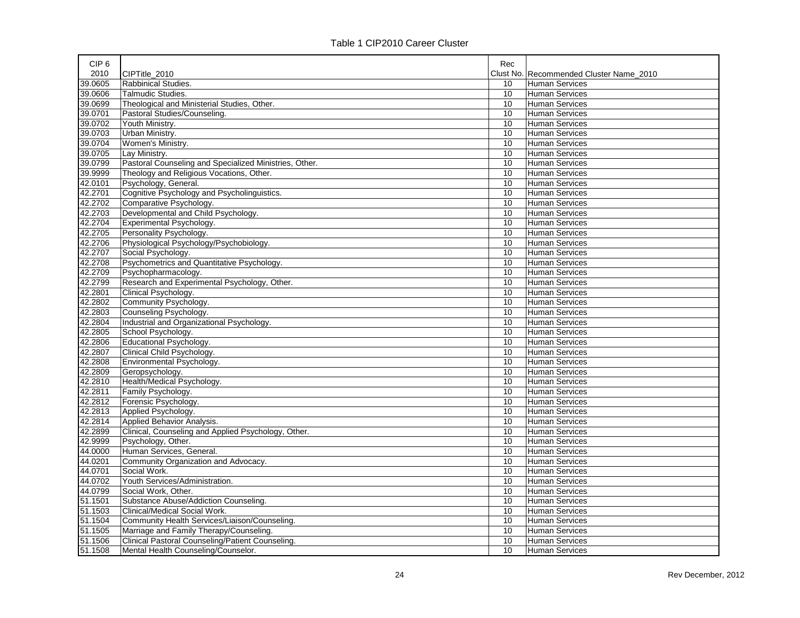| 2010<br>CIPTitle 2010<br>Clust No. Recommended Cluster Name 2010<br>39.0605<br><b>Rabbinical Studies</b><br><b>Human Services</b><br>10<br>39.0606<br>Talmudic Studies.<br>10<br>Human Services<br>39.0699<br>Theological and Ministerial Studies, Other.<br>10<br><b>Human Services</b><br>39.0701<br>Pastoral Studies/Counseling.<br>10<br><b>Human Services</b><br>39.0702<br>Youth Ministry.<br>10<br><b>Human Services</b><br>39.0703<br>Urban Ministry.<br>10<br><b>Human Services</b><br>39.0704<br>Women's Ministry.<br>10<br><b>Human Services</b><br>39.0705<br>Lay Ministry.<br>10<br>Human Services<br>39.0799<br>Pastoral Counseling and Specialized Ministries, Other.<br>10<br>Human Services<br>39.9999<br>Theology and Religious Vocations, Other.<br>10<br>Human Services<br>Psychology, General.<br>42.0101<br>10<br>Human Services<br>42.2701<br>Cognitive Psychology and Psycholinguistics.<br>10<br><b>Human Services</b><br>42.2702<br>Comparative Psychology.<br>10<br><b>Human Services</b><br>42.2703<br>Developmental and Child Psychology.<br>10<br>Human Services<br>42.2704<br>Experimental Psychology.<br>10<br>Human Services<br>42.2705<br>Personality Psychology.<br>10<br>Human Services<br>42.2706<br>Physiological Psychology/Psychobiology.<br>10<br><b>Human Services</b><br>42.2707<br>Social Psychology.<br>10<br><b>Human Services</b><br>Psychometrics and Quantitative Psychology.<br>42.2708<br>10<br><b>Human Services</b><br>42.2709<br>Psychopharmacology.<br>10<br><b>Human Services</b><br>42.2799<br>Research and Experimental Psychology, Other.<br><b>Human Services</b><br>10<br>42.2801<br>Clinical Psychology.<br>10<br><b>Human Services</b><br>42.2802<br>Community Psychology.<br>10<br><b>Human Services</b><br>42.2803<br>Counseling Psychology.<br>10<br><b>Human Services</b><br>42.2804<br>Industrial and Organizational Psychology.<br>10<br>Human Services<br>42.2805<br>School Psychology.<br>10<br><b>Human Services</b><br>42.2806<br>Educational Psychology.<br>10<br>Human Services<br>42.2807<br>Clinical Child Psychology.<br>10<br><b>Human Services</b><br>42.2808<br>Environmental Psychology.<br>10<br>Human Services<br>42.2809<br>Geropsychology.<br>10<br><b>Human Services</b><br>42.2810<br>Health/Medical Psychology.<br>10<br><b>Human Services</b><br>42.2811<br>Family Psychology.<br>10<br><b>Human Services</b><br>42.2812<br>Forensic Psychology.<br>10<br><b>Human Services</b><br>42.2813<br>Applied Psychology.<br>10<br><b>Human Services</b><br>42.2814<br>Applied Behavior Analysis.<br>10<br><b>Human Services</b><br>42.2899<br>Clinical, Counseling and Applied Psychology, Other.<br>10<br><b>Human Services</b><br>42.9999<br>Psychology, Other.<br>10<br><b>Human Services</b><br>44.0000<br>Human Services, General.<br>10<br><b>Human Services</b><br>44.0201<br>Community Organization and Advocacy.<br>10<br><b>Human Services</b> | CIP <sub>6</sub> | Rec |  |
|---------------------------------------------------------------------------------------------------------------------------------------------------------------------------------------------------------------------------------------------------------------------------------------------------------------------------------------------------------------------------------------------------------------------------------------------------------------------------------------------------------------------------------------------------------------------------------------------------------------------------------------------------------------------------------------------------------------------------------------------------------------------------------------------------------------------------------------------------------------------------------------------------------------------------------------------------------------------------------------------------------------------------------------------------------------------------------------------------------------------------------------------------------------------------------------------------------------------------------------------------------------------------------------------------------------------------------------------------------------------------------------------------------------------------------------------------------------------------------------------------------------------------------------------------------------------------------------------------------------------------------------------------------------------------------------------------------------------------------------------------------------------------------------------------------------------------------------------------------------------------------------------------------------------------------------------------------------------------------------------------------------------------------------------------------------------------------------------------------------------------------------------------------------------------------------------------------------------------------------------------------------------------------------------------------------------------------------------------------------------------------------------------------------------------------------------------------------------------------------------------------------------------------------------------------------------------------------------------------------------------------------------------------------------------------------------------------------------------------------------------------------------------------------------------------------------------------------------------------------------------------------------------------------------------------------------|------------------|-----|--|
|                                                                                                                                                                                                                                                                                                                                                                                                                                                                                                                                                                                                                                                                                                                                                                                                                                                                                                                                                                                                                                                                                                                                                                                                                                                                                                                                                                                                                                                                                                                                                                                                                                                                                                                                                                                                                                                                                                                                                                                                                                                                                                                                                                                                                                                                                                                                                                                                                                                                                                                                                                                                                                                                                                                                                                                                                                                                                                                                             |                  |     |  |
|                                                                                                                                                                                                                                                                                                                                                                                                                                                                                                                                                                                                                                                                                                                                                                                                                                                                                                                                                                                                                                                                                                                                                                                                                                                                                                                                                                                                                                                                                                                                                                                                                                                                                                                                                                                                                                                                                                                                                                                                                                                                                                                                                                                                                                                                                                                                                                                                                                                                                                                                                                                                                                                                                                                                                                                                                                                                                                                                             |                  |     |  |
|                                                                                                                                                                                                                                                                                                                                                                                                                                                                                                                                                                                                                                                                                                                                                                                                                                                                                                                                                                                                                                                                                                                                                                                                                                                                                                                                                                                                                                                                                                                                                                                                                                                                                                                                                                                                                                                                                                                                                                                                                                                                                                                                                                                                                                                                                                                                                                                                                                                                                                                                                                                                                                                                                                                                                                                                                                                                                                                                             |                  |     |  |
|                                                                                                                                                                                                                                                                                                                                                                                                                                                                                                                                                                                                                                                                                                                                                                                                                                                                                                                                                                                                                                                                                                                                                                                                                                                                                                                                                                                                                                                                                                                                                                                                                                                                                                                                                                                                                                                                                                                                                                                                                                                                                                                                                                                                                                                                                                                                                                                                                                                                                                                                                                                                                                                                                                                                                                                                                                                                                                                                             |                  |     |  |
|                                                                                                                                                                                                                                                                                                                                                                                                                                                                                                                                                                                                                                                                                                                                                                                                                                                                                                                                                                                                                                                                                                                                                                                                                                                                                                                                                                                                                                                                                                                                                                                                                                                                                                                                                                                                                                                                                                                                                                                                                                                                                                                                                                                                                                                                                                                                                                                                                                                                                                                                                                                                                                                                                                                                                                                                                                                                                                                                             |                  |     |  |
|                                                                                                                                                                                                                                                                                                                                                                                                                                                                                                                                                                                                                                                                                                                                                                                                                                                                                                                                                                                                                                                                                                                                                                                                                                                                                                                                                                                                                                                                                                                                                                                                                                                                                                                                                                                                                                                                                                                                                                                                                                                                                                                                                                                                                                                                                                                                                                                                                                                                                                                                                                                                                                                                                                                                                                                                                                                                                                                                             |                  |     |  |
|                                                                                                                                                                                                                                                                                                                                                                                                                                                                                                                                                                                                                                                                                                                                                                                                                                                                                                                                                                                                                                                                                                                                                                                                                                                                                                                                                                                                                                                                                                                                                                                                                                                                                                                                                                                                                                                                                                                                                                                                                                                                                                                                                                                                                                                                                                                                                                                                                                                                                                                                                                                                                                                                                                                                                                                                                                                                                                                                             |                  |     |  |
|                                                                                                                                                                                                                                                                                                                                                                                                                                                                                                                                                                                                                                                                                                                                                                                                                                                                                                                                                                                                                                                                                                                                                                                                                                                                                                                                                                                                                                                                                                                                                                                                                                                                                                                                                                                                                                                                                                                                                                                                                                                                                                                                                                                                                                                                                                                                                                                                                                                                                                                                                                                                                                                                                                                                                                                                                                                                                                                                             |                  |     |  |
|                                                                                                                                                                                                                                                                                                                                                                                                                                                                                                                                                                                                                                                                                                                                                                                                                                                                                                                                                                                                                                                                                                                                                                                                                                                                                                                                                                                                                                                                                                                                                                                                                                                                                                                                                                                                                                                                                                                                                                                                                                                                                                                                                                                                                                                                                                                                                                                                                                                                                                                                                                                                                                                                                                                                                                                                                                                                                                                                             |                  |     |  |
|                                                                                                                                                                                                                                                                                                                                                                                                                                                                                                                                                                                                                                                                                                                                                                                                                                                                                                                                                                                                                                                                                                                                                                                                                                                                                                                                                                                                                                                                                                                                                                                                                                                                                                                                                                                                                                                                                                                                                                                                                                                                                                                                                                                                                                                                                                                                                                                                                                                                                                                                                                                                                                                                                                                                                                                                                                                                                                                                             |                  |     |  |
|                                                                                                                                                                                                                                                                                                                                                                                                                                                                                                                                                                                                                                                                                                                                                                                                                                                                                                                                                                                                                                                                                                                                                                                                                                                                                                                                                                                                                                                                                                                                                                                                                                                                                                                                                                                                                                                                                                                                                                                                                                                                                                                                                                                                                                                                                                                                                                                                                                                                                                                                                                                                                                                                                                                                                                                                                                                                                                                                             |                  |     |  |
|                                                                                                                                                                                                                                                                                                                                                                                                                                                                                                                                                                                                                                                                                                                                                                                                                                                                                                                                                                                                                                                                                                                                                                                                                                                                                                                                                                                                                                                                                                                                                                                                                                                                                                                                                                                                                                                                                                                                                                                                                                                                                                                                                                                                                                                                                                                                                                                                                                                                                                                                                                                                                                                                                                                                                                                                                                                                                                                                             |                  |     |  |
|                                                                                                                                                                                                                                                                                                                                                                                                                                                                                                                                                                                                                                                                                                                                                                                                                                                                                                                                                                                                                                                                                                                                                                                                                                                                                                                                                                                                                                                                                                                                                                                                                                                                                                                                                                                                                                                                                                                                                                                                                                                                                                                                                                                                                                                                                                                                                                                                                                                                                                                                                                                                                                                                                                                                                                                                                                                                                                                                             |                  |     |  |
|                                                                                                                                                                                                                                                                                                                                                                                                                                                                                                                                                                                                                                                                                                                                                                                                                                                                                                                                                                                                                                                                                                                                                                                                                                                                                                                                                                                                                                                                                                                                                                                                                                                                                                                                                                                                                                                                                                                                                                                                                                                                                                                                                                                                                                                                                                                                                                                                                                                                                                                                                                                                                                                                                                                                                                                                                                                                                                                                             |                  |     |  |
|                                                                                                                                                                                                                                                                                                                                                                                                                                                                                                                                                                                                                                                                                                                                                                                                                                                                                                                                                                                                                                                                                                                                                                                                                                                                                                                                                                                                                                                                                                                                                                                                                                                                                                                                                                                                                                                                                                                                                                                                                                                                                                                                                                                                                                                                                                                                                                                                                                                                                                                                                                                                                                                                                                                                                                                                                                                                                                                                             |                  |     |  |
|                                                                                                                                                                                                                                                                                                                                                                                                                                                                                                                                                                                                                                                                                                                                                                                                                                                                                                                                                                                                                                                                                                                                                                                                                                                                                                                                                                                                                                                                                                                                                                                                                                                                                                                                                                                                                                                                                                                                                                                                                                                                                                                                                                                                                                                                                                                                                                                                                                                                                                                                                                                                                                                                                                                                                                                                                                                                                                                                             |                  |     |  |
|                                                                                                                                                                                                                                                                                                                                                                                                                                                                                                                                                                                                                                                                                                                                                                                                                                                                                                                                                                                                                                                                                                                                                                                                                                                                                                                                                                                                                                                                                                                                                                                                                                                                                                                                                                                                                                                                                                                                                                                                                                                                                                                                                                                                                                                                                                                                                                                                                                                                                                                                                                                                                                                                                                                                                                                                                                                                                                                                             |                  |     |  |
|                                                                                                                                                                                                                                                                                                                                                                                                                                                                                                                                                                                                                                                                                                                                                                                                                                                                                                                                                                                                                                                                                                                                                                                                                                                                                                                                                                                                                                                                                                                                                                                                                                                                                                                                                                                                                                                                                                                                                                                                                                                                                                                                                                                                                                                                                                                                                                                                                                                                                                                                                                                                                                                                                                                                                                                                                                                                                                                                             |                  |     |  |
|                                                                                                                                                                                                                                                                                                                                                                                                                                                                                                                                                                                                                                                                                                                                                                                                                                                                                                                                                                                                                                                                                                                                                                                                                                                                                                                                                                                                                                                                                                                                                                                                                                                                                                                                                                                                                                                                                                                                                                                                                                                                                                                                                                                                                                                                                                                                                                                                                                                                                                                                                                                                                                                                                                                                                                                                                                                                                                                                             |                  |     |  |
|                                                                                                                                                                                                                                                                                                                                                                                                                                                                                                                                                                                                                                                                                                                                                                                                                                                                                                                                                                                                                                                                                                                                                                                                                                                                                                                                                                                                                                                                                                                                                                                                                                                                                                                                                                                                                                                                                                                                                                                                                                                                                                                                                                                                                                                                                                                                                                                                                                                                                                                                                                                                                                                                                                                                                                                                                                                                                                                                             |                  |     |  |
|                                                                                                                                                                                                                                                                                                                                                                                                                                                                                                                                                                                                                                                                                                                                                                                                                                                                                                                                                                                                                                                                                                                                                                                                                                                                                                                                                                                                                                                                                                                                                                                                                                                                                                                                                                                                                                                                                                                                                                                                                                                                                                                                                                                                                                                                                                                                                                                                                                                                                                                                                                                                                                                                                                                                                                                                                                                                                                                                             |                  |     |  |
|                                                                                                                                                                                                                                                                                                                                                                                                                                                                                                                                                                                                                                                                                                                                                                                                                                                                                                                                                                                                                                                                                                                                                                                                                                                                                                                                                                                                                                                                                                                                                                                                                                                                                                                                                                                                                                                                                                                                                                                                                                                                                                                                                                                                                                                                                                                                                                                                                                                                                                                                                                                                                                                                                                                                                                                                                                                                                                                                             |                  |     |  |
|                                                                                                                                                                                                                                                                                                                                                                                                                                                                                                                                                                                                                                                                                                                                                                                                                                                                                                                                                                                                                                                                                                                                                                                                                                                                                                                                                                                                                                                                                                                                                                                                                                                                                                                                                                                                                                                                                                                                                                                                                                                                                                                                                                                                                                                                                                                                                                                                                                                                                                                                                                                                                                                                                                                                                                                                                                                                                                                                             |                  |     |  |
|                                                                                                                                                                                                                                                                                                                                                                                                                                                                                                                                                                                                                                                                                                                                                                                                                                                                                                                                                                                                                                                                                                                                                                                                                                                                                                                                                                                                                                                                                                                                                                                                                                                                                                                                                                                                                                                                                                                                                                                                                                                                                                                                                                                                                                                                                                                                                                                                                                                                                                                                                                                                                                                                                                                                                                                                                                                                                                                                             |                  |     |  |
|                                                                                                                                                                                                                                                                                                                                                                                                                                                                                                                                                                                                                                                                                                                                                                                                                                                                                                                                                                                                                                                                                                                                                                                                                                                                                                                                                                                                                                                                                                                                                                                                                                                                                                                                                                                                                                                                                                                                                                                                                                                                                                                                                                                                                                                                                                                                                                                                                                                                                                                                                                                                                                                                                                                                                                                                                                                                                                                                             |                  |     |  |
|                                                                                                                                                                                                                                                                                                                                                                                                                                                                                                                                                                                                                                                                                                                                                                                                                                                                                                                                                                                                                                                                                                                                                                                                                                                                                                                                                                                                                                                                                                                                                                                                                                                                                                                                                                                                                                                                                                                                                                                                                                                                                                                                                                                                                                                                                                                                                                                                                                                                                                                                                                                                                                                                                                                                                                                                                                                                                                                                             |                  |     |  |
|                                                                                                                                                                                                                                                                                                                                                                                                                                                                                                                                                                                                                                                                                                                                                                                                                                                                                                                                                                                                                                                                                                                                                                                                                                                                                                                                                                                                                                                                                                                                                                                                                                                                                                                                                                                                                                                                                                                                                                                                                                                                                                                                                                                                                                                                                                                                                                                                                                                                                                                                                                                                                                                                                                                                                                                                                                                                                                                                             |                  |     |  |
|                                                                                                                                                                                                                                                                                                                                                                                                                                                                                                                                                                                                                                                                                                                                                                                                                                                                                                                                                                                                                                                                                                                                                                                                                                                                                                                                                                                                                                                                                                                                                                                                                                                                                                                                                                                                                                                                                                                                                                                                                                                                                                                                                                                                                                                                                                                                                                                                                                                                                                                                                                                                                                                                                                                                                                                                                                                                                                                                             |                  |     |  |
|                                                                                                                                                                                                                                                                                                                                                                                                                                                                                                                                                                                                                                                                                                                                                                                                                                                                                                                                                                                                                                                                                                                                                                                                                                                                                                                                                                                                                                                                                                                                                                                                                                                                                                                                                                                                                                                                                                                                                                                                                                                                                                                                                                                                                                                                                                                                                                                                                                                                                                                                                                                                                                                                                                                                                                                                                                                                                                                                             |                  |     |  |
|                                                                                                                                                                                                                                                                                                                                                                                                                                                                                                                                                                                                                                                                                                                                                                                                                                                                                                                                                                                                                                                                                                                                                                                                                                                                                                                                                                                                                                                                                                                                                                                                                                                                                                                                                                                                                                                                                                                                                                                                                                                                                                                                                                                                                                                                                                                                                                                                                                                                                                                                                                                                                                                                                                                                                                                                                                                                                                                                             |                  |     |  |
|                                                                                                                                                                                                                                                                                                                                                                                                                                                                                                                                                                                                                                                                                                                                                                                                                                                                                                                                                                                                                                                                                                                                                                                                                                                                                                                                                                                                                                                                                                                                                                                                                                                                                                                                                                                                                                                                                                                                                                                                                                                                                                                                                                                                                                                                                                                                                                                                                                                                                                                                                                                                                                                                                                                                                                                                                                                                                                                                             |                  |     |  |
|                                                                                                                                                                                                                                                                                                                                                                                                                                                                                                                                                                                                                                                                                                                                                                                                                                                                                                                                                                                                                                                                                                                                                                                                                                                                                                                                                                                                                                                                                                                                                                                                                                                                                                                                                                                                                                                                                                                                                                                                                                                                                                                                                                                                                                                                                                                                                                                                                                                                                                                                                                                                                                                                                                                                                                                                                                                                                                                                             |                  |     |  |
|                                                                                                                                                                                                                                                                                                                                                                                                                                                                                                                                                                                                                                                                                                                                                                                                                                                                                                                                                                                                                                                                                                                                                                                                                                                                                                                                                                                                                                                                                                                                                                                                                                                                                                                                                                                                                                                                                                                                                                                                                                                                                                                                                                                                                                                                                                                                                                                                                                                                                                                                                                                                                                                                                                                                                                                                                                                                                                                                             |                  |     |  |
|                                                                                                                                                                                                                                                                                                                                                                                                                                                                                                                                                                                                                                                                                                                                                                                                                                                                                                                                                                                                                                                                                                                                                                                                                                                                                                                                                                                                                                                                                                                                                                                                                                                                                                                                                                                                                                                                                                                                                                                                                                                                                                                                                                                                                                                                                                                                                                                                                                                                                                                                                                                                                                                                                                                                                                                                                                                                                                                                             |                  |     |  |
|                                                                                                                                                                                                                                                                                                                                                                                                                                                                                                                                                                                                                                                                                                                                                                                                                                                                                                                                                                                                                                                                                                                                                                                                                                                                                                                                                                                                                                                                                                                                                                                                                                                                                                                                                                                                                                                                                                                                                                                                                                                                                                                                                                                                                                                                                                                                                                                                                                                                                                                                                                                                                                                                                                                                                                                                                                                                                                                                             |                  |     |  |
|                                                                                                                                                                                                                                                                                                                                                                                                                                                                                                                                                                                                                                                                                                                                                                                                                                                                                                                                                                                                                                                                                                                                                                                                                                                                                                                                                                                                                                                                                                                                                                                                                                                                                                                                                                                                                                                                                                                                                                                                                                                                                                                                                                                                                                                                                                                                                                                                                                                                                                                                                                                                                                                                                                                                                                                                                                                                                                                                             |                  |     |  |
|                                                                                                                                                                                                                                                                                                                                                                                                                                                                                                                                                                                                                                                                                                                                                                                                                                                                                                                                                                                                                                                                                                                                                                                                                                                                                                                                                                                                                                                                                                                                                                                                                                                                                                                                                                                                                                                                                                                                                                                                                                                                                                                                                                                                                                                                                                                                                                                                                                                                                                                                                                                                                                                                                                                                                                                                                                                                                                                                             |                  |     |  |
|                                                                                                                                                                                                                                                                                                                                                                                                                                                                                                                                                                                                                                                                                                                                                                                                                                                                                                                                                                                                                                                                                                                                                                                                                                                                                                                                                                                                                                                                                                                                                                                                                                                                                                                                                                                                                                                                                                                                                                                                                                                                                                                                                                                                                                                                                                                                                                                                                                                                                                                                                                                                                                                                                                                                                                                                                                                                                                                                             |                  |     |  |
|                                                                                                                                                                                                                                                                                                                                                                                                                                                                                                                                                                                                                                                                                                                                                                                                                                                                                                                                                                                                                                                                                                                                                                                                                                                                                                                                                                                                                                                                                                                                                                                                                                                                                                                                                                                                                                                                                                                                                                                                                                                                                                                                                                                                                                                                                                                                                                                                                                                                                                                                                                                                                                                                                                                                                                                                                                                                                                                                             |                  |     |  |
|                                                                                                                                                                                                                                                                                                                                                                                                                                                                                                                                                                                                                                                                                                                                                                                                                                                                                                                                                                                                                                                                                                                                                                                                                                                                                                                                                                                                                                                                                                                                                                                                                                                                                                                                                                                                                                                                                                                                                                                                                                                                                                                                                                                                                                                                                                                                                                                                                                                                                                                                                                                                                                                                                                                                                                                                                                                                                                                                             |                  |     |  |
| 44.0701<br>Social Work.<br>10<br><b>Human Services</b>                                                                                                                                                                                                                                                                                                                                                                                                                                                                                                                                                                                                                                                                                                                                                                                                                                                                                                                                                                                                                                                                                                                                                                                                                                                                                                                                                                                                                                                                                                                                                                                                                                                                                                                                                                                                                                                                                                                                                                                                                                                                                                                                                                                                                                                                                                                                                                                                                                                                                                                                                                                                                                                                                                                                                                                                                                                                                      |                  |     |  |
| 44.0702<br>Youth Services/Administration.<br>10<br>Human Services                                                                                                                                                                                                                                                                                                                                                                                                                                                                                                                                                                                                                                                                                                                                                                                                                                                                                                                                                                                                                                                                                                                                                                                                                                                                                                                                                                                                                                                                                                                                                                                                                                                                                                                                                                                                                                                                                                                                                                                                                                                                                                                                                                                                                                                                                                                                                                                                                                                                                                                                                                                                                                                                                                                                                                                                                                                                           |                  |     |  |
| 44.0799<br>Social Work, Other.<br>10<br>Human Services                                                                                                                                                                                                                                                                                                                                                                                                                                                                                                                                                                                                                                                                                                                                                                                                                                                                                                                                                                                                                                                                                                                                                                                                                                                                                                                                                                                                                                                                                                                                                                                                                                                                                                                                                                                                                                                                                                                                                                                                                                                                                                                                                                                                                                                                                                                                                                                                                                                                                                                                                                                                                                                                                                                                                                                                                                                                                      |                  |     |  |
| 51.1501<br>Substance Abuse/Addiction Counseling.<br>10<br>Human Services                                                                                                                                                                                                                                                                                                                                                                                                                                                                                                                                                                                                                                                                                                                                                                                                                                                                                                                                                                                                                                                                                                                                                                                                                                                                                                                                                                                                                                                                                                                                                                                                                                                                                                                                                                                                                                                                                                                                                                                                                                                                                                                                                                                                                                                                                                                                                                                                                                                                                                                                                                                                                                                                                                                                                                                                                                                                    |                  |     |  |
| 51.1503<br>Clinical/Medical Social Work.<br>10<br><b>Human Services</b>                                                                                                                                                                                                                                                                                                                                                                                                                                                                                                                                                                                                                                                                                                                                                                                                                                                                                                                                                                                                                                                                                                                                                                                                                                                                                                                                                                                                                                                                                                                                                                                                                                                                                                                                                                                                                                                                                                                                                                                                                                                                                                                                                                                                                                                                                                                                                                                                                                                                                                                                                                                                                                                                                                                                                                                                                                                                     |                  |     |  |
| 51.1504<br>Community Health Services/Liaison/Counseling.<br>10<br>Human Services                                                                                                                                                                                                                                                                                                                                                                                                                                                                                                                                                                                                                                                                                                                                                                                                                                                                                                                                                                                                                                                                                                                                                                                                                                                                                                                                                                                                                                                                                                                                                                                                                                                                                                                                                                                                                                                                                                                                                                                                                                                                                                                                                                                                                                                                                                                                                                                                                                                                                                                                                                                                                                                                                                                                                                                                                                                            |                  |     |  |
| 51.1505<br>Marriage and Family Therapy/Counseling.<br>10<br><b>Human Services</b>                                                                                                                                                                                                                                                                                                                                                                                                                                                                                                                                                                                                                                                                                                                                                                                                                                                                                                                                                                                                                                                                                                                                                                                                                                                                                                                                                                                                                                                                                                                                                                                                                                                                                                                                                                                                                                                                                                                                                                                                                                                                                                                                                                                                                                                                                                                                                                                                                                                                                                                                                                                                                                                                                                                                                                                                                                                           |                  |     |  |
| 51.1506<br>Clinical Pastoral Counseling/Patient Counseling.<br>10<br><b>Human Services</b>                                                                                                                                                                                                                                                                                                                                                                                                                                                                                                                                                                                                                                                                                                                                                                                                                                                                                                                                                                                                                                                                                                                                                                                                                                                                                                                                                                                                                                                                                                                                                                                                                                                                                                                                                                                                                                                                                                                                                                                                                                                                                                                                                                                                                                                                                                                                                                                                                                                                                                                                                                                                                                                                                                                                                                                                                                                  |                  |     |  |
| 51.1508<br>Mental Health Counseling/Counselor.<br>10<br>Human Services                                                                                                                                                                                                                                                                                                                                                                                                                                                                                                                                                                                                                                                                                                                                                                                                                                                                                                                                                                                                                                                                                                                                                                                                                                                                                                                                                                                                                                                                                                                                                                                                                                                                                                                                                                                                                                                                                                                                                                                                                                                                                                                                                                                                                                                                                                                                                                                                                                                                                                                                                                                                                                                                                                                                                                                                                                                                      |                  |     |  |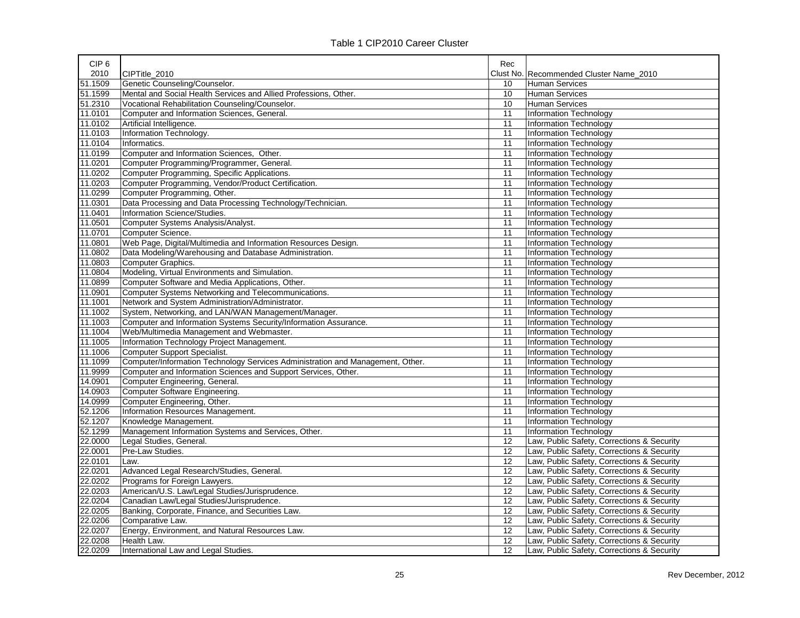| CIP <sub>6</sub> |                                                                                | Rec |                                            |
|------------------|--------------------------------------------------------------------------------|-----|--------------------------------------------|
| 2010             | CIPTitle 2010                                                                  |     | Clust No. Recommended Cluster Name 2010    |
| 51.1509          | Genetic Counseling/Counselor.                                                  | 10  | <b>Human Services</b>                      |
| 51.1599          | Mental and Social Health Services and Allied Professions, Other.               | 10  | <b>Human Services</b>                      |
| 51.2310          | Vocational Rehabilitation Counseling/Counselor.                                | 10  | <b>Human Services</b>                      |
| 11.0101          | Computer and Information Sciences, General.                                    | 11  | Information Technology                     |
| 11.0102          | Artificial Intelligence.                                                       | 11  | Information Technology                     |
| 11.0103          | Information Technology.                                                        | 11  | Information Technology                     |
| 11.0104          | Informatics.                                                                   | 11  | Information Technology                     |
| 11.0199          | Computer and Information Sciences, Other.                                      | 11  | Information Technology                     |
| 11.0201          | Computer Programming/Programmer, General.                                      | 11  | Information Technology                     |
| 11.0202          | Computer Programming, Specific Applications.                                   | 11  | Information Technology                     |
| 11.0203          | Computer Programming, Vendor/Product Certification.                            | 11  | Information Technology                     |
| 11.0299          | Computer Programming, Other.                                                   | 11  | Information Technology                     |
| 11.0301          | Data Processing and Data Processing Technology/Technician.                     | 11  | Information Technology                     |
| 11.0401          | Information Science/Studies.                                                   | 11  | Information Technology                     |
| 11.0501          | Computer Systems Analysis/Analyst.                                             | 11  | Information Technology                     |
| 11.0701          | Computer Science.                                                              | 11  | Information Technology                     |
| 11.0801          | Web Page, Digital/Multimedia and Information Resources Design.                 | 11  | Information Technology                     |
| 11.0802          | Data Modeling/Warehousing and Database Administration.                         | 11  | Information Technology                     |
| 11.0803          | Computer Graphics.                                                             | 11  | Information Technology                     |
| 11.0804          | Modeling, Virtual Environments and Simulation.                                 | 11  | Information Technology                     |
| 11.0899          | Computer Software and Media Applications, Other.                               | 11  | Information Technology                     |
| 11.0901          | Computer Systems Networking and Telecommunications.                            | 11  | Information Technology                     |
| 11.1001          | Network and System Administration/Administrator.                               | 11  | Information Technology                     |
| 11.1002          | System, Networking, and LAN/WAN Management/Manager.                            | 11  | Information Technology                     |
| 11.1003          | Computer and Information Systems Security/Information Assurance.               | 11  | Information Technology                     |
| 11.1004          | Web/Multimedia Management and Webmaster.                                       | 11  | Information Technology                     |
| 11.1005          | Information Technology Project Management.                                     | 11  | Information Technology                     |
| 11.1006          | <b>Computer Support Specialist.</b>                                            | 11  | Information Technology                     |
| 11.1099          | Computer/Information Technology Services Administration and Management, Other. | 11  | Information Technology                     |
| 11.9999          | Computer and Information Sciences and Support Services, Other.                 | 11  | Information Technology                     |
| 14.0901          | Computer Engineering, General.                                                 | 11  | Information Technology                     |
| 14.0903          | Computer Software Engineering.                                                 | 11  | Information Technology                     |
| 14.0999          | Computer Engineering, Other.                                                   | 11  | <b>Information Technology</b>              |
| 52.1206          | Information Resources Management.                                              | 11  | Information Technology                     |
| 52.1207          | Knowledge Management.                                                          | 11  | Information Technology                     |
| 52.1299          | Management Information Systems and Services, Other.                            | 11  | Information Technology                     |
| 22.0000          | Legal Studies, General.                                                        | 12  | Law, Public Safety, Corrections & Security |
| 22.0001          | Pre-Law Studies.                                                               | 12  | Law, Public Safety, Corrections & Security |
| 22.0101          | Law.                                                                           | 12  | Law, Public Safety, Corrections & Security |
| 22.0201          | Advanced Legal Research/Studies, General.                                      | 12  | Law, Public Safety, Corrections & Security |
| 22.0202          | Programs for Foreign Lawyers.                                                  | 12  | Law, Public Safety, Corrections & Security |
| 22.0203          | American/U.S. Law/Legal Studies/Jurisprudence.                                 | 12  | Law, Public Safety, Corrections & Security |
| 22.0204          | Canadian Law/Legal Studies/Jurisprudence.                                      | 12  | Law, Public Safety, Corrections & Security |
| 22.0205          | Banking, Corporate, Finance, and Securities Law.                               | 12  | Law, Public Safety, Corrections & Security |
| 22.0206          | Comparative Law.                                                               | 12  | Law, Public Safety, Corrections & Security |
| 22.0207          | Energy, Environment, and Natural Resources Law.                                | 12  | Law, Public Safety, Corrections & Security |
| 22.0208          | Health Law.                                                                    | 12  | Law, Public Safety, Corrections & Security |
| 22.0209          | International Law and Legal Studies.                                           | 12  | Law, Public Safety, Corrections & Security |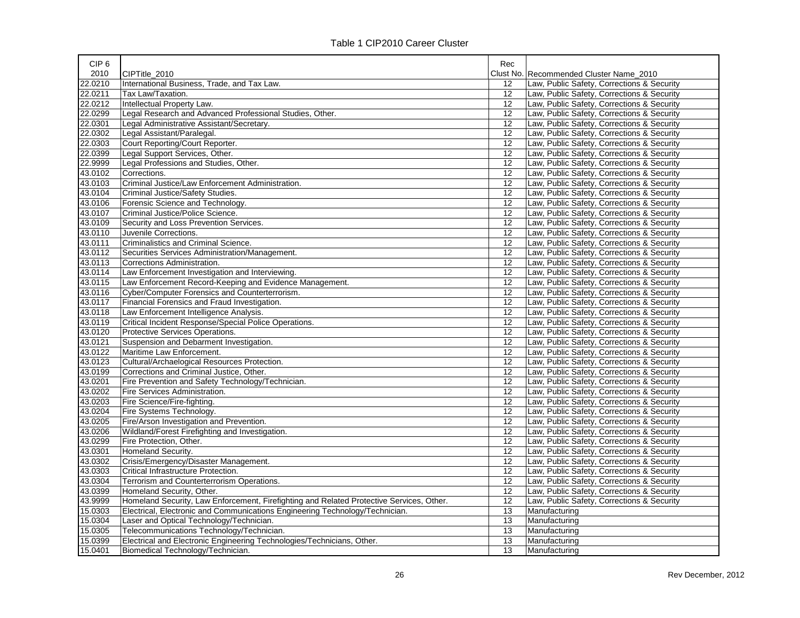| CIP <sub>6</sub> |                                                                                          | Rec       |                                            |
|------------------|------------------------------------------------------------------------------------------|-----------|--------------------------------------------|
| 2010             | CIPTitle 2010                                                                            | Clust No. | Recommended Cluster Name 2010              |
| 22.0210          | International Business, Trade, and Tax Law.                                              | 12        | Law, Public Safety, Corrections & Security |
| 22.0211          | Tax Law/Taxation.                                                                        | 12        | Law, Public Safety, Corrections & Security |
| 22.0212          | Intellectual Property Law.                                                               | 12        | Law, Public Safety, Corrections & Security |
| 22.0299          | Legal Research and Advanced Professional Studies, Other.                                 | 12        | Law, Public Safety, Corrections & Security |
| 22.0301          | Legal Administrative Assistant/Secretary.                                                | 12        | Law, Public Safety, Corrections & Security |
| 22.0302          | Legal Assistant/Paralegal.                                                               | 12        | Law, Public Safety, Corrections & Security |
| 22.0303          | Court Reporting/Court Reporter.                                                          | 12        | Law, Public Safety, Corrections & Security |
| 22.0399          | Legal Support Services, Other.                                                           | 12        | Law, Public Safety, Corrections & Security |
| 22.9999          | Legal Professions and Studies, Other.                                                    | 12        | Law, Public Safety, Corrections & Security |
| 43.0102          | Corrections.                                                                             | 12        | Law, Public Safety, Corrections & Security |
| 43.0103          | Criminal Justice/Law Enforcement Administration.                                         | 12        | Law, Public Safety, Corrections & Security |
| 43.0104          | Criminal Justice/Safety Studies.                                                         | 12        | Law, Public Safety, Corrections & Security |
| 43.0106          | Forensic Science and Technology.                                                         | 12        | Law, Public Safety, Corrections & Security |
| 43.0107          | Criminal Justice/Police Science.                                                         | 12        | Law, Public Safety, Corrections & Security |
| 43.0109          | Security and Loss Prevention Services.                                                   | 12        | Law, Public Safety, Corrections & Security |
| 43.0110          | Juvenile Corrections.                                                                    | 12        | Law, Public Safety, Corrections & Security |
| 43.0111          | Criminalistics and Criminal Science.                                                     | 12        | Law, Public Safety, Corrections & Security |
| 43.0112          | Securities Services Administration/Management.                                           | 12        | Law, Public Safety, Corrections & Security |
| 43.0113          | Corrections Administration.                                                              | 12        | Law, Public Safety, Corrections & Security |
| 43.0114          | Law Enforcement Investigation and Interviewing.                                          | 12        | Law, Public Safety, Corrections & Security |
| 43.0115          | Law Enforcement Record-Keeping and Evidence Management.                                  | 12        | Law, Public Safety, Corrections & Security |
| 43.0116          | Cyber/Computer Forensics and Counterterrorism.                                           | 12        | Law, Public Safety, Corrections & Security |
| 43.0117          | Financial Forensics and Fraud Investigation.                                             | 12        | Law, Public Safety, Corrections & Security |
| 43.0118          | Law Enforcement Intelligence Analysis.                                                   | 12        | Law, Public Safety, Corrections & Security |
| 43.0119          | Critical Incident Response/Special Police Operations.                                    | 12        | Law, Public Safety, Corrections & Security |
| 43.0120          | Protective Services Operations.                                                          | 12        | Law, Public Safety, Corrections & Security |
| 43.0121          | Suspension and Debarment Investigation.                                                  | 12        | Law, Public Safety, Corrections & Security |
| 43.0122          | Maritime Law Enforcement.                                                                | 12        | Law, Public Safety, Corrections & Security |
| 43.0123          | Cultural/Archaelogical Resources Protection.                                             | 12        | Law, Public Safety, Corrections & Security |
| 43.0199          | Corrections and Criminal Justice, Other.                                                 | 12        | Law, Public Safety, Corrections & Security |
| 43.0201          | Fire Prevention and Safety Technology/Technician.                                        | 12        | Law, Public Safety, Corrections & Security |
| 43.0202          | Fire Services Administration.                                                            | 12        | Law, Public Safety, Corrections & Security |
| 43.0203          | Fire Science/Fire-fighting.                                                              | 12        | Law, Public Safety, Corrections & Security |
| 43.0204          | Fire Systems Technology.                                                                 | 12        | Law, Public Safety, Corrections & Security |
| 43.0205          | Fire/Arson Investigation and Prevention.                                                 | 12        | Law, Public Safety, Corrections & Security |
| 43.0206          | Wildland/Forest Firefighting and Investigation.                                          | 12        | Law, Public Safety, Corrections & Security |
| 43.0299          | Fire Protection, Other.                                                                  | 12        | Law, Public Safety, Corrections & Security |
| 43.0301          | Homeland Security.                                                                       | 12        | Law, Public Safety, Corrections & Security |
| 43.0302          | Crisis/Emergency/Disaster Management.                                                    | 12        | Law, Public Safety, Corrections & Security |
| 43.0303          | Critical Infrastructure Protection.                                                      | 12        | Law, Public Safety, Corrections & Security |
| 43.0304          | Terrorism and Counterterrorism Operations.                                               | 12        | Law, Public Safety, Corrections & Security |
| 43.0399          | Homeland Security, Other.                                                                | 12        | Law, Public Safety, Corrections & Security |
| 43.9999          | Homeland Security, Law Enforcement, Firefighting and Related Protective Services, Other. | 12        | Law, Public Safety, Corrections & Security |
| 15.0303          | Electrical, Electronic and Communications Engineering Technology/Technician.             | 13        | Manufacturing                              |
| 15.0304          | Laser and Optical Technology/Technician.                                                 | 13        | Manufacturing                              |
| 15.0305          | Telecommunications Technology/Technician.                                                | 13        | Manufacturing                              |
| 15.0399          | Electrical and Electronic Engineering Technologies/Technicians, Other.                   | 13        | Manufacturing                              |
| 15.0401          | Biomedical Technology/Technician.                                                        | 13        | Manufacturing                              |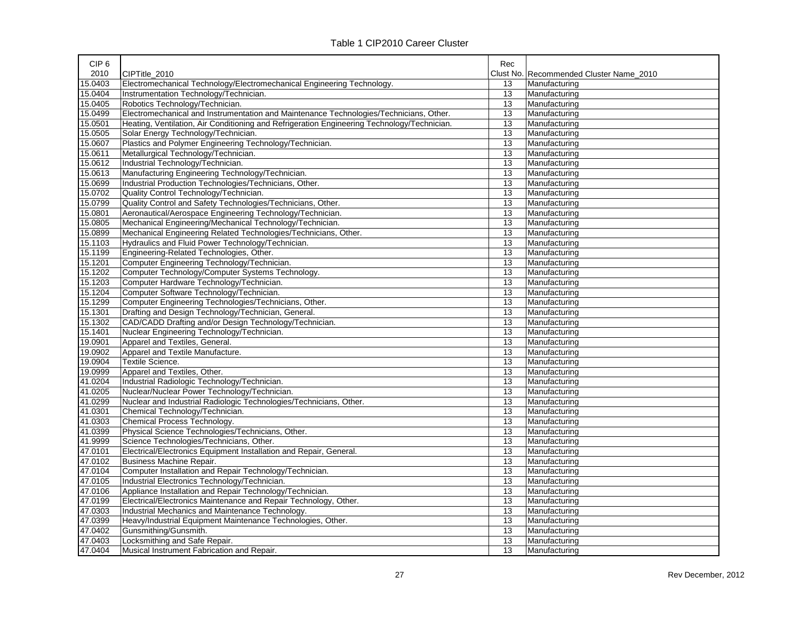| CIP <sub>6</sub> |                                                                                             | Rec |                                         |
|------------------|---------------------------------------------------------------------------------------------|-----|-----------------------------------------|
| 2010             | CIPTitle 2010                                                                               |     | Clust No. Recommended Cluster Name 2010 |
| 15.0403          | Electromechanical Technology/Electromechanical Engineering Technology.                      | 13  | Manufacturing                           |
| 15.0404          | Instrumentation Technology/Technician.                                                      | 13  | Manufacturing                           |
| 15.0405          | Robotics Technology/Technician.                                                             | 13  | Manufacturing                           |
| 15.0499          | Electromechanical and Instrumentation and Maintenance Technologies/Technicians, Other.      | 13  | Manufacturing                           |
| 15.0501          | Heating, Ventilation, Air Conditioning and Refrigeration Engineering Technology/Technician. | 13  | Manufacturing                           |
| 15.0505          | Solar Energy Technology/Technician.                                                         | 13  | Manufacturing                           |
| 15.0607          | Plastics and Polymer Engineering Technology/Technician.                                     | 13  | Manufacturing                           |
| 15.0611          | Metallurgical Technology/Technician.                                                        | 13  | Manufacturing                           |
| 15.0612          | Industrial Technology/Technician.                                                           | 13  | Manufacturing                           |
| 15.0613          | Manufacturing Engineering Technology/Technician.                                            | 13  | Manufacturing                           |
| 15.0699          | Industrial Production Technologies/Technicians, Other.                                      | 13  | Manufacturing                           |
| 15.0702          | Quality Control Technology/Technician.                                                      | 13  | Manufacturing                           |
| 15.0799          | Quality Control and Safety Technologies/Technicians, Other.                                 | 13  | Manufacturing                           |
| 15.0801          | Aeronautical/Aerospace Engineering Technology/Technician.                                   | 13  | Manufacturing                           |
| 15.0805          | Mechanical Engineering/Mechanical Technology/Technician.                                    | 13  | Manufacturing                           |
| 15.0899          | Mechanical Engineering Related Technologies/Technicians, Other.                             | 13  | Manufacturing                           |
| 15.1103          | Hydraulics and Fluid Power Technology/Technician.                                           | 13  | Manufacturing                           |
| 15.1199          | Engineering-Related Technologies, Other.                                                    | 13  | Manufacturing                           |
| 15.1201          | Computer Engineering Technology/Technician.                                                 | 13  | Manufacturing                           |
| 15.1202          | Computer Technology/Computer Systems Technology.                                            | 13  | Manufacturing                           |
| 15.1203          | Computer Hardware Technology/Technician.                                                    | 13  | Manufacturing                           |
| 15.1204          | Computer Software Technology/Technician.                                                    | 13  | Manufacturing                           |
| 15.1299          | Computer Engineering Technologies/Technicians, Other.                                       | 13  | Manufacturing                           |
| 15.1301          | Drafting and Design Technology/Technician, General.                                         | 13  | Manufacturing                           |
| 15.1302          | CAD/CADD Drafting and/or Design Technology/Technician.                                      | 13  | Manufacturing                           |
| 15.1401          | Nuclear Engineering Technology/Technician.                                                  | 13  | Manufacturing                           |
| 19.0901          | Apparel and Textiles, General.                                                              | 13  | Manufacturing                           |
| 19.0902          | Apparel and Textile Manufacture.                                                            | 13  | Manufacturing                           |
| 19.0904          | Textile Science.                                                                            | 13  | Manufacturing                           |
| 19.0999          | Apparel and Textiles, Other.                                                                | 13  | Manufacturing                           |
| 41.0204          | Industrial Radiologic Technology/Technician.                                                | 13  | Manufacturing                           |
| 41.0205          | Nuclear/Nuclear Power Technology/Technician.                                                | 13  | Manufacturing                           |
| 41.0299          | Nuclear and Industrial Radiologic Technologies/Technicians, Other.                          | 13  | Manufacturing                           |
| 41.0301          | Chemical Technology/Technician.                                                             | 13  | Manufacturing                           |
| 41.0303          | Chemical Process Technology.                                                                | 13  | Manufacturing                           |
| 41.0399          | Physical Science Technologies/Technicians, Other.                                           | 13  | Manufacturing                           |
| 41.9999          | Science Technologies/Technicians, Other.                                                    | 13  | Manufacturing                           |
| 47.0101          | Electrical/Electronics Equipment Installation and Repair, General.                          | 13  | Manufacturing                           |
| 47.0102          | Business Machine Repair.                                                                    | 13  | Manufacturing                           |
| 47.0104          | Computer Installation and Repair Technology/Technician.                                     | 13  | Manufacturing                           |
| 47.0105          | Industrial Electronics Technology/Technician.                                               | 13  | Manufacturing                           |
| 47.0106          | Appliance Installation and Repair Technology/Technician.                                    | 13  | Manufacturing                           |
| 47.0199          | Electrical/Electronics Maintenance and Repair Technology, Other.                            | 13  | Manufacturing                           |
| 47.0303          | Industrial Mechanics and Maintenance Technology.                                            | 13  | Manufacturing                           |
| 47.0399          | Heavy/Industrial Equipment Maintenance Technologies, Other.                                 | 13  | Manufacturing                           |
| 47.0402          | Gunsmithing/Gunsmith.                                                                       | 13  | Manufacturing                           |
| 47.0403          | Locksmithing and Safe Repair.                                                               | 13  | Manufacturing                           |
| 47.0404          | Musical Instrument Fabrication and Repair.                                                  | 13  | Manufacturing                           |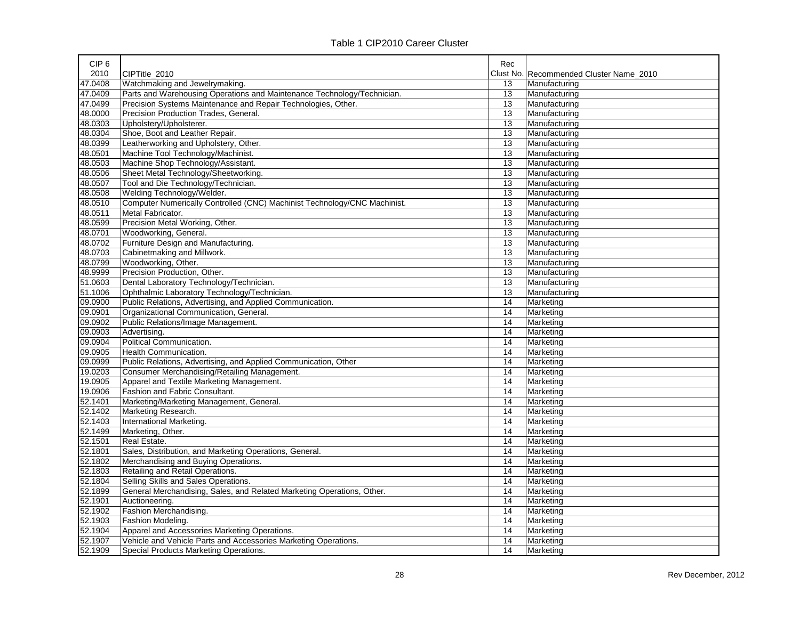| 2010<br>CIPTitle 2010<br>Clust No. Recommended Cluster Name 2010<br>47.0408<br>Watchmaking and Jewelrymaking.<br>Manufacturing<br>13<br>Parts and Warehousing Operations and Maintenance Technology/Technician.<br>47.0409<br>13<br>Manufacturing<br>47.0499<br>Precision Systems Maintenance and Repair Technologies, Other.<br>13<br>Manufacturing<br>48.0000<br>Precision Production Trades, General<br>13<br>Manufacturing<br>48.0303<br>13<br>Upholstery/Upholsterer.<br>Manufacturing<br>48.0304<br>Shoe, Boot and Leather Repair.<br>13<br>Manufacturing<br>48.0399<br>Leatherworking and Upholstery, Other.<br>13<br>Manufacturing<br>48.0501<br>Machine Tool Technology/Machinist.<br>13<br>Manufacturing<br>48.0503<br>Machine Shop Technology/Assistant.<br>13<br>Manufacturing<br>48.0506<br>Sheet Metal Technology/Sheetworking.<br>13<br>Manufacturing<br>48.0507<br>Tool and Die Technology/Technician.<br>13<br>Manufacturing<br>48.0508<br>Welding Technology/Welder.<br>13<br>Manufacturing<br>48.0510<br>Computer Numerically Controlled (CNC) Machinist Technology/CNC Machinist.<br>13<br>Manufacturing<br>48.0511<br>Metal Fabricator.<br>13<br>Manufacturing<br>48.0599<br>Precision Metal Working, Other.<br>13<br>Manufacturing<br>48.0701<br>Woodworking, General.<br>13<br>Manufacturing<br>48.0702<br>Furniture Design and Manufacturing.<br>13<br>Manufacturing<br>48.0703<br>Cabinetmaking and Millwork.<br>13<br>Manufacturing<br>48.0799<br>Woodworking, Other.<br>13<br>Manufacturing | CIP <sub>6</sub> |                              | Rec |               |
|------------------------------------------------------------------------------------------------------------------------------------------------------------------------------------------------------------------------------------------------------------------------------------------------------------------------------------------------------------------------------------------------------------------------------------------------------------------------------------------------------------------------------------------------------------------------------------------------------------------------------------------------------------------------------------------------------------------------------------------------------------------------------------------------------------------------------------------------------------------------------------------------------------------------------------------------------------------------------------------------------------------------------------------------------------------------------------------------------------------------------------------------------------------------------------------------------------------------------------------------------------------------------------------------------------------------------------------------------------------------------------------------------------------------------------------------------------------------------------------------------------------------|------------------|------------------------------|-----|---------------|
|                                                                                                                                                                                                                                                                                                                                                                                                                                                                                                                                                                                                                                                                                                                                                                                                                                                                                                                                                                                                                                                                                                                                                                                                                                                                                                                                                                                                                                                                                                                        |                  |                              |     |               |
|                                                                                                                                                                                                                                                                                                                                                                                                                                                                                                                                                                                                                                                                                                                                                                                                                                                                                                                                                                                                                                                                                                                                                                                                                                                                                                                                                                                                                                                                                                                        |                  |                              |     |               |
|                                                                                                                                                                                                                                                                                                                                                                                                                                                                                                                                                                                                                                                                                                                                                                                                                                                                                                                                                                                                                                                                                                                                                                                                                                                                                                                                                                                                                                                                                                                        |                  |                              |     |               |
|                                                                                                                                                                                                                                                                                                                                                                                                                                                                                                                                                                                                                                                                                                                                                                                                                                                                                                                                                                                                                                                                                                                                                                                                                                                                                                                                                                                                                                                                                                                        |                  |                              |     |               |
|                                                                                                                                                                                                                                                                                                                                                                                                                                                                                                                                                                                                                                                                                                                                                                                                                                                                                                                                                                                                                                                                                                                                                                                                                                                                                                                                                                                                                                                                                                                        |                  |                              |     |               |
|                                                                                                                                                                                                                                                                                                                                                                                                                                                                                                                                                                                                                                                                                                                                                                                                                                                                                                                                                                                                                                                                                                                                                                                                                                                                                                                                                                                                                                                                                                                        |                  |                              |     |               |
|                                                                                                                                                                                                                                                                                                                                                                                                                                                                                                                                                                                                                                                                                                                                                                                                                                                                                                                                                                                                                                                                                                                                                                                                                                                                                                                                                                                                                                                                                                                        |                  |                              |     |               |
|                                                                                                                                                                                                                                                                                                                                                                                                                                                                                                                                                                                                                                                                                                                                                                                                                                                                                                                                                                                                                                                                                                                                                                                                                                                                                                                                                                                                                                                                                                                        |                  |                              |     |               |
|                                                                                                                                                                                                                                                                                                                                                                                                                                                                                                                                                                                                                                                                                                                                                                                                                                                                                                                                                                                                                                                                                                                                                                                                                                                                                                                                                                                                                                                                                                                        |                  |                              |     |               |
|                                                                                                                                                                                                                                                                                                                                                                                                                                                                                                                                                                                                                                                                                                                                                                                                                                                                                                                                                                                                                                                                                                                                                                                                                                                                                                                                                                                                                                                                                                                        |                  |                              |     |               |
|                                                                                                                                                                                                                                                                                                                                                                                                                                                                                                                                                                                                                                                                                                                                                                                                                                                                                                                                                                                                                                                                                                                                                                                                                                                                                                                                                                                                                                                                                                                        |                  |                              |     |               |
|                                                                                                                                                                                                                                                                                                                                                                                                                                                                                                                                                                                                                                                                                                                                                                                                                                                                                                                                                                                                                                                                                                                                                                                                                                                                                                                                                                                                                                                                                                                        |                  |                              |     |               |
|                                                                                                                                                                                                                                                                                                                                                                                                                                                                                                                                                                                                                                                                                                                                                                                                                                                                                                                                                                                                                                                                                                                                                                                                                                                                                                                                                                                                                                                                                                                        |                  |                              |     |               |
|                                                                                                                                                                                                                                                                                                                                                                                                                                                                                                                                                                                                                                                                                                                                                                                                                                                                                                                                                                                                                                                                                                                                                                                                                                                                                                                                                                                                                                                                                                                        |                  |                              |     |               |
|                                                                                                                                                                                                                                                                                                                                                                                                                                                                                                                                                                                                                                                                                                                                                                                                                                                                                                                                                                                                                                                                                                                                                                                                                                                                                                                                                                                                                                                                                                                        |                  |                              |     |               |
|                                                                                                                                                                                                                                                                                                                                                                                                                                                                                                                                                                                                                                                                                                                                                                                                                                                                                                                                                                                                                                                                                                                                                                                                                                                                                                                                                                                                                                                                                                                        |                  |                              |     |               |
|                                                                                                                                                                                                                                                                                                                                                                                                                                                                                                                                                                                                                                                                                                                                                                                                                                                                                                                                                                                                                                                                                                                                                                                                                                                                                                                                                                                                                                                                                                                        |                  |                              |     |               |
|                                                                                                                                                                                                                                                                                                                                                                                                                                                                                                                                                                                                                                                                                                                                                                                                                                                                                                                                                                                                                                                                                                                                                                                                                                                                                                                                                                                                                                                                                                                        |                  |                              |     |               |
|                                                                                                                                                                                                                                                                                                                                                                                                                                                                                                                                                                                                                                                                                                                                                                                                                                                                                                                                                                                                                                                                                                                                                                                                                                                                                                                                                                                                                                                                                                                        |                  |                              |     |               |
|                                                                                                                                                                                                                                                                                                                                                                                                                                                                                                                                                                                                                                                                                                                                                                                                                                                                                                                                                                                                                                                                                                                                                                                                                                                                                                                                                                                                                                                                                                                        |                  |                              |     |               |
|                                                                                                                                                                                                                                                                                                                                                                                                                                                                                                                                                                                                                                                                                                                                                                                                                                                                                                                                                                                                                                                                                                                                                                                                                                                                                                                                                                                                                                                                                                                        | 48.9999          | Precision Production, Other. | 13  | Manufacturing |
| 51.0603<br>Dental Laboratory Technology/Technician.<br>13<br>Manufacturing                                                                                                                                                                                                                                                                                                                                                                                                                                                                                                                                                                                                                                                                                                                                                                                                                                                                                                                                                                                                                                                                                                                                                                                                                                                                                                                                                                                                                                             |                  |                              |     |               |
| 51.1006<br>Ophthalmic Laboratory Technology/Technician.<br>13<br>Manufacturing                                                                                                                                                                                                                                                                                                                                                                                                                                                                                                                                                                                                                                                                                                                                                                                                                                                                                                                                                                                                                                                                                                                                                                                                                                                                                                                                                                                                                                         |                  |                              |     |               |
| 09.0900<br>Public Relations, Advertising, and Applied Communication.<br>14<br>Marketing                                                                                                                                                                                                                                                                                                                                                                                                                                                                                                                                                                                                                                                                                                                                                                                                                                                                                                                                                                                                                                                                                                                                                                                                                                                                                                                                                                                                                                |                  |                              |     |               |
| 09.0901<br>Organizational Communication, General.<br>14<br>Marketing                                                                                                                                                                                                                                                                                                                                                                                                                                                                                                                                                                                                                                                                                                                                                                                                                                                                                                                                                                                                                                                                                                                                                                                                                                                                                                                                                                                                                                                   |                  |                              |     |               |
| 09.0902<br>Public Relations/Image Management.<br>14<br>Marketing                                                                                                                                                                                                                                                                                                                                                                                                                                                                                                                                                                                                                                                                                                                                                                                                                                                                                                                                                                                                                                                                                                                                                                                                                                                                                                                                                                                                                                                       |                  |                              |     |               |
| 09.0903<br>Advertising.<br>14<br>Marketing                                                                                                                                                                                                                                                                                                                                                                                                                                                                                                                                                                                                                                                                                                                                                                                                                                                                                                                                                                                                                                                                                                                                                                                                                                                                                                                                                                                                                                                                             |                  |                              |     |               |
| 09.0904<br>Political Communication.<br>14<br>Marketing                                                                                                                                                                                                                                                                                                                                                                                                                                                                                                                                                                                                                                                                                                                                                                                                                                                                                                                                                                                                                                                                                                                                                                                                                                                                                                                                                                                                                                                                 |                  |                              |     |               |
| 09.0905<br>14<br><b>Health Communication.</b><br>Marketing                                                                                                                                                                                                                                                                                                                                                                                                                                                                                                                                                                                                                                                                                                                                                                                                                                                                                                                                                                                                                                                                                                                                                                                                                                                                                                                                                                                                                                                             |                  |                              |     |               |
| 09.0999<br>Public Relations, Advertising, and Applied Communication, Other<br>14<br>Marketing                                                                                                                                                                                                                                                                                                                                                                                                                                                                                                                                                                                                                                                                                                                                                                                                                                                                                                                                                                                                                                                                                                                                                                                                                                                                                                                                                                                                                          |                  |                              |     |               |
| 19.0203<br>Consumer Merchandising/Retailing Management.<br>14<br>Marketing                                                                                                                                                                                                                                                                                                                                                                                                                                                                                                                                                                                                                                                                                                                                                                                                                                                                                                                                                                                                                                                                                                                                                                                                                                                                                                                                                                                                                                             |                  |                              |     |               |
| 19.0905<br>Apparel and Textile Marketing Management.<br>14<br>Marketing                                                                                                                                                                                                                                                                                                                                                                                                                                                                                                                                                                                                                                                                                                                                                                                                                                                                                                                                                                                                                                                                                                                                                                                                                                                                                                                                                                                                                                                |                  |                              |     |               |
| 19.0906<br>Fashion and Fabric Consultant.<br>14<br>Marketing                                                                                                                                                                                                                                                                                                                                                                                                                                                                                                                                                                                                                                                                                                                                                                                                                                                                                                                                                                                                                                                                                                                                                                                                                                                                                                                                                                                                                                                           |                  |                              |     |               |
| 14<br>52.1401<br>Marketing/Marketing Management, General.<br>Marketing                                                                                                                                                                                                                                                                                                                                                                                                                                                                                                                                                                                                                                                                                                                                                                                                                                                                                                                                                                                                                                                                                                                                                                                                                                                                                                                                                                                                                                                 |                  |                              |     |               |
| Marketing Research.<br>52.1402<br>14<br>Marketing                                                                                                                                                                                                                                                                                                                                                                                                                                                                                                                                                                                                                                                                                                                                                                                                                                                                                                                                                                                                                                                                                                                                                                                                                                                                                                                                                                                                                                                                      |                  |                              |     |               |
| 52.1403<br><b>International Marketing.</b><br>14<br>Marketing                                                                                                                                                                                                                                                                                                                                                                                                                                                                                                                                                                                                                                                                                                                                                                                                                                                                                                                                                                                                                                                                                                                                                                                                                                                                                                                                                                                                                                                          |                  |                              |     |               |
| 52.1499<br>Marketing, Other.<br>Marketing<br>14                                                                                                                                                                                                                                                                                                                                                                                                                                                                                                                                                                                                                                                                                                                                                                                                                                                                                                                                                                                                                                                                                                                                                                                                                                                                                                                                                                                                                                                                        |                  |                              |     |               |
| 52.1501<br>Real Estate.<br>14<br>Marketing                                                                                                                                                                                                                                                                                                                                                                                                                                                                                                                                                                                                                                                                                                                                                                                                                                                                                                                                                                                                                                                                                                                                                                                                                                                                                                                                                                                                                                                                             |                  |                              |     |               |
| 52.1801<br>Sales, Distribution, and Marketing Operations, General.<br>14<br>Marketing                                                                                                                                                                                                                                                                                                                                                                                                                                                                                                                                                                                                                                                                                                                                                                                                                                                                                                                                                                                                                                                                                                                                                                                                                                                                                                                                                                                                                                  |                  |                              |     |               |
| 52.1802<br>Merchandising and Buying Operations.<br>14<br>Marketing                                                                                                                                                                                                                                                                                                                                                                                                                                                                                                                                                                                                                                                                                                                                                                                                                                                                                                                                                                                                                                                                                                                                                                                                                                                                                                                                                                                                                                                     |                  |                              |     |               |
| 52.1803<br>Retailing and Retail Operations.<br>14<br>Marketing                                                                                                                                                                                                                                                                                                                                                                                                                                                                                                                                                                                                                                                                                                                                                                                                                                                                                                                                                                                                                                                                                                                                                                                                                                                                                                                                                                                                                                                         |                  |                              |     |               |
| 52.1804<br>Selling Skills and Sales Operations.<br>14<br>Marketing                                                                                                                                                                                                                                                                                                                                                                                                                                                                                                                                                                                                                                                                                                                                                                                                                                                                                                                                                                                                                                                                                                                                                                                                                                                                                                                                                                                                                                                     |                  |                              |     |               |
| 52.1899<br>General Merchandising, Sales, and Related Marketing Operations, Other.<br>14<br>Marketing                                                                                                                                                                                                                                                                                                                                                                                                                                                                                                                                                                                                                                                                                                                                                                                                                                                                                                                                                                                                                                                                                                                                                                                                                                                                                                                                                                                                                   |                  |                              |     |               |
| 52.1901<br>14<br>Auctioneering.<br>Marketing                                                                                                                                                                                                                                                                                                                                                                                                                                                                                                                                                                                                                                                                                                                                                                                                                                                                                                                                                                                                                                                                                                                                                                                                                                                                                                                                                                                                                                                                           |                  |                              |     |               |
| 52.1902<br>Fashion Merchandising.<br>14<br>Marketing                                                                                                                                                                                                                                                                                                                                                                                                                                                                                                                                                                                                                                                                                                                                                                                                                                                                                                                                                                                                                                                                                                                                                                                                                                                                                                                                                                                                                                                                   |                  |                              |     |               |
| 52.1903<br>Fashion Modeling.<br>14<br>Marketing                                                                                                                                                                                                                                                                                                                                                                                                                                                                                                                                                                                                                                                                                                                                                                                                                                                                                                                                                                                                                                                                                                                                                                                                                                                                                                                                                                                                                                                                        |                  |                              |     |               |
| 52.1904<br>Apparel and Accessories Marketing Operations.<br>14<br>Marketing                                                                                                                                                                                                                                                                                                                                                                                                                                                                                                                                                                                                                                                                                                                                                                                                                                                                                                                                                                                                                                                                                                                                                                                                                                                                                                                                                                                                                                            |                  |                              |     |               |
| 52.1907<br>Vehicle and Vehicle Parts and Accessories Marketing Operations.<br>14<br>Marketing                                                                                                                                                                                                                                                                                                                                                                                                                                                                                                                                                                                                                                                                                                                                                                                                                                                                                                                                                                                                                                                                                                                                                                                                                                                                                                                                                                                                                          |                  |                              |     |               |
| 52.1909<br><b>Special Products Marketing Operations</b><br>14<br>Marketing                                                                                                                                                                                                                                                                                                                                                                                                                                                                                                                                                                                                                                                                                                                                                                                                                                                                                                                                                                                                                                                                                                                                                                                                                                                                                                                                                                                                                                             |                  |                              |     |               |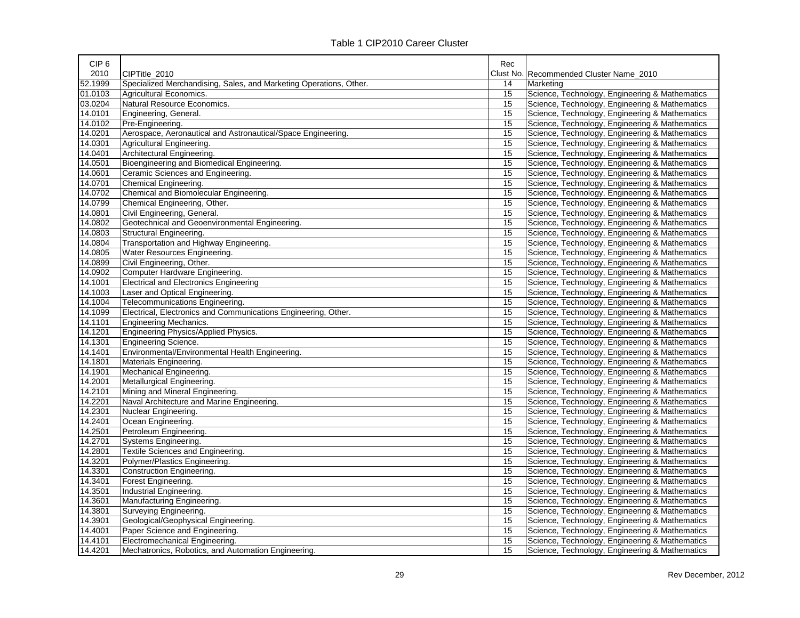| CIP <sub>6</sub> |                                                                    | Rec |                                                |
|------------------|--------------------------------------------------------------------|-----|------------------------------------------------|
| 2010             | CIPTitle_2010                                                      |     | Clust No. Recommended Cluster Name_2010        |
| 52.1999          | Specialized Merchandising, Sales, and Marketing Operations, Other. | 14  | Marketing                                      |
| 01.0103          | Agricultural Economics.                                            | 15  | Science, Technology, Engineering & Mathematics |
| 03.0204          | Natural Resource Economics.                                        | 15  | Science, Technology, Engineering & Mathematics |
| 14.0101          | Engineering, General.                                              | 15  | Science, Technology, Engineering & Mathematics |
| 14.0102          | Pre-Engineering.                                                   | 15  | Science, Technology, Engineering & Mathematics |
| 14.0201          | Aerospace, Aeronautical and Astronautical/Space Engineering.       | 15  | Science, Technology, Engineering & Mathematics |
| 14.0301          | Agricultural Engineering.                                          | 15  | Science, Technology, Engineering & Mathematics |
| 14.0401          | Architectural Engineering.                                         | 15  | Science, Technology, Engineering & Mathematics |
| 14.0501          | Bioengineering and Biomedical Engineering.                         | 15  | Science, Technology, Engineering & Mathematics |
| 14.0601          | Ceramic Sciences and Engineering.                                  | 15  | Science, Technology, Engineering & Mathematics |
| 14.0701          | Chemical Engineering.                                              | 15  | Science, Technology, Engineering & Mathematics |
| 14.0702          | Chemical and Biomolecular Engineering.                             | 15  | Science, Technology, Engineering & Mathematics |
| 14.0799          | Chemical Engineering, Other.                                       | 15  | Science, Technology, Engineering & Mathematics |
| 14.0801          | Civil Engineering, General.                                        | 15  | Science, Technology, Engineering & Mathematics |
| 14.0802          | Geotechnical and Geoenvironmental Engineering.                     | 15  | Science, Technology, Engineering & Mathematics |
| 14.0803          | Structural Engineering.                                            | 15  | Science, Technology, Engineering & Mathematics |
| 14.0804          | Transportation and Highway Engineering.                            | 15  | Science, Technology, Engineering & Mathematics |
| 14.0805          | Water Resources Engineering.                                       | 15  | Science, Technology, Engineering & Mathematics |
| 14.0899          | Civil Engineering, Other.                                          | 15  | Science, Technology, Engineering & Mathematics |
| 14.0902          | Computer Hardware Engineering.                                     | 15  | Science, Technology, Engineering & Mathematics |
| 14.1001          | <b>Electrical and Electronics Engineering</b>                      | 15  | Science, Technology, Engineering & Mathematics |
| 14.1003          | Laser and Optical Engineering.                                     | 15  | Science, Technology, Engineering & Mathematics |
| 14.1004          | Telecommunications Engineering.                                    | 15  | Science, Technology, Engineering & Mathematics |
| 14.1099          | Electrical, Electronics and Communications Engineering, Other.     | 15  | Science, Technology, Engineering & Mathematics |
| 14.1101          | <b>Engineering Mechanics.</b>                                      | 15  | Science, Technology, Engineering & Mathematics |
| 14.1201          | Engineering Physics/Applied Physics.                               | 15  | Science, Technology, Engineering & Mathematics |
| 14.1301          | Engineering Science.                                               | 15  | Science, Technology, Engineering & Mathematics |
| 14.1401          | Environmental/Environmental Health Engineering.                    | 15  | Science, Technology, Engineering & Mathematics |
| 14.1801          | Materials Engineering.                                             | 15  | Science, Technology, Engineering & Mathematics |
| 14.1901          | Mechanical Engineering.                                            | 15  | Science, Technology, Engineering & Mathematics |
| 14.2001          | Metallurgical Engineering.                                         | 15  | Science, Technology, Engineering & Mathematics |
| 14.2101          | Mining and Mineral Engineering.                                    | 15  | Science, Technology, Engineering & Mathematics |
| 14.2201          | Naval Architecture and Marine Engineering.                         | 15  | Science, Technology, Engineering & Mathematics |
| 14.2301          | Nuclear Engineering.                                               | 15  | Science, Technology, Engineering & Mathematics |
| 14.2401          | Ocean Engineering.                                                 | 15  | Science, Technology, Engineering & Mathematics |
| 14.2501          | Petroleum Engineering.                                             | 15  | Science, Technology, Engineering & Mathematics |
| 14.2701          | Systems Engineering.                                               | 15  | Science, Technology, Engineering & Mathematics |
| 14.2801          | Textile Sciences and Engineering.                                  | 15  | Science, Technology, Engineering & Mathematics |
| 14.3201          | Polymer/Plastics Engineering.                                      | 15  | Science, Technology, Engineering & Mathematics |
| 14.3301          | Construction Engineering.                                          | 15  | Science, Technology, Engineering & Mathematics |
| 14.3401          | Forest Engineering.                                                | 15  | Science, Technology, Engineering & Mathematics |
| 14.3501          | Industrial Engineering.                                            | 15  | Science, Technology, Engineering & Mathematics |
| 14.3601          | Manufacturing Engineering.                                         | 15  | Science, Technology, Engineering & Mathematics |
| 14.3801          | Surveying Engineering.                                             | 15  | Science, Technology, Engineering & Mathematics |
| 14.3901          | Geological/Geophysical Engineering.                                | 15  | Science, Technology, Engineering & Mathematics |
| 14.4001          | Paper Science and Engineering.                                     | 15  | Science, Technology, Engineering & Mathematics |
| 14.4101          | Electromechanical Engineering.                                     | 15  | Science, Technology, Engineering & Mathematics |
| 14.4201          | Mechatronics, Robotics, and Automation Engineering.                | 15  | Science, Technology, Engineering & Mathematics |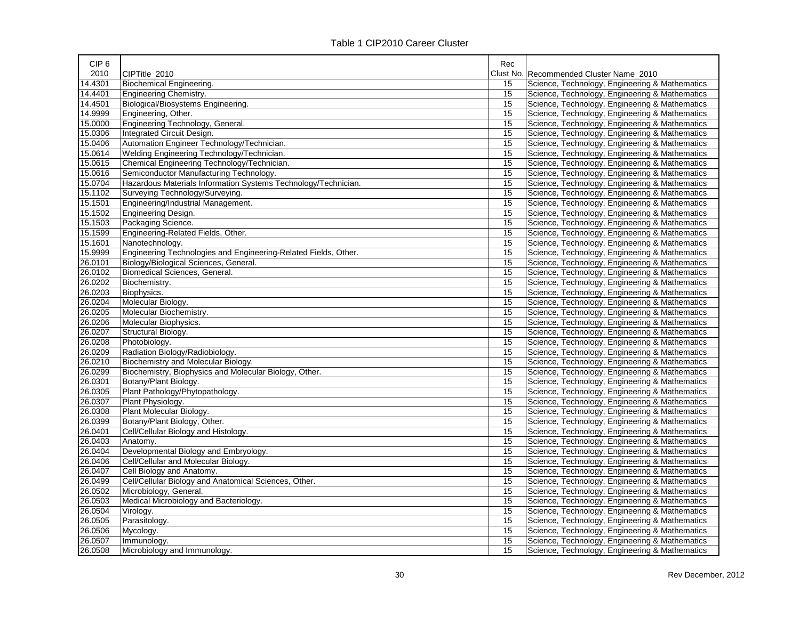| CIP <sub>6</sub> |                                                                 | Rec |                                                |
|------------------|-----------------------------------------------------------------|-----|------------------------------------------------|
| 2010             | CIPTitle 2010                                                   |     | Clust No. Recommended Cluster Name_2010        |
| 14.4301          | Biochemical Engineering.                                        | 15  | Science, Technology, Engineering & Mathematics |
| 14.4401          | Engineering Chemistry.                                          | 15  | Science, Technology, Engineering & Mathematics |
| 14.4501          | Biological/Biosystems Engineering.                              | 15  | Science, Technology, Engineering & Mathematics |
| 14.9999          | Engineering, Other.                                             | 15  | Science, Technology, Engineering & Mathematics |
| 15.0000          | Engineering Technology, General.                                | 15  | Science, Technology, Engineering & Mathematics |
| 15.0306          | Integrated Circuit Design.                                      | 15  | Science, Technology, Engineering & Mathematics |
| 15.0406          | Automation Engineer Technology/Technician.                      | 15  | Science, Technology, Engineering & Mathematics |
| 15.0614          | Welding Engineering Technology/Technician.                      | 15  | Science, Technology, Engineering & Mathematics |
| 15.0615          | Chemical Engineering Technology/Technician.                     | 15  | Science, Technology, Engineering & Mathematics |
| 15.0616          | Semiconductor Manufacturing Technology.                         | 15  | Science, Technology, Engineering & Mathematics |
| 15.0704          | Hazardous Materials Information Systems Technology/Technician.  | 15  | Science, Technology, Engineering & Mathematics |
| 15.1102          | Surveying Technology/Surveying.                                 | 15  | Science, Technology, Engineering & Mathematics |
| 15.1501          | Engineering/Industrial Management.                              | 15  | Science, Technology, Engineering & Mathematics |
| 15.1502          | Engineering Design.                                             | 15  | Science, Technology, Engineering & Mathematics |
| 15.1503          | Packaging Science.                                              | 15  | Science, Technology, Engineering & Mathematics |
| 15.1599          | Engineering-Related Fields, Other.                              | 15  | Science, Technology, Engineering & Mathematics |
| 15.1601          | Nanotechnology.                                                 | 15  | Science, Technology, Engineering & Mathematics |
| 15.9999          | Engineering Technologies and Engineering-Related Fields, Other. | 15  | Science, Technology, Engineering & Mathematics |
| 26.0101          | Biology/Biological Sciences, General.                           | 15  | Science, Technology, Engineering & Mathematics |
| 26.0102          | Biomedical Sciences, General.                                   | 15  | Science, Technology, Engineering & Mathematics |
| 26.0202          | Biochemistry.                                                   | 15  | Science, Technology, Engineering & Mathematics |
| 26.0203          | Biophysics.                                                     | 15  | Science, Technology, Engineering & Mathematics |
| 26.0204          | Molecular Biology.                                              | 15  | Science, Technology, Engineering & Mathematics |
| 26.0205          | Molecular Biochemistry.                                         | 15  | Science, Technology, Engineering & Mathematics |
| 26.0206          | Molecular Biophysics.                                           | 15  | Science, Technology, Engineering & Mathematics |
| 26.0207          | Structural Biology.                                             | 15  | Science, Technology, Engineering & Mathematics |
| 26.0208          | Photobiology.                                                   | 15  | Science, Technology, Engineering & Mathematics |
| 26.0209          | Radiation Biology/Radiobiology.                                 | 15  | Science, Technology, Engineering & Mathematics |
| 26.0210          | Biochemistry and Molecular Biology.                             | 15  | Science, Technology, Engineering & Mathematics |
| 26.0299          | Biochemistry, Biophysics and Molecular Biology, Other.          | 15  | Science, Technology, Engineering & Mathematics |
| 26.0301          | Botany/Plant Biology.                                           | 15  | Science, Technology, Engineering & Mathematics |
| 26.0305          | Plant Pathology/Phytopathology.                                 | 15  | Science, Technology, Engineering & Mathematics |
| 26.0307          | Plant Physiology.                                               | 15  | Science, Technology, Engineering & Mathematics |
| 26.0308          | Plant Molecular Biology.                                        | 15  | Science, Technology, Engineering & Mathematics |
| 26.0399          | Botany/Plant Biology, Other.                                    | 15  | Science, Technology, Engineering & Mathematics |
| 26.0401          | Cell/Cellular Biology and Histology.                            | 15  | Science, Technology, Engineering & Mathematics |
| 26.0403          | Anatomy.                                                        | 15  | Science, Technology, Engineering & Mathematics |
| 26.0404          | Developmental Biology and Embryology.                           | 15  | Science, Technology, Engineering & Mathematics |
| 26.0406          | Cell/Cellular and Molecular Biology.                            | 15  | Science, Technology, Engineering & Mathematics |
| 26.0407          | Cell Biology and Anatomy.                                       | 15  | Science, Technology, Engineering & Mathematics |
| 26.0499          | Cell/Cellular Biology and Anatomical Sciences, Other.           | 15  | Science, Technology, Engineering & Mathematics |
| 26.0502          | Microbiology, General.                                          | 15  | Science, Technology, Engineering & Mathematics |
| 26.0503          | Medical Microbiology and Bacteriology.                          | 15  | Science, Technology, Engineering & Mathematics |
| 26.0504          | Virology.                                                       | 15  | Science, Technology, Engineering & Mathematics |
| 26.0505          | Parasitology.                                                   | 15  | Science, Technology, Engineering & Mathematics |
| 26.0506          | Mycology.                                                       | 15  | Science, Technology, Engineering & Mathematics |
| 26.0507          | Immunology.                                                     | 15  | Science, Technology, Engineering & Mathematics |
| 26.0508          | Microbiology and Immunology.                                    | 15  | Science, Technology, Engineering & Mathematics |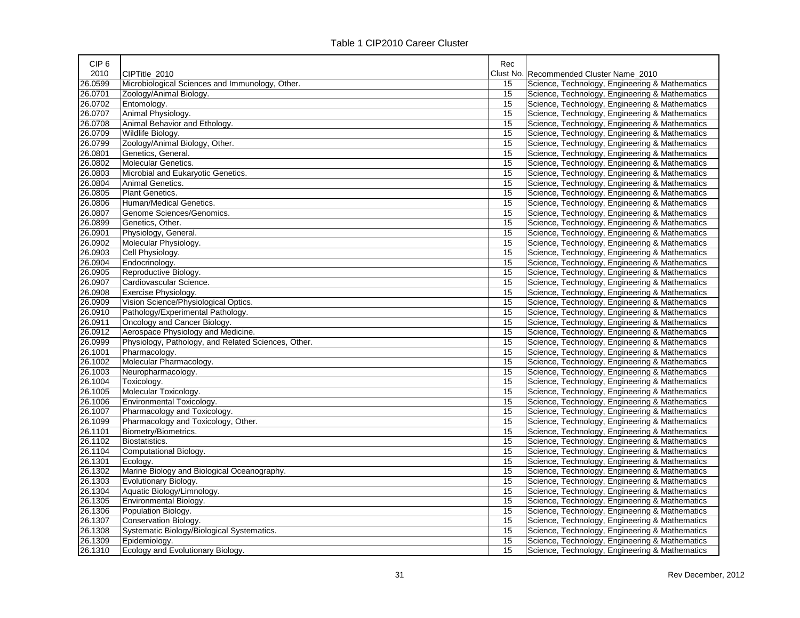| CIP <sub>6</sub> |                                                     | Rec |                                                |
|------------------|-----------------------------------------------------|-----|------------------------------------------------|
| 2010             | CIPTitle 2010                                       |     | Clust No. Recommended Cluster Name 2010        |
| 26.0599          | Microbiological Sciences and Immunology, Other.     | 15  | Science, Technology, Engineering & Mathematics |
| 26.0701          | Zoology/Animal Biology.                             | 15  | Science, Technology, Engineering & Mathematics |
| 26.0702          | Entomology.                                         | 15  | Science, Technology, Engineering & Mathematics |
| 26.0707          | Animal Physiology.                                  | 15  | Science, Technology, Engineering & Mathematics |
| 26.0708          | Animal Behavior and Ethology.                       | 15  | Science, Technology, Engineering & Mathematics |
| 26.0709          | Wildlife Biology.                                   | 15  | Science, Technology, Engineering & Mathematics |
| 26.0799          | Zoology/Animal Biology, Other.                      | 15  | Science, Technology, Engineering & Mathematics |
| 26.0801          | Genetics, General.                                  | 15  | Science, Technology, Engineering & Mathematics |
| 26.0802          | Molecular Genetics.                                 | 15  | Science, Technology, Engineering & Mathematics |
| 26.0803          | Microbial and Eukaryotic Genetics.                  | 15  | Science, Technology, Engineering & Mathematics |
| 26.0804          | Animal Genetics.                                    | 15  | Science, Technology, Engineering & Mathematics |
| 26.0805          | <b>Plant Genetics.</b>                              | 15  | Science, Technology, Engineering & Mathematics |
| 26.0806          | Human/Medical Genetics.                             | 15  | Science, Technology, Engineering & Mathematics |
| 26.0807          | Genome Sciences/Genomics.                           | 15  | Science, Technology, Engineering & Mathematics |
| 26.0899          | Genetics, Other.                                    | 15  | Science, Technology, Engineering & Mathematics |
| 26.0901          | Physiology, General.                                | 15  | Science, Technology, Engineering & Mathematics |
| 26.0902          | Molecular Physiology.                               | 15  | Science, Technology, Engineering & Mathematics |
| 26.0903          | Cell Physiology.                                    | 15  | Science, Technology, Engineering & Mathematics |
| 26.0904          | Endocrinology.                                      | 15  | Science, Technology, Engineering & Mathematics |
| 26.0905          | Reproductive Biology.                               | 15  | Science, Technology, Engineering & Mathematics |
| 26.0907          | Cardiovascular Science.                             | 15  | Science, Technology, Engineering & Mathematics |
| 26.0908          | Exercise Physiology.                                | 15  | Science, Technology, Engineering & Mathematics |
| 26.0909          | Vision Science/Physiological Optics.                | 15  | Science, Technology, Engineering & Mathematics |
| 26.0910          | Pathology/Experimental Pathology.                   | 15  | Science, Technology, Engineering & Mathematics |
| 26.0911          | Oncology and Cancer Biology.                        | 15  | Science, Technology, Engineering & Mathematics |
| 26.0912          | Aerospace Physiology and Medicine.                  | 15  | Science, Technology, Engineering & Mathematics |
| 26.0999          | Physiology, Pathology, and Related Sciences, Other. | 15  | Science, Technology, Engineering & Mathematics |
| 26.1001          | Pharmacology.                                       | 15  | Science, Technology, Engineering & Mathematics |
| 26.1002          | Molecular Pharmacology.                             | 15  | Science, Technology, Engineering & Mathematics |
| 26.1003          | Neuropharmacology.                                  | 15  | Science, Technology, Engineering & Mathematics |
| 26.1004          | Toxicology.                                         | 15  | Science, Technology, Engineering & Mathematics |
| 26.1005          | Molecular Toxicology.                               | 15  | Science, Technology, Engineering & Mathematics |
| 26.1006          | Environmental Toxicology.                           | 15  | Science, Technology, Engineering & Mathematics |
| 26.1007          | Pharmacology and Toxicology.                        | 15  | Science, Technology, Engineering & Mathematics |
| 26.1099          | Pharmacology and Toxicology, Other.                 | 15  | Science, Technology, Engineering & Mathematics |
| 26.1101          | Biometry/Biometrics.                                | 15  | Science, Technology, Engineering & Mathematics |
| 26.1102          | Biostatistics.                                      | 15  | Science, Technology, Engineering & Mathematics |
| 26.1104          | Computational Biology.                              | 15  | Science, Technology, Engineering & Mathematics |
| 26.1301          | Ecology.                                            | 15  | Science, Technology, Engineering & Mathematics |
| 26.1302          | Marine Biology and Biological Oceanography.         | 15  | Science, Technology, Engineering & Mathematics |
| 26.1303          | Evolutionary Biology.                               | 15  | Science, Technology, Engineering & Mathematics |
| 26.1304          | Aquatic Biology/Limnology.                          | 15  | Science, Technology, Engineering & Mathematics |
| 26.1305          | Environmental Biology.                              | 15  | Science, Technology, Engineering & Mathematics |
| 26.1306          | Population Biology.                                 | 15  | Science, Technology, Engineering & Mathematics |
| 26.1307          | Conservation Biology.                               | 15  | Science, Technology, Engineering & Mathematics |
| 26.1308          | Systematic Biology/Biological Systematics.          | 15  | Science, Technology, Engineering & Mathematics |
| 26.1309          | Epidemiology.                                       | 15  | Science, Technology, Engineering & Mathematics |
| 26.1310          | Ecology and Evolutionary Biology.                   | 15  | Science, Technology, Engineering & Mathematics |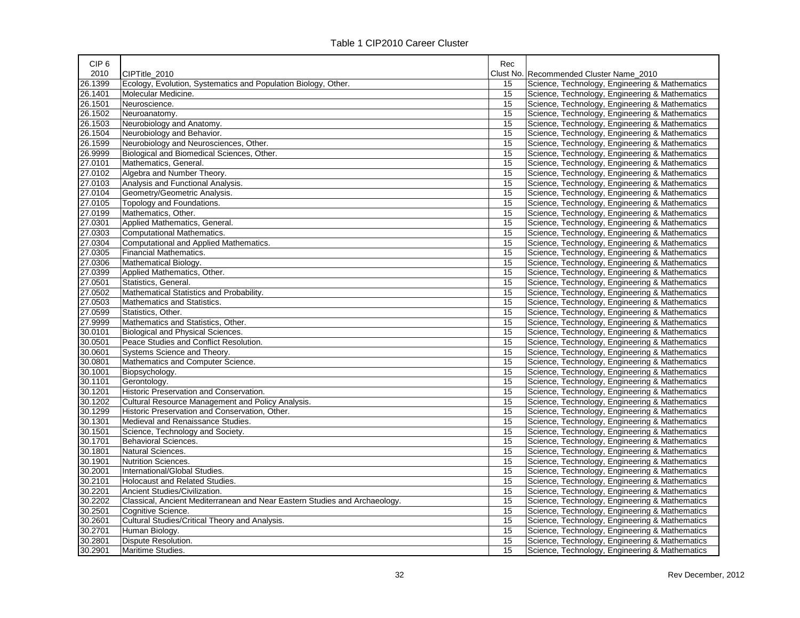| CIP <sub>6</sub> |                                                                            | Rec |                                                |
|------------------|----------------------------------------------------------------------------|-----|------------------------------------------------|
| 2010             | CIPTitle 2010                                                              |     | Clust No. Recommended Cluster Name_2010        |
| 26.1399          | Ecology, Evolution, Systematics and Population Biology, Other.             | 15  | Science, Technology, Engineering & Mathematics |
| 26.1401          | Molecular Medicine.                                                        | 15  | Science, Technology, Engineering & Mathematics |
| 26.1501          | Neuroscience.                                                              | 15  | Science, Technology, Engineering & Mathematics |
| 26.1502          | Neuroanatomy.                                                              | 15  | Science, Technology, Engineering & Mathematics |
| 26.1503          | Neurobiology and Anatomy.                                                  | 15  | Science, Technology, Engineering & Mathematics |
| 26.1504          | Neurobiology and Behavior.                                                 | 15  | Science, Technology, Engineering & Mathematics |
| 26.1599          | Neurobiology and Neurosciences, Other.                                     | 15  | Science, Technology, Engineering & Mathematics |
| 26.9999          | Biological and Biomedical Sciences, Other.                                 | 15  | Science, Technology, Engineering & Mathematics |
| 27.0101          | Mathematics, General.                                                      | 15  | Science, Technology, Engineering & Mathematics |
| 27.0102          | Algebra and Number Theory.                                                 | 15  | Science, Technology, Engineering & Mathematics |
| 27.0103          | Analysis and Functional Analysis.                                          | 15  | Science, Technology, Engineering & Mathematics |
| 27.0104          | Geometry/Geometric Analysis.                                               | 15  | Science, Technology, Engineering & Mathematics |
| 27.0105          | Topology and Foundations.                                                  | 15  | Science, Technology, Engineering & Mathematics |
| 27.0199          | Mathematics, Other.                                                        | 15  | Science, Technology, Engineering & Mathematics |
| 27.0301          | Applied Mathematics, General.                                              | 15  | Science, Technology, Engineering & Mathematics |
| 27.0303          | Computational Mathematics.                                                 | 15  | Science, Technology, Engineering & Mathematics |
| 27.0304          | Computational and Applied Mathematics.                                     | 15  | Science, Technology, Engineering & Mathematics |
| 27.0305          | Financial Mathematics.                                                     | 15  | Science, Technology, Engineering & Mathematics |
| 27.0306          | Mathematical Biology.                                                      | 15  | Science, Technology, Engineering & Mathematics |
| 27.0399          | Applied Mathematics, Other.                                                | 15  | Science, Technology, Engineering & Mathematics |
| 27.0501          | Statistics, General.                                                       | 15  | Science, Technology, Engineering & Mathematics |
| 27.0502          | Mathematical Statistics and Probability.                                   | 15  | Science, Technology, Engineering & Mathematics |
| 27.0503          | Mathematics and Statistics.                                                | 15  | Science, Technology, Engineering & Mathematics |
| 27.0599          | Statistics, Other.                                                         | 15  | Science, Technology, Engineering & Mathematics |
| 27.9999          | Mathematics and Statistics, Other.                                         | 15  | Science, Technology, Engineering & Mathematics |
| 30.0101          | Biological and Physical Sciences.                                          | 15  | Science, Technology, Engineering & Mathematics |
| 30.0501          | Peace Studies and Conflict Resolution.                                     | 15  | Science, Technology, Engineering & Mathematics |
| 30.0601          | Systems Science and Theory.                                                | 15  | Science, Technology, Engineering & Mathematics |
| 30.0801          | Mathematics and Computer Science.                                          | 15  | Science, Technology, Engineering & Mathematics |
| 30.1001          | Biopsychology.                                                             | 15  | Science, Technology, Engineering & Mathematics |
| 30.1101          | Gerontology.                                                               | 15  | Science, Technology, Engineering & Mathematics |
| 30.1201          | Historic Preservation and Conservation.                                    | 15  | Science, Technology, Engineering & Mathematics |
| 30.1202          | Cultural Resource Management and Policy Analysis.                          | 15  | Science, Technology, Engineering & Mathematics |
| 30.1299          | Historic Preservation and Conservation, Other.                             | 15  | Science, Technology, Engineering & Mathematics |
| 30.1301          | Medieval and Renaissance Studies.                                          | 15  | Science, Technology, Engineering & Mathematics |
| 30.1501          | Science, Technology and Society.                                           | 15  | Science, Technology, Engineering & Mathematics |
| 30.1701          | <b>Behavioral Sciences.</b>                                                | 15  | Science, Technology, Engineering & Mathematics |
| 30.1801          | Natural Sciences.                                                          | 15  | Science, Technology, Engineering & Mathematics |
| 30.1901          | <b>Nutrition Sciences.</b>                                                 | 15  | Science, Technology, Engineering & Mathematics |
| 30.2001          | International/Global Studies.                                              | 15  | Science, Technology, Engineering & Mathematics |
| 30.2101          | <b>Holocaust and Related Studies.</b>                                      | 15  | Science, Technology, Engineering & Mathematics |
| 30.2201          | Ancient Studies/Civilization.                                              | 15  | Science, Technology, Engineering & Mathematics |
| 30.2202          | Classical, Ancient Mediterranean and Near Eastern Studies and Archaeology. | 15  | Science, Technology, Engineering & Mathematics |
| 30.2501          | Cognitive Science.                                                         | 15  | Science, Technology, Engineering & Mathematics |
| 30.2601          | Cultural Studies/Critical Theory and Analysis.                             | 15  | Science, Technology, Engineering & Mathematics |
| 30.2701          | Human Biology.                                                             | 15  | Science, Technology, Engineering & Mathematics |
| 30.2801          | Dispute Resolution.                                                        | 15  | Science, Technology, Engineering & Mathematics |
| 30.2901          | Maritime Studies.                                                          | 15  | Science, Technology, Engineering & Mathematics |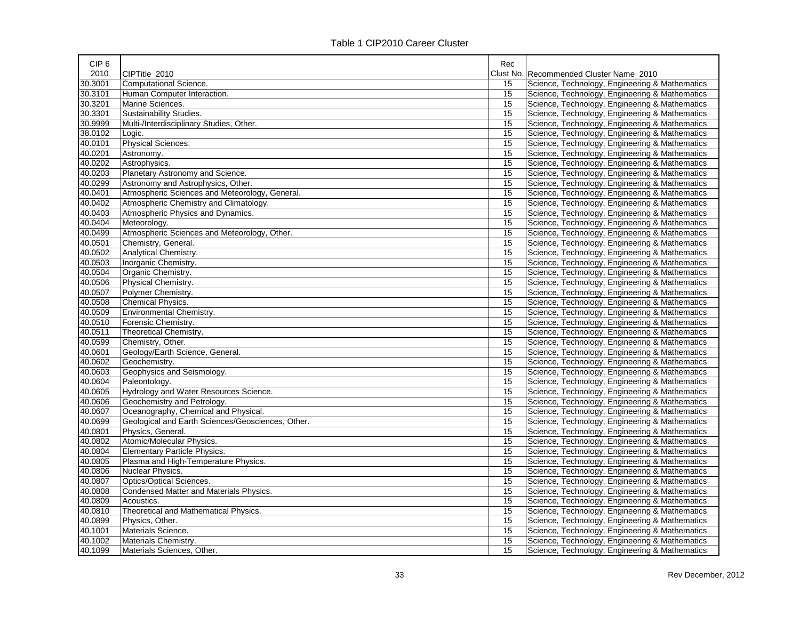| CIP <sub>6</sub> |                                                   | Rec |                                                |
|------------------|---------------------------------------------------|-----|------------------------------------------------|
| 2010             | CIPTitle 2010                                     |     | Clust No. Recommended Cluster Name 2010        |
| 30.3001          | Computational Science.                            | 15  | Science, Technology, Engineering & Mathematics |
| 30.3101          | Human Computer Interaction.                       | 15  | Science, Technology, Engineering & Mathematics |
| 30.3201          | Marine Sciences.                                  | 15  | Science, Technology, Engineering & Mathematics |
| 30.3301          | Sustainability Studies.                           | 15  | Science, Technology, Engineering & Mathematics |
| 30.9999          | Multi-/Interdisciplinary Studies, Other.          | 15  | Science, Technology, Engineering & Mathematics |
| 38.0102          | Logic.                                            | 15  | Science, Technology, Engineering & Mathematics |
| 40.0101          | Physical Sciences.                                | 15  | Science, Technology, Engineering & Mathematics |
| 40.0201          | Astronomy.                                        | 15  | Science, Technology, Engineering & Mathematics |
| 40.0202          | Astrophysics.                                     | 15  | Science, Technology, Engineering & Mathematics |
| 40.0203          | Planetary Astronomy and Science.                  | 15  | Science, Technology, Engineering & Mathematics |
| 40.0299          | Astronomy and Astrophysics, Other.                | 15  | Science, Technology, Engineering & Mathematics |
| 40.0401          | Atmospheric Sciences and Meteorology, General.    | 15  | Science, Technology, Engineering & Mathematics |
| 40.0402          | Atmospheric Chemistry and Climatology.            | 15  | Science, Technology, Engineering & Mathematics |
| 40.0403          | Atmospheric Physics and Dynamics.                 | 15  | Science, Technology, Engineering & Mathematics |
| 40.0404          | Meteorology.                                      | 15  | Science, Technology, Engineering & Mathematics |
| 40.0499          | Atmospheric Sciences and Meteorology, Other.      | 15  | Science, Technology, Engineering & Mathematics |
| 40.0501          | Chemistry, General.                               | 15  | Science, Technology, Engineering & Mathematics |
| 40.0502          | Analytical Chemistry.                             | 15  | Science, Technology, Engineering & Mathematics |
| 40.0503          | Inorganic Chemistry.                              | 15  | Science, Technology, Engineering & Mathematics |
| 40.0504          | Organic Chemistry.                                | 15  | Science, Technology, Engineering & Mathematics |
| 40.0506          | Physical Chemistry.                               | 15  | Science, Technology, Engineering & Mathematics |
| 40.0507          | Polymer Chemistry.                                | 15  | Science, Technology, Engineering & Mathematics |
| 40.0508          | Chemical Physics.                                 | 15  | Science, Technology, Engineering & Mathematics |
| 40.0509          | Environmental Chemistry.                          | 15  | Science, Technology, Engineering & Mathematics |
| 40.0510          | Forensic Chemistry.                               | 15  | Science, Technology, Engineering & Mathematics |
| 40.0511          | Theoretical Chemistry.                            | 15  | Science, Technology, Engineering & Mathematics |
| 40.0599          | Chemistry, Other.                                 | 15  | Science, Technology, Engineering & Mathematics |
| 40.0601          | Geology/Earth Science, General.                   | 15  | Science, Technology, Engineering & Mathematics |
| 40.0602          | Geochemistry.                                     | 15  | Science, Technology, Engineering & Mathematics |
| 40.0603          | Geophysics and Seismology.                        | 15  | Science, Technology, Engineering & Mathematics |
| 40.0604          | Paleontology.                                     | 15  | Science, Technology, Engineering & Mathematics |
| 40.0605          | Hydrology and Water Resources Science.            | 15  | Science, Technology, Engineering & Mathematics |
| 40.0606          | Geochemistry and Petrology.                       | 15  | Science, Technology, Engineering & Mathematics |
| 40.0607          | Oceanography, Chemical and Physical.              | 15  | Science, Technology, Engineering & Mathematics |
| 40.0699          | Geological and Earth Sciences/Geosciences, Other. | 15  | Science, Technology, Engineering & Mathematics |
| 40.0801          | Physics, General.                                 | 15  | Science, Technology, Engineering & Mathematics |
| 40.0802          | Atomic/Molecular Physics.                         | 15  | Science, Technology, Engineering & Mathematics |
| 40.0804          | <b>Elementary Particle Physics.</b>               | 15  | Science, Technology, Engineering & Mathematics |
| 40.0805          | Plasma and High-Temperature Physics.              | 15  | Science, Technology, Engineering & Mathematics |
| 40.0806          | Nuclear Physics.                                  | 15  | Science, Technology, Engineering & Mathematics |
| 40.0807          | Optics/Optical Sciences.                          | 15  | Science, Technology, Engineering & Mathematics |
| 40.0808          | Condensed Matter and Materials Physics.           | 15  | Science, Technology, Engineering & Mathematics |
| 40.0809          | Acoustics.                                        | 15  | Science, Technology, Engineering & Mathematics |
| 40.0810          | Theoretical and Mathematical Physics.             | 15  | Science, Technology, Engineering & Mathematics |
| 40.0899          | Physics, Other.                                   | 15  | Science, Technology, Engineering & Mathematics |
| 40.1001          | Materials Science.                                | 15  | Science, Technology, Engineering & Mathematics |
| 40.1002          | Materials Chemistry.                              | 15  | Science, Technology, Engineering & Mathematics |
| 40.1099          | Materials Sciences, Other.                        | 15  | Science, Technology, Engineering & Mathematics |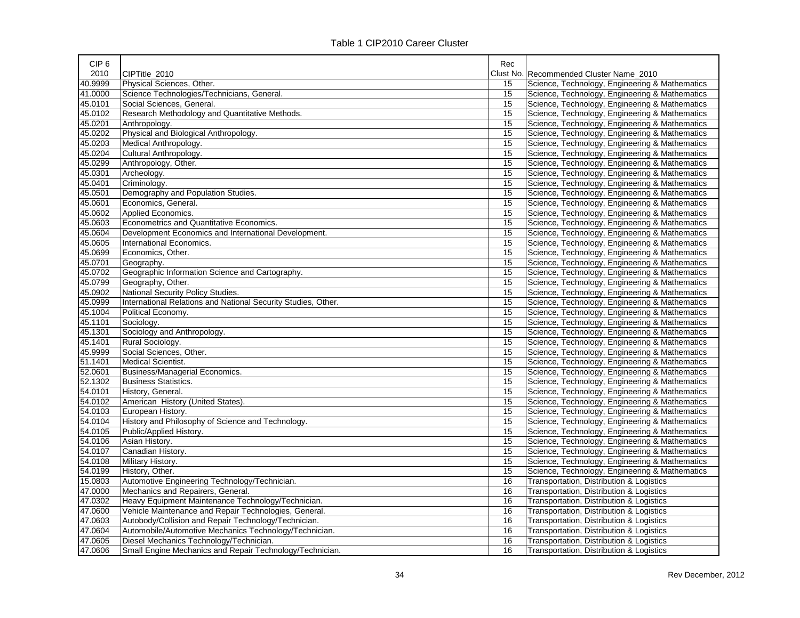| CIP <sub>6</sub> |                                                               | Rec |                                                |
|------------------|---------------------------------------------------------------|-----|------------------------------------------------|
| 2010             | CIPTitle 2010                                                 |     | Clust No. Recommended Cluster Name_2010        |
| 40.9999          | Physical Sciences, Other.                                     | 15  | Science, Technology, Engineering & Mathematics |
| 41.0000          | Science Technologies/Technicians, General.                    | 15  | Science, Technology, Engineering & Mathematics |
| 45.0101          | Social Sciences, General.                                     | 15  | Science, Technology, Engineering & Mathematics |
| 45.0102          | Research Methodology and Quantitative Methods.                | 15  | Science, Technology, Engineering & Mathematics |
| 45.0201          | Anthropology.                                                 | 15  | Science, Technology, Engineering & Mathematics |
| 45.0202          | Physical and Biological Anthropology.                         | 15  | Science, Technology, Engineering & Mathematics |
| 45.0203          | Medical Anthropology.                                         | 15  | Science, Technology, Engineering & Mathematics |
| 45.0204          | Cultural Anthropology.                                        | 15  | Science, Technology, Engineering & Mathematics |
| 45.0299          | Anthropology, Other.                                          | 15  | Science, Technology, Engineering & Mathematics |
| 45.0301          | Archeology.                                                   | 15  | Science, Technology, Engineering & Mathematics |
| 45.0401          | Criminology.                                                  | 15  | Science, Technology, Engineering & Mathematics |
| 45.0501          | Demography and Population Studies.                            | 15  | Science, Technology, Engineering & Mathematics |
| 45.0601          | Economics, General.                                           | 15  | Science, Technology, Engineering & Mathematics |
| 45.0602          | Applied Economics.                                            | 15  | Science, Technology, Engineering & Mathematics |
| 45.0603          | Econometrics and Quantitative Economics.                      | 15  | Science, Technology, Engineering & Mathematics |
| 45.0604          | Development Economics and International Development.          | 15  | Science, Technology, Engineering & Mathematics |
| 45.0605          | International Economics.                                      | 15  | Science, Technology, Engineering & Mathematics |
| 45.0699          | Economics, Other.                                             | 15  | Science, Technology, Engineering & Mathematics |
| 45.0701          | Geography.                                                    | 15  | Science, Technology, Engineering & Mathematics |
| 45.0702          | Geographic Information Science and Cartography.               | 15  | Science, Technology, Engineering & Mathematics |
| 45.0799          | Geography, Other.                                             | 15  | Science, Technology, Engineering & Mathematics |
| 45.0902          | National Security Policy Studies.                             | 15  | Science, Technology, Engineering & Mathematics |
| 45.0999          | International Relations and National Security Studies, Other. | 15  | Science, Technology, Engineering & Mathematics |
| 45.1004          | Political Economy.                                            | 15  | Science, Technology, Engineering & Mathematics |
| 45.1101          | Sociology.                                                    | 15  | Science, Technology, Engineering & Mathematics |
| 45.1301          | Sociology and Anthropology.                                   | 15  | Science, Technology, Engineering & Mathematics |
| 45.1401          | Rural Sociology.                                              | 15  | Science, Technology, Engineering & Mathematics |
| 45.9999          | Social Sciences, Other.                                       | 15  | Science, Technology, Engineering & Mathematics |
| 51.1401          | Medical Scientist.                                            | 15  | Science, Technology, Engineering & Mathematics |
| 52.0601          | Business/Managerial Economics.                                | 15  | Science, Technology, Engineering & Mathematics |
| 52.1302          | <b>Business Statistics.</b>                                   | 15  | Science, Technology, Engineering & Mathematics |
| 54.0101          | History, General.                                             | 15  | Science, Technology, Engineering & Mathematics |
| 54.0102          | American History (United States).                             | 15  | Science, Technology, Engineering & Mathematics |
| 54.0103          | European History.                                             | 15  | Science, Technology, Engineering & Mathematics |
| 54.0104          | History and Philosophy of Science and Technology.             | 15  | Science, Technology, Engineering & Mathematics |
| 54.0105          | Public/Applied History.                                       | 15  | Science, Technology, Engineering & Mathematics |
| 54.0106          | Asian History.                                                | 15  | Science, Technology, Engineering & Mathematics |
| 54.0107          | Canadian History.                                             | 15  | Science, Technology, Engineering & Mathematics |
| 54.0108          | Military History.                                             | 15  | Science, Technology, Engineering & Mathematics |
| 54.0199          | History, Other.                                               | 15  | Science, Technology, Engineering & Mathematics |
| 15.0803          | Automotive Engineering Technology/Technician.                 | 16  | Transportation, Distribution & Logistics       |
| 47.0000          | Mechanics and Repairers, General.                             | 16  | Transportation, Distribution & Logistics       |
| 47.0302          | Heavy Equipment Maintenance Technology/Technician.            | 16  | Transportation, Distribution & Logistics       |
| 47.0600          | Vehicle Maintenance and Repair Technologies, General.         | 16  | Transportation, Distribution & Logistics       |
| 47.0603          | Autobody/Collision and Repair Technology/Technician.          | 16  | Transportation, Distribution & Logistics       |
| 47.0604          | Automobile/Automotive Mechanics Technology/Technician.        | 16  | Transportation, Distribution & Logistics       |
| 47.0605          | Diesel Mechanics Technology/Technician.                       | 16  | Transportation, Distribution & Logistics       |
| 47.0606          | Small Engine Mechanics and Repair Technology/Technician.      | 16  | Transportation, Distribution & Logistics       |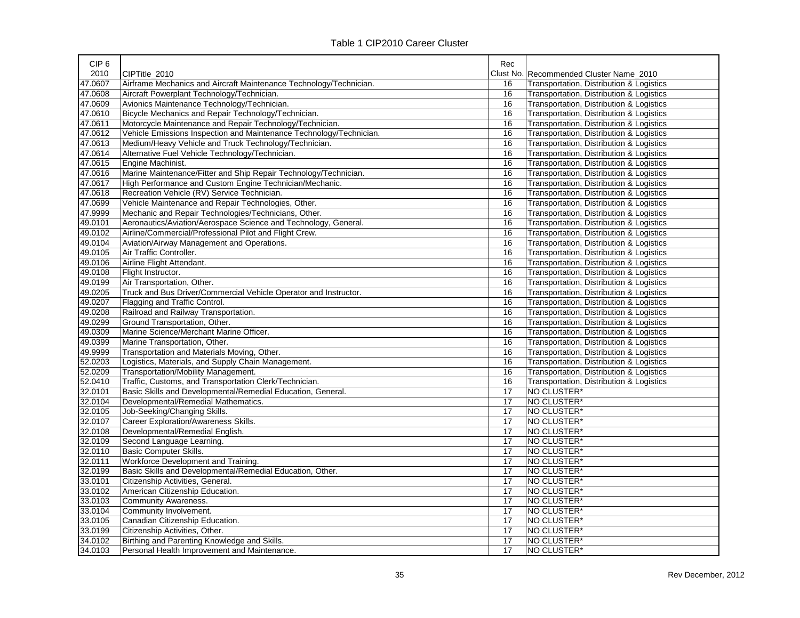| CIP <sub>6</sub> |                                                                     | Rec             |                                          |
|------------------|---------------------------------------------------------------------|-----------------|------------------------------------------|
| 2010             | CIPTitle 2010                                                       |                 | Clust No. Recommended Cluster Name 2010  |
| 47.0607          | Airframe Mechanics and Aircraft Maintenance Technology/Technician.  | 16              | Transportation, Distribution & Logistics |
| 47.0608          | Aircraft Powerplant Technology/Technician.                          | 16              | Transportation, Distribution & Logistics |
| 47.0609          | Avionics Maintenance Technology/Technician.                         | 16              | Transportation, Distribution & Logistics |
| 47.0610          | Bicycle Mechanics and Repair Technology/Technician.                 | 16              | Transportation, Distribution & Logistics |
| 47.0611          | Motorcycle Maintenance and Repair Technology/Technician.            | 16              | Transportation, Distribution & Logistics |
| 47.0612          | Vehicle Emissions Inspection and Maintenance Technology/Technician. | 16              | Transportation, Distribution & Logistics |
| 47.0613          | Medium/Heavy Vehicle and Truck Technology/Technician.               | 16              | Transportation, Distribution & Logistics |
| 47.0614          | Alternative Fuel Vehicle Technology/Technician.                     | 16              | Transportation, Distribution & Logistics |
| 47.0615          | Engine Machinist.                                                   | 16              | Transportation, Distribution & Logistics |
| 47.0616          | Marine Maintenance/Fitter and Ship Repair Technology/Technician.    | 16              | Transportation, Distribution & Logistics |
| 47.0617          | High Performance and Custom Engine Technician/Mechanic.             | 16              | Transportation, Distribution & Logistics |
| 47.0618          | Recreation Vehicle (RV) Service Technician.                         | 16              | Transportation, Distribution & Logistics |
| 47.0699          | Vehicle Maintenance and Repair Technologies, Other.                 | 16              | Transportation, Distribution & Logistics |
| 47.9999          | Mechanic and Repair Technologies/Technicians, Other.                | 16              | Transportation, Distribution & Logistics |
| 49.0101          | Aeronautics/Aviation/Aerospace Science and Technology, General.     | 16              | Transportation, Distribution & Logistics |
| 49.0102          | Airline/Commercial/Professional Pilot and Flight Crew.              | 16              | Transportation, Distribution & Logistics |
| 49.0104          | Aviation/Airway Management and Operations.                          | 16              | Transportation, Distribution & Logistics |
| 49.0105          | Air Traffic Controller.                                             | 16              | Transportation, Distribution & Logistics |
| 49.0106          | Airline Flight Attendant.                                           | 16              | Transportation, Distribution & Logistics |
| 49.0108          | Flight Instructor.                                                  | 16              | Transportation, Distribution & Logistics |
| 49.0199          | Air Transportation, Other.                                          | 16              | Transportation, Distribution & Logistics |
| 49.0205          | Truck and Bus Driver/Commercial Vehicle Operator and Instructor.    | 16              | Transportation, Distribution & Logistics |
| 49.0207          | Flagging and Traffic Control.                                       | 16              | Transportation, Distribution & Logistics |
| 49.0208          | Railroad and Railway Transportation.                                | 16              | Transportation, Distribution & Logistics |
| 49.0299          | Ground Transportation, Other.                                       | 16              | Transportation, Distribution & Logistics |
| 49.0309          | Marine Science/Merchant Marine Officer.                             | 16              | Transportation, Distribution & Logistics |
| 49.0399          | Marine Transportation, Other.                                       | 16              | Transportation, Distribution & Logistics |
| 49.9999          | Transportation and Materials Moving, Other.                         | 16              | Transportation, Distribution & Logistics |
| 52.0203          | Logistics, Materials, and Supply Chain Management.                  | 16              | Transportation, Distribution & Logistics |
| 52.0209          | Transportation/Mobility Management.                                 | 16              | Transportation, Distribution & Logistics |
| 52.0410          | Traffic, Customs, and Transportation Clerk/Technician.              | 16              | Transportation, Distribution & Logistics |
| 32.0101          | Basic Skills and Developmental/Remedial Education, General.         | 17              | NO CLUSTER*                              |
| 32.0104          | Developmental/Remedial Mathematics.                                 | 17              | NO CLUSTER*                              |
| 32.0105          | Job-Seeking/Changing Skills.                                        | 17              | NO CLUSTER*                              |
| 32.0107          | Career Exploration/Awareness Skills.                                | 17              | NO CLUSTER*                              |
| 32.0108          | Developmental/Remedial English.                                     | 17              | NO CLUSTER*                              |
| 32.0109          | Second Language Learning.                                           | 17              | NO CLUSTER*                              |
| 32.0110          | <b>Basic Computer Skills.</b>                                       | 17              | NO CLUSTER*                              |
| 32.0111          | Workforce Development and Training.                                 | 17              | NO CLUSTER*                              |
| 32.0199          | Basic Skills and Developmental/Remedial Education, Other.           | 17              | NO CLUSTER*                              |
| 33.0101          | Citizenship Activities, General.                                    | 17              | NO CLUSTER*                              |
| 33.0102          | American Citizenship Education.                                     | $\overline{17}$ | NO CLUSTER*                              |
| 33.0103          | <b>Community Awareness.</b>                                         | 17              | NO CLUSTER*                              |
| 33.0104          | Community Involvement.                                              | 17              | NO CLUSTER*                              |
| 33.0105          | Canadian Citizenship Education.                                     | 17              | NO CLUSTER*                              |
| 33.0199          | Citizenship Activities, Other.                                      | 17              | NO CLUSTER*                              |
| 34.0102          | Birthing and Parenting Knowledge and Skills.                        | 17              | NO CLUSTER*                              |
| 34.0103          | Personal Health Improvement and Maintenance.                        | 17              | NO CLUSTER*                              |